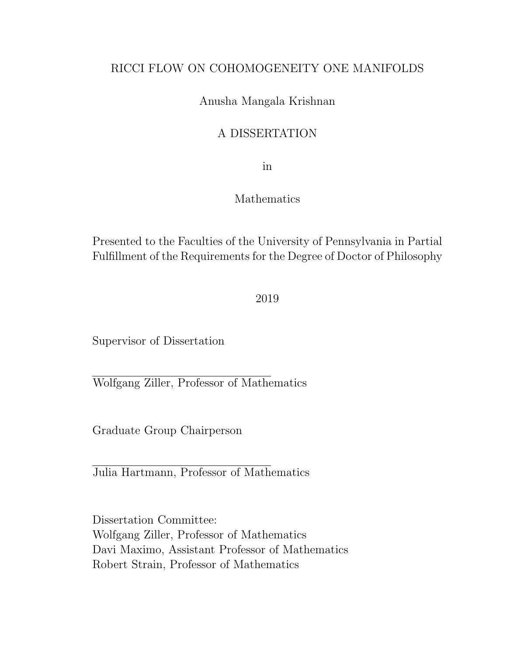## RICCI FLOW ON COHOMOGENEITY ONE MANIFOLDS

## Anusha Mangala Krishnan

## A DISSERTATION

in

### Mathematics

Presented to the Faculties of the University of Pennsylvania in Partial Fulfillment of the Requirements for the Degree of Doctor of Philosophy

2019

Supervisor of Dissertation

Wolfgang Ziller, Professor of Mathematics

Graduate Group Chairperson

Julia Hartmann, Professor of Mathematics

Dissertation Committee: Wolfgang Ziller, Professor of Mathematics Davi Maximo, Assistant Professor of Mathematics Robert Strain, Professor of Mathematics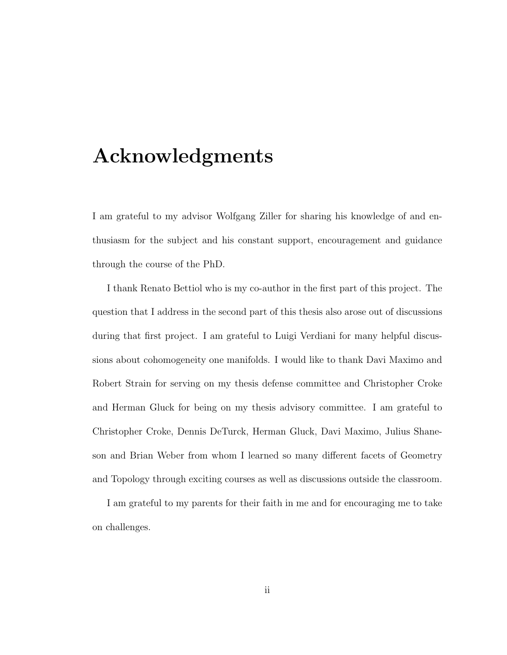# Acknowledgments

I am grateful to my advisor Wolfgang Ziller for sharing his knowledge of and enthusiasm for the subject and his constant support, encouragement and guidance through the course of the PhD.

I thank Renato Bettiol who is my co-author in the first part of this project. The question that I address in the second part of this thesis also arose out of discussions during that first project. I am grateful to Luigi Verdiani for many helpful discussions about cohomogeneity one manifolds. I would like to thank Davi Maximo and Robert Strain for serving on my thesis defense committee and Christopher Croke and Herman Gluck for being on my thesis advisory committee. I am grateful to Christopher Croke, Dennis DeTurck, Herman Gluck, Davi Maximo, Julius Shaneson and Brian Weber from whom I learned so many different facets of Geometry and Topology through exciting courses as well as discussions outside the classroom.

I am grateful to my parents for their faith in me and for encouraging me to take on challenges.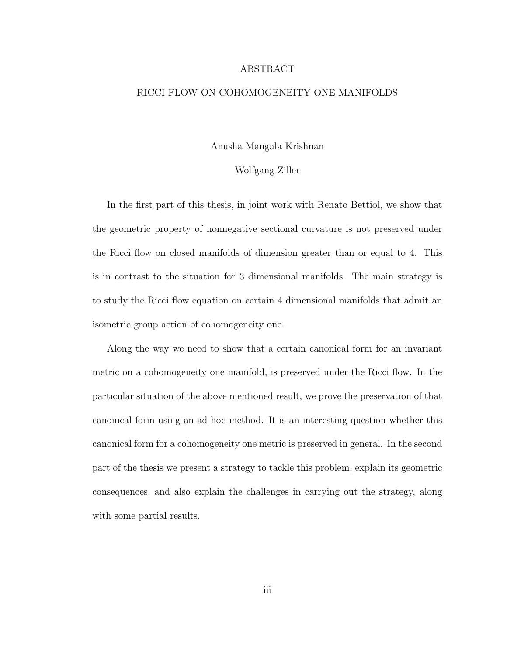### ABSTRACT

### RICCI FLOW ON COHOMOGENEITY ONE MANIFOLDS

Anusha Mangala Krishnan

### Wolfgang Ziller

In the first part of this thesis, in joint work with Renato Bettiol, we show that the geometric property of nonnegative sectional curvature is not preserved under the Ricci flow on closed manifolds of dimension greater than or equal to 4. This is in contrast to the situation for 3 dimensional manifolds. The main strategy is to study the Ricci flow equation on certain 4 dimensional manifolds that admit an isometric group action of cohomogeneity one.

Along the way we need to show that a certain canonical form for an invariant metric on a cohomogeneity one manifold, is preserved under the Ricci flow. In the particular situation of the above mentioned result, we prove the preservation of that canonical form using an ad hoc method. It is an interesting question whether this canonical form for a cohomogeneity one metric is preserved in general. In the second part of the thesis we present a strategy to tackle this problem, explain its geometric consequences, and also explain the challenges in carrying out the strategy, along with some partial results.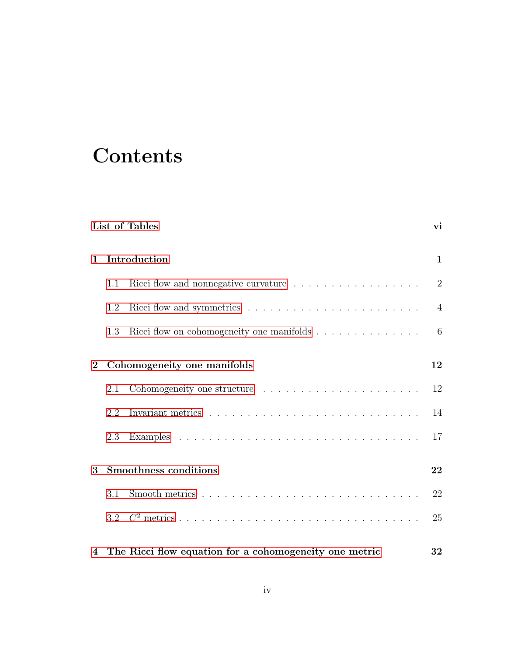# <span id="page-3-0"></span>**Contents**

|                | List of Tables              |                                                                                                     |                |  |
|----------------|-----------------------------|-----------------------------------------------------------------------------------------------------|----------------|--|
| $\mathbf{1}$   | Introduction                |                                                                                                     |                |  |
|                | 1.1                         | Ricci flow and nonnegative curvature $\hfill\ldots\ldots\ldots\ldots\ldots\ldots\ldots\ldots\ldots$ | $\overline{2}$ |  |
|                | 1.2                         |                                                                                                     | $\overline{4}$ |  |
|                | 1.3                         |                                                                                                     | 6              |  |
| $\overline{2}$ | Cohomogeneity one manifolds |                                                                                                     |                |  |
|                | 2.1                         |                                                                                                     | 12             |  |
|                | 2.2                         |                                                                                                     | 14             |  |
|                | 2.3                         |                                                                                                     | 17             |  |
| 3              |                             | <b>Smoothness conditions</b>                                                                        | 22             |  |
|                | 3.1                         |                                                                                                     | 22             |  |
|                |                             |                                                                                                     | 25             |  |
|                |                             | 4 The Ricci flow equation for a cohomogeneity one metric                                            | 32             |  |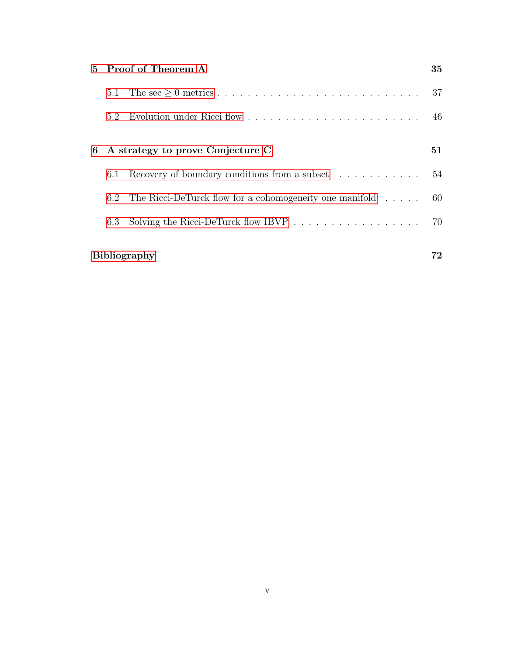|                                       | 5 Proof of Theorem A |                                                                            |    |  |
|---------------------------------------|----------------------|----------------------------------------------------------------------------|----|--|
|                                       | 5.1                  |                                                                            | 37 |  |
|                                       | 5.2                  | Evolution under Ricci flow                                                 | 46 |  |
| A strategy to prove Conjecture C<br>6 |                      |                                                                            |    |  |
|                                       | 6.1                  | Recovery of boundary conditions from a subset $\dots \dots \dots \dots$ 54 |    |  |
|                                       | 6.2                  | The Ricci-DeTurck flow for a cohomogeneity one manifold $\dots$ . $60$     |    |  |
|                                       | 6.3                  |                                                                            | 70 |  |
|                                       |                      |                                                                            |    |  |
|                                       | <b>Bibliography</b>  |                                                                            |    |  |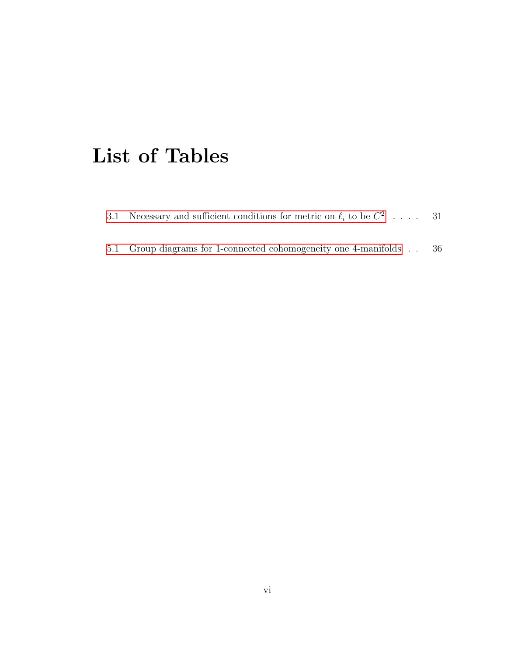# List of Tables

- [3.1 Necessary and sufficient conditions for metric on](#page-36-0)  $\ell_i$  to be  $C^2$  .... 31
- [5.1 Group diagrams for 1-connected cohomogeneity one 4-manifolds](#page-41-0) . . 36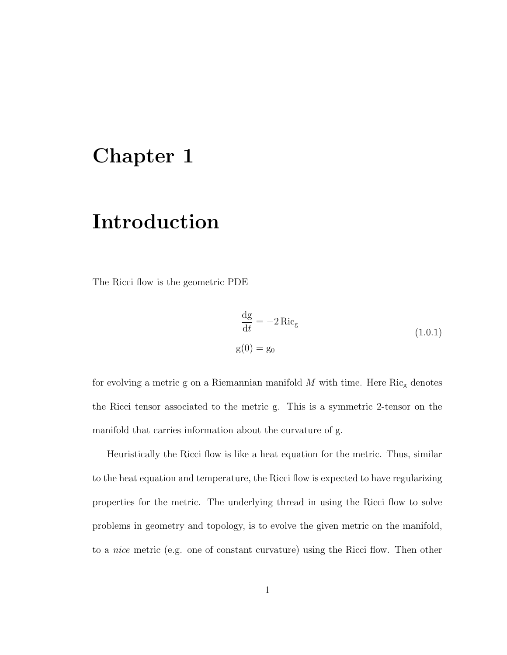# <span id="page-6-0"></span>Chapter 1

# Introduction

The Ricci flow is the geometric PDE

$$
\frac{\text{dg}}{\text{d}t} = -2 \operatorname{Ric}_{g}
$$
\n
$$
g(0) = g_0 \tag{1.0.1}
$$

for evolving a metric g on a Riemannian manifold  $M$  with time. Here  $\mathrm{Ric}_{\mathrm{g}}$  denotes the Ricci tensor associated to the metric g. This is a symmetric 2-tensor on the manifold that carries information about the curvature of g.

Heuristically the Ricci flow is like a heat equation for the metric. Thus, similar to the heat equation and temperature, the Ricci flow is expected to have regularizing properties for the metric. The underlying thread in using the Ricci flow to solve problems in geometry and topology, is to evolve the given metric on the manifold, to a nice metric (e.g. one of constant curvature) using the Ricci flow. Then other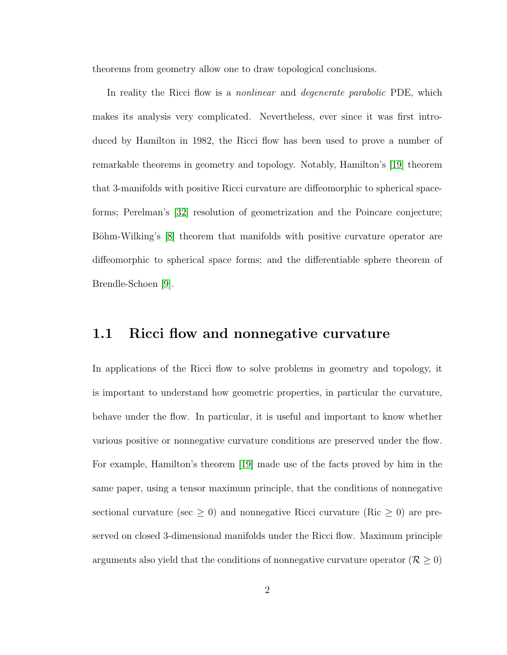theorems from geometry allow one to draw topological conclusions.

In reality the Ricci flow is a *nonlinear* and *degenerate parabolic* PDE, which makes its analysis very complicated. Nevertheless, ever since it was first introduced by Hamilton in 1982, the Ricci flow has been used to prove a number of remarkable theorems in geometry and topology. Notably, Hamilton's [\[19\]](#page-79-0) theorem that 3-manifolds with positive Ricci curvature are diffeomorphic to spherical spaceforms; Perelman's [\[32\]](#page-81-0) resolution of geometrization and the Poincare conjecture; Böhm-Wilking's [\[8\]](#page-78-0) theorem that manifolds with positive curvature operator are diffeomorphic to spherical space forms; and the differentiable sphere theorem of Brendle-Schoen [\[9\]](#page-78-1).

## <span id="page-7-0"></span>1.1 Ricci flow and nonnegative curvature

In applications of the Ricci flow to solve problems in geometry and topology, it is important to understand how geometric properties, in particular the curvature, behave under the flow. In particular, it is useful and important to know whether various positive or nonnegative curvature conditions are preserved under the flow. For example, Hamilton's theorem [\[19\]](#page-79-0) made use of the facts proved by him in the same paper, using a tensor maximum principle, that the conditions of nonnegative sectional curvature (sec  $\geq 0$ ) and nonnegative Ricci curvature (Ric  $\geq 0$ ) are preserved on closed 3-dimensional manifolds under the Ricci flow. Maximum principle arguments also yield that the conditions of nonnegative curvature operator ( $\mathcal{R} \geq 0$ )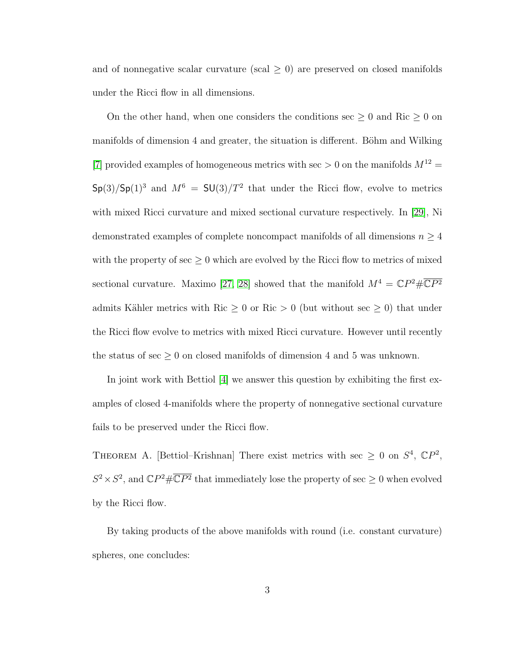and of nonnegative scalar curvature (scal  $\geq$  0) are preserved on closed manifolds under the Ricci flow in all dimensions.

On the other hand, when one considers the conditions sec  $\geq 0$  and Ric  $\geq 0$  on manifolds of dimension 4 and greater, the situation is different. Böhm and Wilking [\[7\]](#page-78-2) provided examples of homogeneous metrics with sec  $> 0$  on the manifolds  $M^{12} =$  $\mathsf{Sp}(3)/\mathsf{Sp}(1)^3$  and  $M^6 = \mathsf{SU}(3)/T^2$  that under the Ricci flow, evolve to metrics with mixed Ricci curvature and mixed sectional curvature respectively. In [\[29\]](#page-80-0), Ni demonstrated examples of complete noncompact manifolds of all dimensions  $n \geq 4$ with the property of  $\sec \geq 0$  which are evolved by the Ricci flow to metrics of mixed sectional curvature. Maximo [\[27,](#page-80-1) [28\]](#page-80-2) showed that the manifold  $M^4 = \mathbb{C}P^2 \# \overline{\mathbb{C}P^2}$ admits Kähler metrics with Ric  $\geq 0$  or Ric  $> 0$  (but without sec  $\geq 0$ ) that under the Ricci flow evolve to metrics with mixed Ricci curvature. However until recently the status of sec  $\geq 0$  on closed manifolds of dimension 4 and 5 was unknown.

In joint work with Bettiol [\[4\]](#page-77-1) we answer this question by exhibiting the first examples of closed 4-manifolds where the property of nonnegative sectional curvature fails to be preserved under the Ricci flow.

<span id="page-8-0"></span>THEOREM A. [Bettiol–Krishnan] There exist metrics with sec  $\geq 0$  on  $S^4$ ,  $\mathbb{C}P^2$ ,  $S^2 \times S^2$ , and  $\mathbb{C}P^2 \# \overline{\mathbb{C}P^2}$  that immediately lose the property of sec  $\geq 0$  when evolved by the Ricci flow.

By taking products of the above manifolds with round (i.e. constant curvature) spheres, one concludes: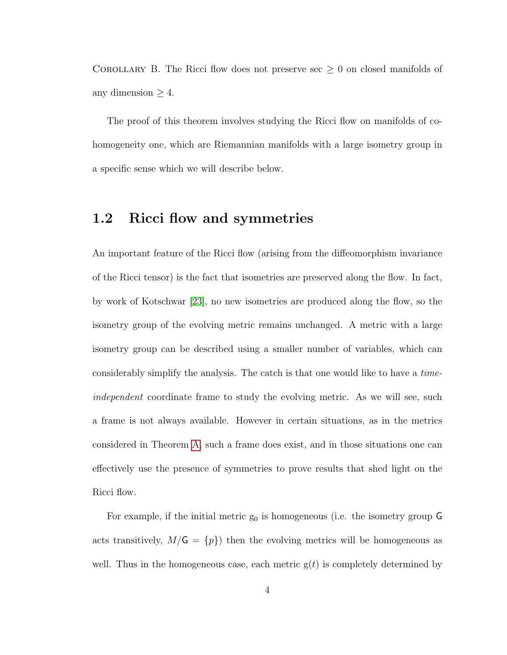COROLLARY B. The Ricci flow does not preserve sec  $\geq 0$  on closed manifolds of any dimension  $\geq 4$ .

The proof of this theorem involves studying the Ricci flow on manifolds of cohomogeneity one, which are Riemannian manifolds with a large isometry group in a specific sense which we will describe below.

## <span id="page-9-0"></span>1.2 Ricci flow and symmetries

An important feature of the Ricci flow (arising from the diffeomorphism invariance of the Ricci tensor) is the fact that isometries are preserved along the flow. In fact, by work of Kotschwar [\[23\]](#page-80-3), no new isometries are produced along the flow, so the isometry group of the evolving metric remains unchanged. A metric with a large isometry group can be described using a smaller number of variables, which can considerably simplify the analysis. The catch is that one would like to have a timeindependent coordinate frame to study the evolving metric. As we will see, such a frame is not always available. However in certain situations, as in the metrics considered in Theorem [A,](#page-8-0) such a frame does exist, and in those situations one can effectively use the presence of symmetries to prove results that shed light on the Ricci flow.

For example, if the initial metric  $g_0$  is homogeneous (i.e. the isometry group G acts transitively,  $M/\mathsf{G} = \{p\}$  then the evolving metrics will be homogeneous as well. Thus in the homogeneous case, each metric  $g(t)$  is completely determined by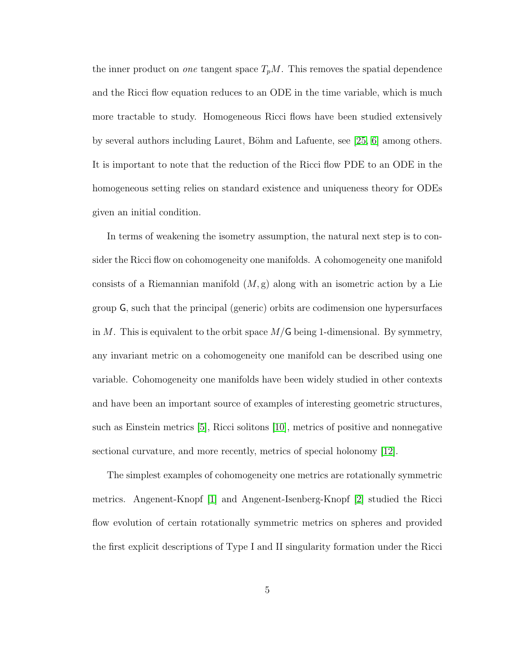the inner product on *one* tangent space  $T_pM$ . This removes the spatial dependence and the Ricci flow equation reduces to an ODE in the time variable, which is much more tractable to study. Homogeneous Ricci flows have been studied extensively by several authors including Lauret, Böhm and Lafuente, see  $[25, 6]$  $[25, 6]$  among others. It is important to note that the reduction of the Ricci flow PDE to an ODE in the homogeneous setting relies on standard existence and uniqueness theory for ODEs given an initial condition.

In terms of weakening the isometry assumption, the natural next step is to consider the Ricci flow on cohomogeneity one manifolds. A cohomogeneity one manifold consists of a Riemannian manifold  $(M, g)$  along with an isometric action by a Lie group G, such that the principal (generic) orbits are codimension one hypersurfaces in M. This is equivalent to the orbit space  $M/G$  being 1-dimensional. By symmetry, any invariant metric on a cohomogeneity one manifold can be described using one variable. Cohomogeneity one manifolds have been widely studied in other contexts and have been an important source of examples of interesting geometric structures, such as Einstein metrics [\[5\]](#page-77-3), Ricci solitons [\[10\]](#page-78-3), metrics of positive and nonnegative sectional curvature, and more recently, metrics of special holonomy [\[12\]](#page-78-4).

The simplest examples of cohomogeneity one metrics are rotationally symmetric metrics. Angenent-Knopf [\[1\]](#page-77-4) and Angenent-Isenberg-Knopf [\[2\]](#page-77-5) studied the Ricci flow evolution of certain rotationally symmetric metrics on spheres and provided the first explicit descriptions of Type I and II singularity formation under the Ricci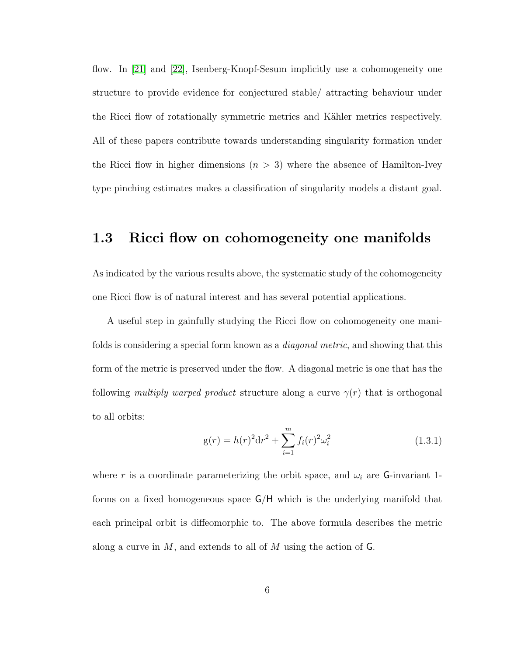flow. In [\[21\]](#page-79-1) and [\[22\]](#page-79-2), Isenberg-Knopf-Sesum implicitly use a cohomogeneity one structure to provide evidence for conjectured stable/ attracting behaviour under the Ricci flow of rotationally symmetric metrics and Kähler metrics respectively. All of these papers contribute towards understanding singularity formation under the Ricci flow in higher dimensions  $(n > 3)$  where the absence of Hamilton-Ivey type pinching estimates makes a classification of singularity models a distant goal.

# <span id="page-11-0"></span>1.3 Ricci flow on cohomogeneity one manifolds

As indicated by the various results above, the systematic study of the cohomogeneity one Ricci flow is of natural interest and has several potential applications.

A useful step in gainfully studying the Ricci flow on cohomogeneity one manifolds is considering a special form known as a *diagonal metric*, and showing that this form of the metric is preserved under the flow. A diagonal metric is one that has the following multiply warped product structure along a curve  $\gamma(r)$  that is orthogonal to all orbits:

$$
g(r) = h(r)^{2} dr^{2} + \sum_{i=1}^{m} f_{i}(r)^{2} \omega_{i}^{2}
$$
 (1.3.1)

where r is a coordinate parameterizing the orbit space, and  $\omega_i$  are G-invariant 1forms on a fixed homogeneous space G/H which is the underlying manifold that each principal orbit is diffeomorphic to. The above formula describes the metric along a curve in  $M$ , and extends to all of  $M$  using the action of  $\mathsf{G}$ .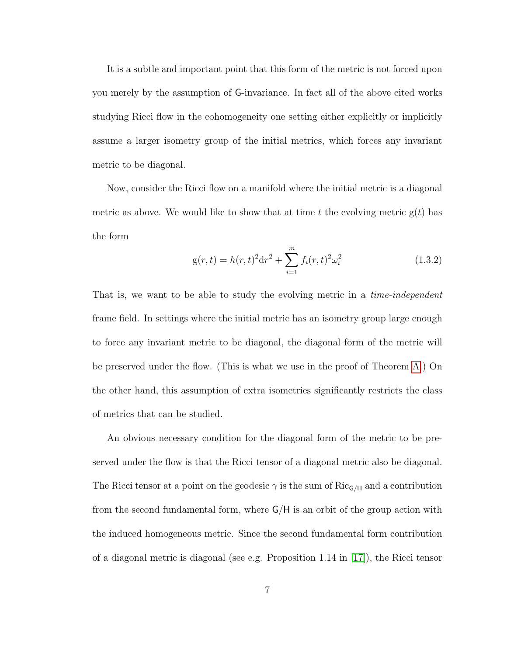It is a subtle and important point that this form of the metric is not forced upon you merely by the assumption of G-invariance. In fact all of the above cited works studying Ricci flow in the cohomogeneity one setting either explicitly or implicitly assume a larger isometry group of the initial metrics, which forces any invariant metric to be diagonal.

Now, consider the Ricci flow on a manifold where the initial metric is a diagonal metric as above. We would like to show that at time t the evolving metric  $g(t)$  has the form

$$
g(r,t) = h(r,t)^{2}dr^{2} + \sum_{i=1}^{m} f_{i}(r,t)^{2}\omega_{i}^{2}
$$
\n(1.3.2)

That is, we want to be able to study the evolving metric in a *time-independent* frame field. In settings where the initial metric has an isometry group large enough to force any invariant metric to be diagonal, the diagonal form of the metric will be preserved under the flow. (This is what we use in the proof of Theorem [A.](#page-8-0)) On the other hand, this assumption of extra isometries significantly restricts the class of metrics that can be studied.

An obvious necessary condition for the diagonal form of the metric to be preserved under the flow is that the Ricci tensor of a diagonal metric also be diagonal. The Ricci tensor at a point on the geodesic  $\gamma$  is the sum of Ric<sub>G/H</sub> and a contribution from the second fundamental form, where G/H is an orbit of the group action with the induced homogeneous metric. Since the second fundamental form contribution of a diagonal metric is diagonal (see e.g. Proposition 1.14 in [\[17\]](#page-79-3)), the Ricci tensor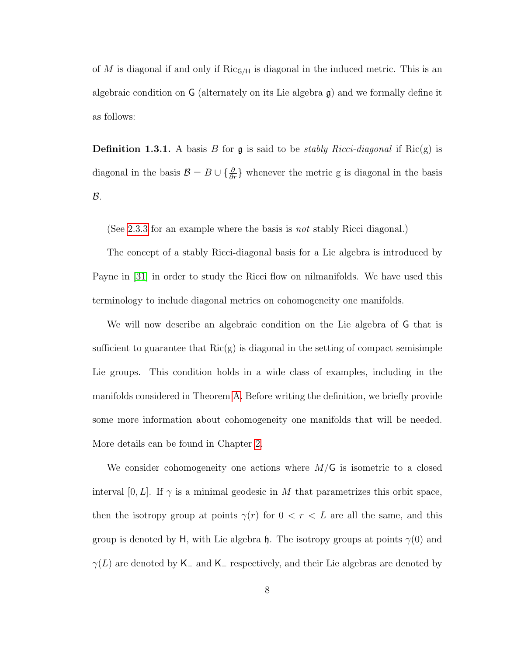of M is diagonal if and only if  $Ric_{\mathsf{G}/\mathsf{H}}$  is diagonal in the induced metric. This is an algebraic condition on G (alternately on its Lie algebra g) and we formally define it as follows:

**Definition 1.3.1.** A basis B for  $\mathfrak g$  is said to be *stably Ricci-diagonal* if Ric(g) is diagonal in the basis  $\mathcal{B} = B \cup \{\frac{\partial}{\partial r}\}\$  whenever the metric g is diagonal in the basis  $\mathcal{B}$ .

(See [2.3.3](#page-24-0) for an example where the basis is *not* stably Ricci diagonal.)

The concept of a stably Ricci-diagonal basis for a Lie algebra is introduced by Payne in [\[31\]](#page-80-5) in order to study the Ricci flow on nilmanifolds. We have used this terminology to include diagonal metrics on cohomogeneity one manifolds.

We will now describe an algebraic condition on the Lie algebra of G that is sufficient to guarantee that  $Ric(g)$  is diagonal in the setting of compact semisimple Lie groups. This condition holds in a wide class of examples, including in the manifolds considered in Theorem [A.](#page-8-0) Before writing the definition, we briefly provide some more information about cohomogeneity one manifolds that will be needed. More details can be found in Chapter [2.](#page-17-0)

We consider cohomogeneity one actions where  $M/G$  is isometric to a closed interval [0, L]. If  $\gamma$  is a minimal geodesic in M that parametrizes this orbit space, then the isotropy group at points  $\gamma(r)$  for  $0 < r < L$  are all the same, and this group is denoted by H, with Lie algebra h. The isotropy groups at points  $γ(0)$  and  $\gamma(L)$  are denoted by K<sub>-</sub> and K<sub>+</sub> respectively, and their Lie algebras are denoted by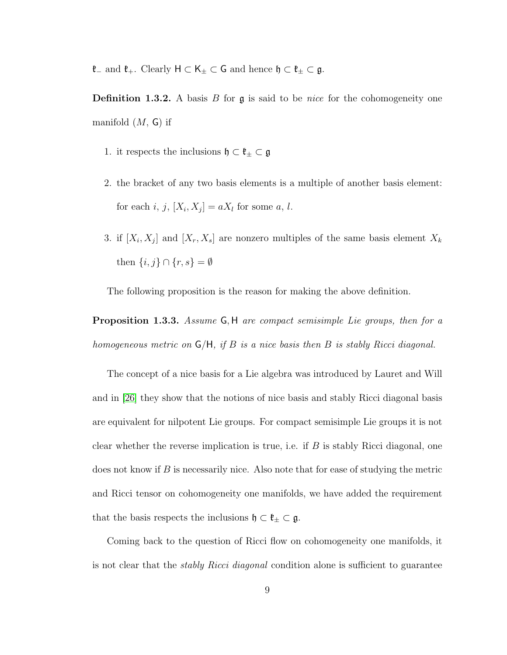$\mathfrak{k}_-$  and  $\mathfrak{k}_+ .$  Clearly  $\mathsf{H} \subset \mathsf{K}_\pm \subset \mathsf{G}$  and hence  $\mathfrak{h} \subset \mathfrak{k}_\pm \subset \mathfrak{g}.$ 

**Definition 1.3.2.** A basis  $B$  for  $\mathfrak{g}$  is said to be *nice* for the cohomogeneity one manifold  $(M, G)$  if

- 1. it respects the inclusions  $\mathfrak{h} \subset \mathfrak{k}_{\pm} \subset \mathfrak{g}$
- 2. the bracket of any two basis elements is a multiple of another basis element: for each i, j,  $[X_i, X_j] = aX_l$  for some a, l.
- 3. if  $[X_i, X_j]$  and  $[X_r, X_s]$  are nonzero multiples of the same basis element  $X_k$ then  $\{i, j\} \cap \{r, s\} = \emptyset$

The following proposition is the reason for making the above definition.

**Proposition 1.3.3.** Assume G, H are compact semisimple Lie groups, then for a homogeneous metric on  $G/H$ , if B is a nice basis then B is stably Ricci diagonal.

The concept of a nice basis for a Lie algebra was introduced by Lauret and Will and in [\[26\]](#page-80-6) they show that the notions of nice basis and stably Ricci diagonal basis are equivalent for nilpotent Lie groups. For compact semisimple Lie groups it is not clear whether the reverse implication is true, i.e. if  $B$  is stably Ricci diagonal, one does not know if  $B$  is necessarily nice. Also note that for ease of studying the metric and Ricci tensor on cohomogeneity one manifolds, we have added the requirement that the basis respects the inclusions  $\mathfrak{h} \subset \mathfrak{k}_{\pm} \subset \mathfrak{g}$ .

Coming back to the question of Ricci flow on cohomogeneity one manifolds, it is not clear that the *stably Ricci diagonal* condition alone is sufficient to guarantee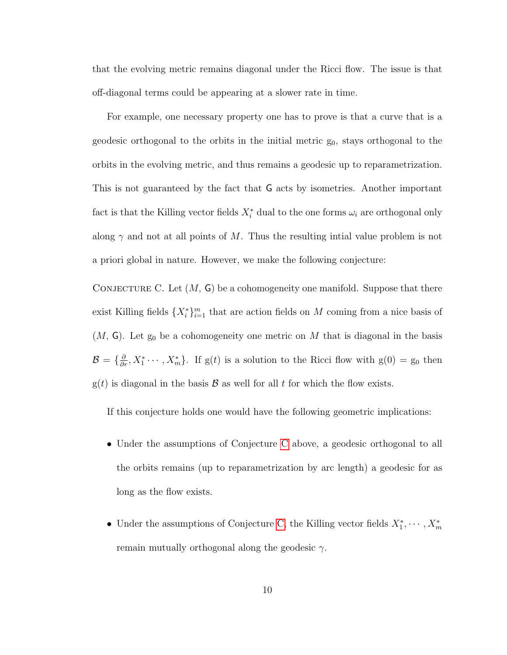that the evolving metric remains diagonal under the Ricci flow. The issue is that off-diagonal terms could be appearing at a slower rate in time.

For example, one necessary property one has to prove is that a curve that is a geodesic orthogonal to the orbits in the initial metric  $g_0$ , stays orthogonal to the orbits in the evolving metric, and thus remains a geodesic up to reparametrization. This is not guaranteed by the fact that G acts by isometries. Another important fact is that the Killing vector fields  $X_i^*$  dual to the one forms  $\omega_i$  are orthogonal only along  $\gamma$  and not at all points of M. Thus the resulting intial value problem is not a priori global in nature. However, we make the following conjecture:

<span id="page-15-0"></span>CONJECTURE C. Let  $(M, G)$  be a cohomogeneity one manifold. Suppose that there exist Killing fields  $\{X_i^*\}_{i=1}^m$  that are action fields on M coming from a nice basis of  $(M, G)$ . Let  $g_0$  be a cohomogeneity one metric on M that is diagonal in the basis  $\mathcal{B} = \{\frac{\partial}{\partial r}, X_1^* \cdots, X_m^*\}$ . If  $g(t)$  is a solution to the Ricci flow with  $g(0) = g_0$  then  $g(t)$  is diagonal in the basis  $\mathcal B$  as well for all t for which the flow exists.

If this conjecture holds one would have the following geometric implications:

- Under the assumptions of Conjecture [C](#page-15-0) above, a geodesic orthogonal to all the orbits remains (up to reparametrization by arc length) a geodesic for as long as the flow exists.
- Under the assumptions of Conjecture [C,](#page-15-0) the Killing vector fields  $X_1^*, \cdots, X_m^*$ remain mutually orthogonal along the geodesic  $γ$ .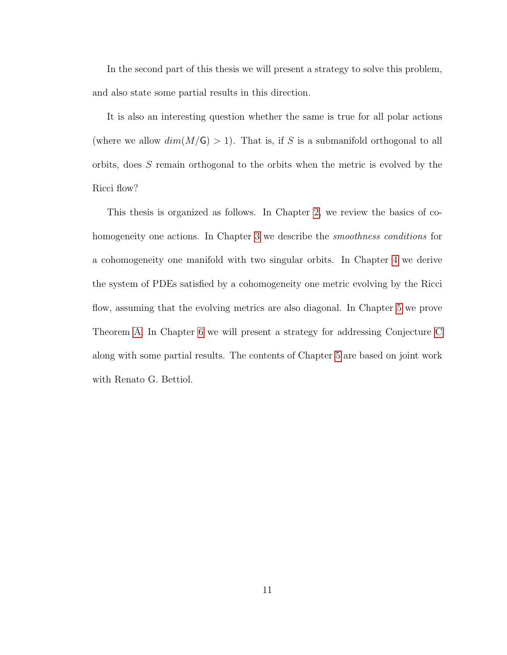In the second part of this thesis we will present a strategy to solve this problem, and also state some partial results in this direction.

It is also an interesting question whether the same is true for all polar actions (where we allow  $dim(M/\mathsf{G}) > 1$ ). That is, if S is a submanifold orthogonal to all orbits, does S remain orthogonal to the orbits when the metric is evolved by the Ricci flow?

This thesis is organized as follows. In Chapter [2,](#page-17-0) we review the basics of co-homogeneity one actions. In Chapter [3](#page-27-0) we describe the *smoothness conditions* for a cohomogeneity one manifold with two singular orbits. In Chapter [4](#page-37-0) we derive the system of PDEs satisfied by a cohomogeneity one metric evolving by the Ricci flow, assuming that the evolving metrics are also diagonal. In Chapter [5](#page-40-0) we prove Theorem [A.](#page-8-0) In Chapter [6](#page-56-0) we will present a strategy for addressing Conjecture [C](#page-15-0) along with some partial results. The contents of Chapter [5](#page-40-0) are based on joint work with Renato G. Bettiol.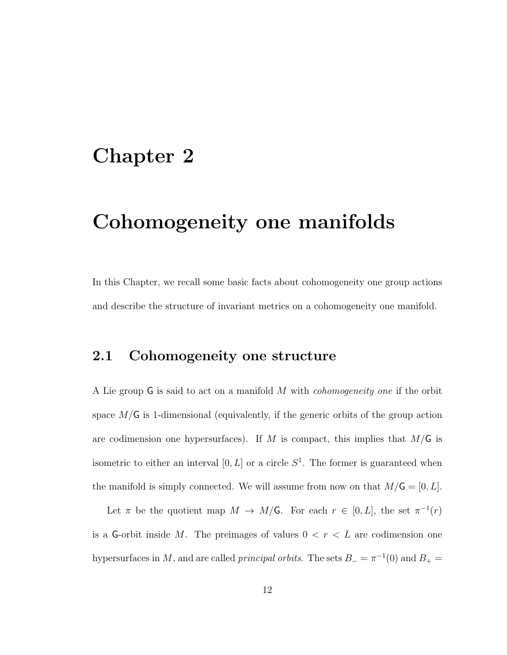# <span id="page-17-0"></span>Chapter 2

# Cohomogeneity one manifolds

In this Chapter, we recall some basic facts about cohomogeneity one group actions and describe the structure of invariant metrics on a cohomogeneity one manifold.

## <span id="page-17-1"></span>2.1 Cohomogeneity one structure

A Lie group G is said to act on a manifold M with cohomogeneity one if the orbit space  $M/G$  is 1-dimensional (equivalently, if the generic orbits of the group action are codimension one hypersurfaces). If M is compact, this implies that  $M/G$  is isometric to either an interval  $[0, L]$  or a circle  $S<sup>1</sup>$ . The former is guaranteed when the manifold is simply connected. We will assume from now on that  $M/\mathsf{G} = [0, L]$ .

Let  $\pi$  be the quotient map  $M \to M/G$ . For each  $r \in [0, L]$ , the set  $\pi^{-1}(r)$ is a G-orbit inside M. The preimages of values  $0 < r < L$  are codimension one hypersurfaces in M, and are called *principal orbits*. The sets  $B_ - = \pi^{-1}(0)$  and  $B_ + =$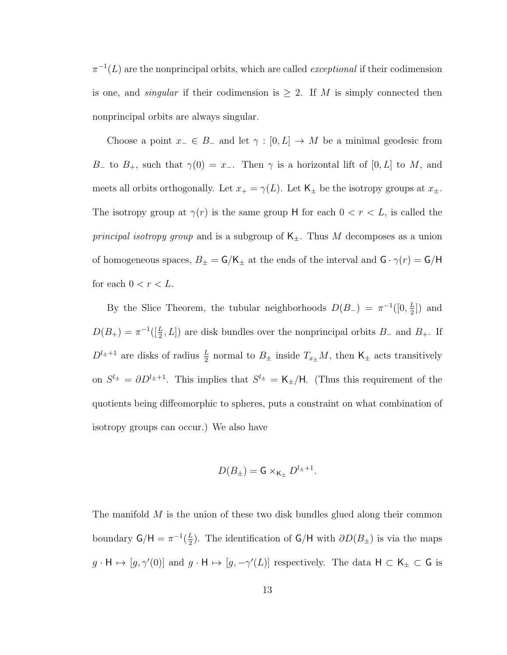$\pi^{-1}(L)$  are the nonprincipal orbits, which are called *exceptional* if their codimension is one, and *singular* if their codimension is  $\geq 2$ . If M is simply connected then nonprincipal orbits are always singular.

Choose a point  $x_-\in B_-\text{ and let } \gamma : [0, L] \to M$  be a minimal geodesic from B<sub>−</sub> to B<sub>+</sub>, such that  $\gamma(0) = x_$ −. Then  $\gamma$  is a horizontal lift of [0, L] to M, and meets all orbits orthogonally. Let  $x_+ = \gamma(L)$ . Let  $\mathsf{K}_{\pm}$  be the isotropy groups at  $x_{\pm}$ . The isotropy group at  $\gamma(r)$  is the same group H for each  $0 < r < L$ , is called the *principal isotropy group* and is a subgroup of  $K_{\pm}$ . Thus M decomposes as a union of homogeneous spaces,  $B_{\pm} = G/K_{\pm}$  at the ends of the interval and  $G \cdot \gamma(r) = G/H$ for each  $0 < r < L$ .

By the Slice Theorem, the tubular neighborhoods  $D(B_{-}) = \pi^{-1}([0, \frac{L}{2}])$  $\frac{L}{2}]$ ) and  $D(B_+) = \pi^{-1}([\frac{L}{2}, L])$  are disk bundles over the nonprincipal orbits  $B_-$  and  $B_+$ . If  $D^{l_{\pm}+1}$  are disks of radius  $\frac{L}{2}$  normal to  $B_{\pm}$  inside  $T_{x_{\pm}}M$ , then  $\mathsf{K}_{\pm}$  acts transitively on  $S^{l_{\pm}} = \partial D^{l_{\pm}+1}$ . This implies that  $S^{l_{\pm}} = \mathsf{K}_{\pm}/\mathsf{H}$ . (Thus this requirement of the quotients being diffeomorphic to spheres, puts a constraint on what combination of isotropy groups can occur.) We also have

$$
D(B_{\pm}) = \mathsf{G} \times_{\mathsf{K}_{\pm}} D^{l_{\pm}+1}.
$$

The manifold  $M$  is the union of these two disk bundles glued along their common boundary  $\mathsf{G}/\mathsf{H} = \pi^{-1}(\frac{L}{2})$  $\frac{L}{2}$ ). The identification of  $\mathsf{G}/\mathsf{H}$  with  $\partial D(B_{\pm})$  is via the maps  $g \cdot \mathsf{H} \mapsto [g, \gamma'(0)]$  and  $g \cdot \mathsf{H} \mapsto [g, -\gamma'(L)]$  respectively. The data  $\mathsf{H} \subset \mathsf{K}_{\pm} \subset \mathsf{G}$  is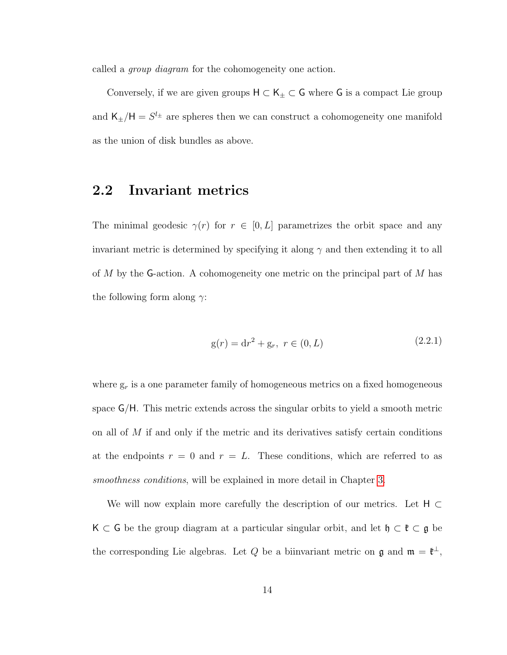called a *group diagram* for the cohomogeneity one action.

Conversely, if we are given groups  $\mathsf{H} \subset \mathsf{K}_\pm \subset \mathsf{G}$  where  $\mathsf{G}$  is a compact Lie group and  $\mathsf{K}_{\pm}/\mathsf{H} = S^{l_{\pm}}$  are spheres then we can construct a cohomogeneity one manifold as the union of disk bundles as above.

# <span id="page-19-0"></span>2.2 Invariant metrics

The minimal geodesic  $\gamma(r)$  for  $r \in [0, L]$  parametrizes the orbit space and any invariant metric is determined by specifying it along  $\gamma$  and then extending it to all of M by the G-action. A cohomogeneity one metric on the principal part of M has the following form along  $\gamma$ :

$$
g(r) = dr2 + gr, r \in (0, L)
$$
 (2.2.1)

where  $g_r$  is a one parameter family of homogeneous metrics on a fixed homogeneous space G/H. This metric extends across the singular orbits to yield a smooth metric on all of  $M$  if and only if the metric and its derivatives satisfy certain conditions at the endpoints  $r = 0$  and  $r = L$ . These conditions, which are referred to as smoothness conditions, will be explained in more detail in Chapter [3.](#page-27-0)

We will now explain more carefully the description of our metrics. Let  $H \subset$ K ⊂ G be the group diagram at a particular singular orbit, and let  $\mathfrak{h} \subset \mathfrak{k} \subset \mathfrak{g}$  be the corresponding Lie algebras. Let Q be a biinvariant metric on  $\mathfrak g$  and  $\mathfrak m = \mathfrak k^{\perp}$ ,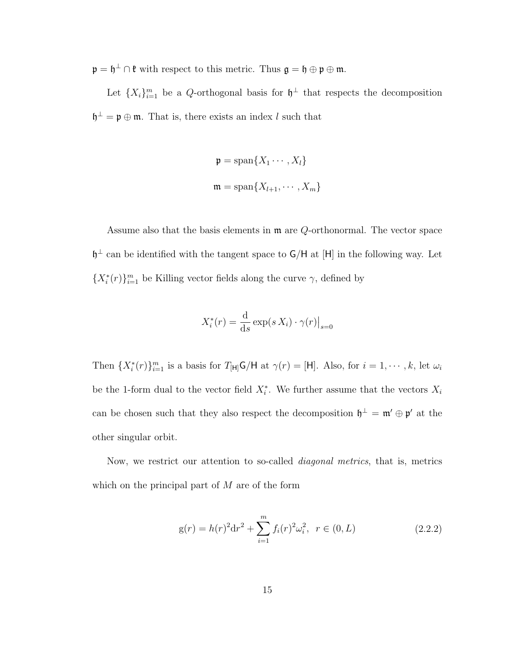$\mathfrak{p} = \mathfrak{h}^{\perp} \cap \mathfrak{k}$  with respect to this metric. Thus  $\mathfrak{g} = \mathfrak{h} \oplus \mathfrak{p} \oplus \mathfrak{m}$ .

Let  $\{X_i\}_{i=1}^m$  be a Q-orthogonal basis for  $\mathfrak{h}^{\perp}$  that respects the decomposition  $\mathfrak{h}^{\perp} = \mathfrak{p} \oplus \mathfrak{m}$ . That is, there exists an index l such that

$$
\mathfrak{p} = \text{span}\{X_1 \cdots, X_l\}
$$

$$
\mathfrak{m} = \text{span}\{X_{l+1}, \cdots, X_m\}
$$

Assume also that the basis elements in  $\mathfrak{m}$  are Q-orthonormal. The vector space  $\mathfrak{h}^{\perp}$  can be identified with the tangent space to  $\mathsf{G}/\mathsf{H}$  at  $[\mathsf{H}]$  in the following way. Let  ${X_i^*(r)}_{i=1}^m$  be Killing vector fields along the curve  $\gamma$ , defined by

$$
X_i^*(r) = \frac{\mathrm{d}}{\mathrm{d}s} \exp(s X_i) \cdot \gamma(r) \big|_{s=0}
$$

Then  $\{X_i^*(r)\}_{i=1}^m$  is a basis for  $T_{[H]}G/H$  at  $\gamma(r) = [H]$ . Also, for  $i = 1, \dots, k$ , let  $\omega_i$ be the 1-form dual to the vector field  $X_i^*$ . We further assume that the vectors  $X_i$ can be chosen such that they also respect the decomposition  $\mathfrak{h}^{\perp} = \mathfrak{m}' \oplus \mathfrak{p}'$  at the other singular orbit.

Now, we restrict our attention to so-called diagonal metrics, that is, metrics which on the principal part of M are of the form

<span id="page-20-0"></span>
$$
g(r) = h(r)^{2} dr^{2} + \sum_{i=1}^{m} f_{i}(r)^{2} \omega_{i}^{2}, \ r \in (0, L)
$$
 (2.2.2)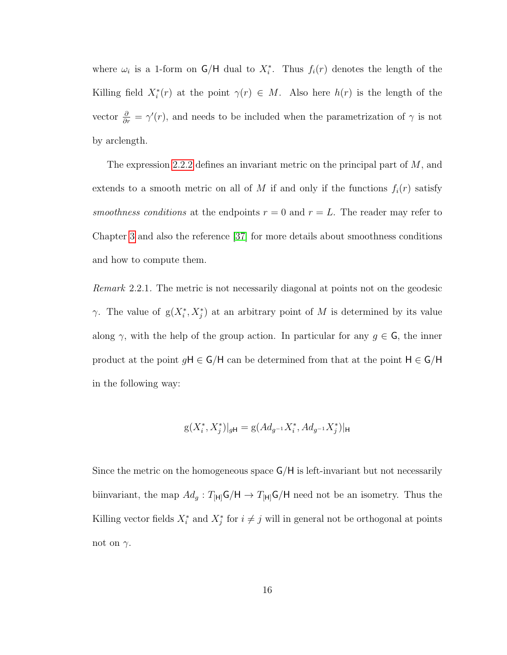where  $\omega_i$  is a 1-form on  $\mathsf{G}/\mathsf{H}$  dual to  $X_i^*$ . Thus  $f_i(r)$  denotes the length of the Killing field  $X_i^*(r)$  at the point  $\gamma(r) \in M$ . Also here  $h(r)$  is the length of the vector  $\frac{\partial}{\partial r} = \gamma'(r)$ , and needs to be included when the parametrization of  $\gamma$  is not by arclength.

The expression [2.2.2](#page-20-0) defines an invariant metric on the principal part of  $M$ , and extends to a smooth metric on all of M if and only if the functions  $f_i(r)$  satisfy smoothness conditions at the endpoints  $r = 0$  and  $r = L$ . The reader may refer to Chapter [3](#page-27-0) and also the reference [\[37\]](#page-81-1) for more details about smoothness conditions and how to compute them.

Remark 2.2.1. The metric is not necessarily diagonal at points not on the geodesic  $\gamma$ . The value of  $g(X_i^*, X_j^*)$  at an arbitrary point of M is determined by its value along  $\gamma$ , with the help of the group action. In particular for any  $g \in \mathsf{G}$ , the inner product at the point  $gH \in G/H$  can be determined from that at the point  $H \in G/H$ in the following way:

$$
g(X_i^*, X_j^*)|_{g\mathsf{H}} = g(Ad_{g^{-1}}X_i^*, Ad_{g^{-1}}X_j^*)|_{\mathsf{H}}
$$

Since the metric on the homogeneous space G/H is left-invariant but not necessarily biinvariant, the map  $Ad_g: T_{[H]}G/H \to T_{[H]}G/H$  need not be an isometry. Thus the Killing vector fields  $X_i^*$  and  $X_j^*$  for  $i \neq j$  will in general not be orthogonal at points not on  $\gamma$ .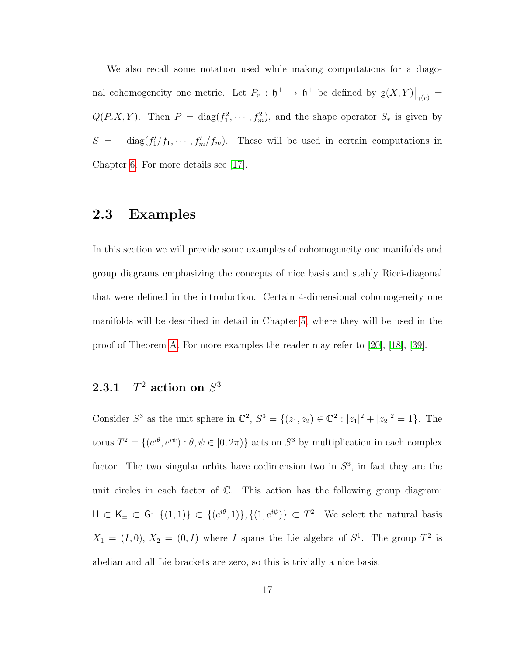We also recall some notation used while making computations for a diagonal cohomogeneity one metric. Let  $P_r : \mathfrak{h}^\perp \to \mathfrak{h}^\perp$  be defined by  $g(X,Y)|_{\gamma(r)} =$  $Q(P_rX,Y)$ . Then  $P = \text{diag}(f_1^2, \dots, f_m^2)$ , and the shape operator  $S_r$  is given by  $S = -\text{diag}(f_1/f_1, \dots, f_m/f_m)$ . These will be used in certain computations in Chapter [6.](#page-56-0) For more details see [\[17\]](#page-79-3).

## <span id="page-22-0"></span>2.3 Examples

In this section we will provide some examples of cohomogeneity one manifolds and group diagrams emphasizing the concepts of nice basis and stably Ricci-diagonal that were defined in the introduction. Certain 4-dimensional cohomogeneity one manifolds will be described in detail in Chapter [5,](#page-40-0) where they will be used in the proof of Theorem [A.](#page-8-0) For more examples the reader may refer to [\[20\]](#page-79-4), [\[18\]](#page-79-5), [\[39\]](#page-81-2).

#### $2.3.1$  $^2$  action on  $S^3$

Consider  $S^3$  as the unit sphere in  $\mathbb{C}^2$ ,  $S^3 = \{(z_1, z_2) \in \mathbb{C}^2 : |z_1|^2 + |z_2|^2 = 1\}$ . The torus  $T^2 = \{ (e^{i\theta}, e^{i\psi}) : \theta, \psi \in [0, 2\pi) \}$  acts on  $S^3$  by multiplication in each complex factor. The two singular orbits have codimension two in  $S<sup>3</sup>$ , in fact they are the unit circles in each factor of C. This action has the following group diagram:  $H \subset K_{\pm} \subset G: \{(1,1)\} \subset \{(e^{i\theta},1)\}, \{(1,e^{i\psi})\} \subset T^2$ . We select the natural basis  $X_1 = (I, 0), X_2 = (0, I)$  where I spans the Lie algebra of  $S^1$ . The group  $T^2$  is abelian and all Lie brackets are zero, so this is trivially a nice basis.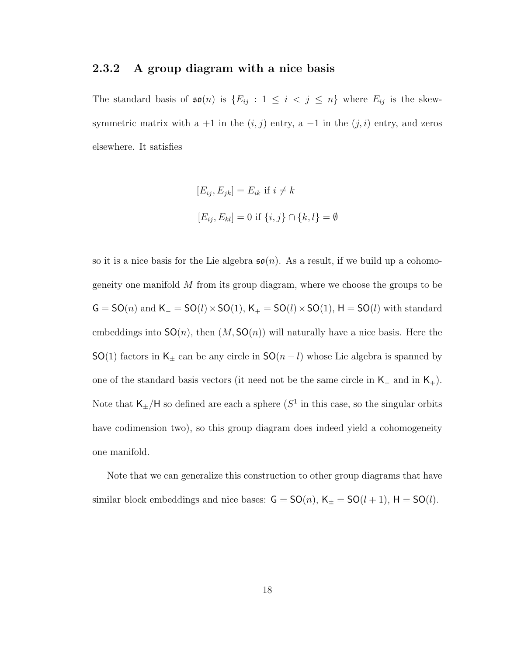### 2.3.2 A group diagram with a nice basis

The standard basis of  $\mathfrak{so}(n)$  is  $\{E_{ij} : 1 \leq i < j \leq n\}$  where  $E_{ij}$  is the skewsymmetric matrix with a +1 in the  $(i, j)$  entry, a -1 in the  $(j, i)$  entry, and zeros elsewhere. It satisfies

$$
[E_{ij}, E_{jk}] = E_{ik} \text{ if } i \neq k
$$
  

$$
[E_{ij}, E_{kl}] = 0 \text{ if } \{i, j\} \cap \{k, l\} = \emptyset
$$

so it is a nice basis for the Lie algebra  $\mathfrak{so}(n)$ . As a result, if we build up a cohomogeneity one manifold M from its group diagram, where we choose the groups to be  $G = SO(n)$  and  $K = SO(l) \times SO(1)$ ,  $K_+ = SO(l) \times SO(1)$ ,  $H = SO(l)$  with standard embeddings into  $SO(n)$ , then  $(M, SO(n))$  will naturally have a nice basis. Here the SO(1) factors in K<sub>±</sub> can be any circle in SO( $n - l$ ) whose Lie algebra is spanned by one of the standard basis vectors (it need not be the same circle in  $K_-\$  and in  $K_+$ ). Note that  $\mathsf{K}_{\pm}/\mathsf{H}$  so defined are each a sphere  $(S^1$  in this case, so the singular orbits have codimension two), so this group diagram does indeed yield a cohomogeneity one manifold.

Note that we can generalize this construction to other group diagrams that have similar block embeddings and nice bases:  $G = SO(n)$ ,  $K_{\pm} = SO(l+1)$ ,  $H = SO(l)$ .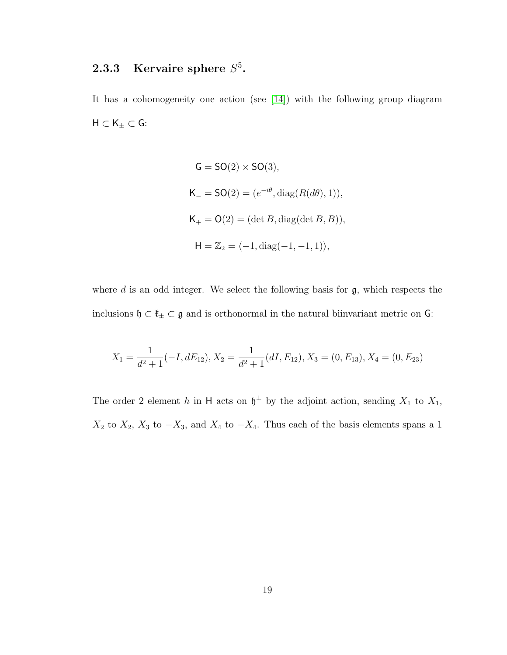## <span id="page-24-0"></span>2.3.3 Kervaire sphere  $S^5$ .

It has a cohomogeneity one action (see [\[14\]](#page-78-5)) with the following group diagram  $\mathsf{H} \subset \mathsf{K}_{\pm} \subset \mathsf{G}$  :

$$
G = SO(2) \times SO(3),
$$
  
\n
$$
K_{-} = SO(2) = (e^{-i\theta}, \text{diag}(R(d\theta), 1)),
$$
  
\n
$$
K_{+} = O(2) = (\det B, \text{diag}(\det B, B)),
$$
  
\n
$$
H = \mathbb{Z}_{2} = \langle -1, \text{diag}(-1, -1, 1) \rangle,
$$

where  $d$  is an odd integer. We select the following basis for  $\mathfrak{g}$ , which respects the inclusions  $\mathfrak{h}\subset\mathfrak{k}_\pm\subset\mathfrak{g}$  and is orthonormal in the natural biinvariant metric on  $\mathsf{G}\colon$ 

$$
X_1 = \frac{1}{d^2 + 1}(-I, dE_{12}), X_2 = \frac{1}{d^2 + 1}(dI, E_{12}), X_3 = (0, E_{13}), X_4 = (0, E_{23})
$$

The order 2 element h in H acts on  $\mathfrak{h}^{\perp}$  by the adjoint action, sending  $X_1$  to  $X_1$ ,  $X_2$  to  $X_2$ ,  $X_3$  to  $-X_3$ , and  $X_4$  to  $-X_4$ . Thus each of the basis elements spans a 1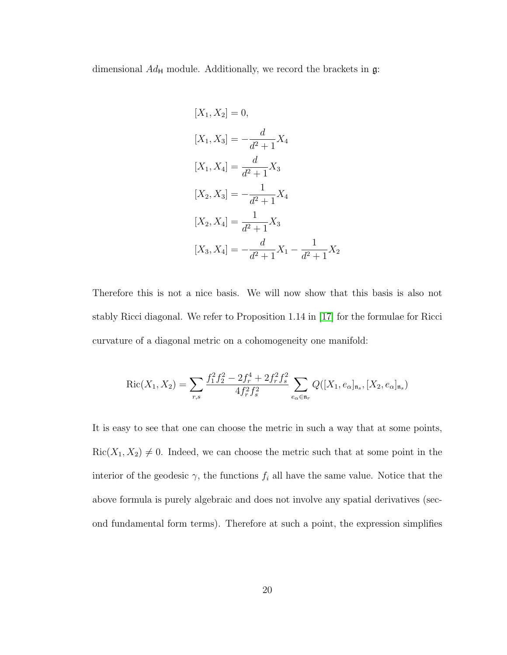dimensional  $Ad_{\mathsf{H}}$  module. Additionally, we record the brackets in  $\mathfrak{g}$ :

$$
[X_1, X_2] = 0,
$$
  
\n
$$
[X_1, X_3] = -\frac{d}{d^2 + 1} X_4
$$
  
\n
$$
[X_1, X_4] = \frac{d}{d^2 + 1} X_3
$$
  
\n
$$
[X_2, X_3] = -\frac{1}{d^2 + 1} X_4
$$
  
\n
$$
[X_2, X_4] = \frac{1}{d^2 + 1} X_3
$$
  
\n
$$
[X_3, X_4] = -\frac{d}{d^2 + 1} X_1 - \frac{1}{d^2 + 1} X_2
$$

Therefore this is not a nice basis. We will now show that this basis is also not stably Ricci diagonal. We refer to Proposition 1.14 in [\[17\]](#page-79-3) for the formulae for Ricci curvature of a diagonal metric on a cohomogeneity one manifold:

$$
Ric(X_1, X_2) = \sum_{r,s} \frac{f_1^2 f_2^2 - 2f_r^4 + 2f_r^2 f_s^2}{4f_r^2 f_s^2} \sum_{e_\alpha \in \mathfrak{n}_r} Q([X_1, e_\alpha]_{\mathfrak{n}_s}, [X_2, e_\alpha]_{\mathfrak{n}_s})
$$

It is easy to see that one can choose the metric in such a way that at some points,  $Ric(X_1, X_2) \neq 0$ . Indeed, we can choose the metric such that at some point in the interior of the geodesic  $\gamma$ , the functions  $f_i$  all have the same value. Notice that the above formula is purely algebraic and does not involve any spatial derivatives (second fundamental form terms). Therefore at such a point, the expression simplifies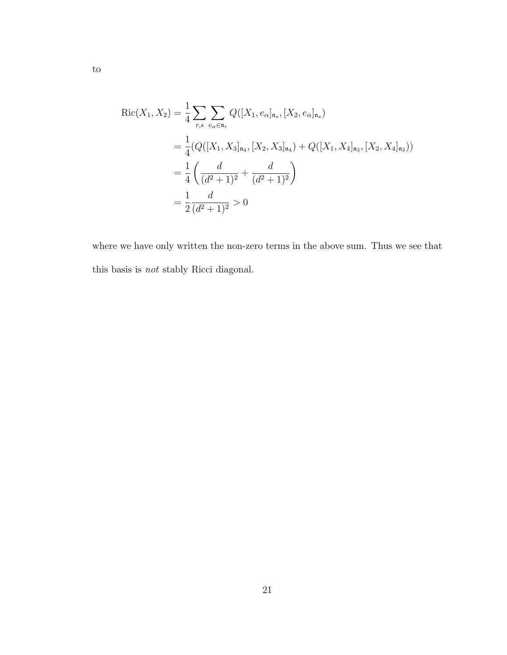$$
Ric(X_1, X_2) = \frac{1}{4} \sum_{r,s} \sum_{e_{\alpha} \in \mathfrak{n}_r} Q([X_1, e_{\alpha}]_{\mathfrak{n}_s}, [X_2, e_{\alpha}]_{\mathfrak{n}_s})
$$
  
= 
$$
\frac{1}{4} (Q([X_1, X_3]_{\mathfrak{n}_4}, [X_2, X_3]_{\mathfrak{n}_4}) + Q([X_1, X_4]_{\mathfrak{n}_3}, [X_2, X_4]_{\mathfrak{n}_3}))
$$
  
= 
$$
\frac{1}{4} \left( \frac{d}{(d^2+1)^2} + \frac{d}{(d^2+1)^2} \right)
$$
  
= 
$$
\frac{1}{2} \frac{d}{(d^2+1)^2} > 0
$$

where we have only written the non-zero terms in the above sum. Thus we see that this basis is not stably Ricci diagonal.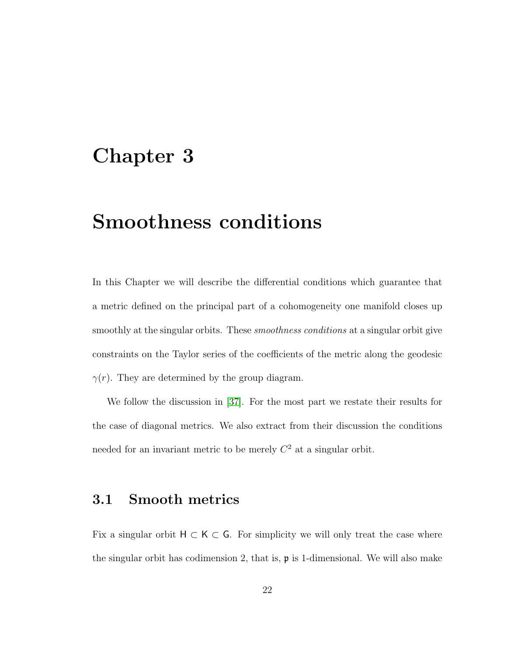# <span id="page-27-0"></span>Chapter 3

# Smoothness conditions

In this Chapter we will describe the differential conditions which guarantee that a metric defined on the principal part of a cohomogeneity one manifold closes up smoothly at the singular orbits. These *smoothness conditions* at a singular orbit give constraints on the Taylor series of the coefficients of the metric along the geodesic  $\gamma(r)$ . They are determined by the group diagram.

We follow the discussion in [\[37\]](#page-81-1). For the most part we restate their results for the case of diagonal metrics. We also extract from their discussion the conditions needed for an invariant metric to be merely  $C<sup>2</sup>$  at a singular orbit.

## <span id="page-27-1"></span>3.1 Smooth metrics

Fix a singular orbit  $H \subset K \subset G$ . For simplicity we will only treat the case where the singular orbit has codimension 2, that is,  $\mathfrak{p}$  is 1-dimensional. We will also make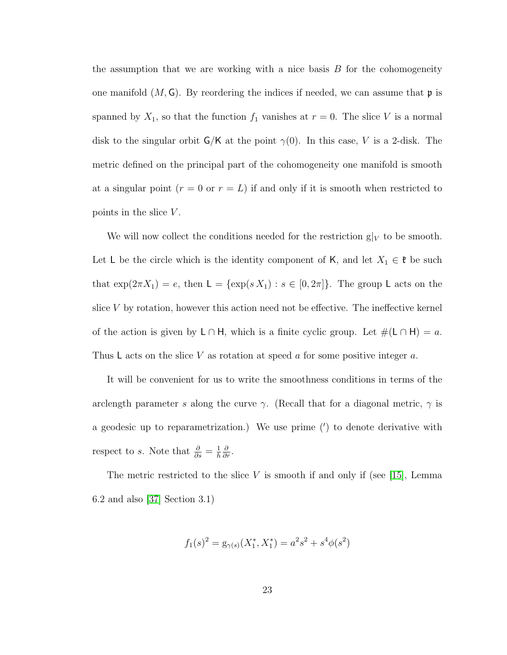the assumption that we are working with a nice basis  $B$  for the cohomogeneity one manifold  $(M, G)$ . By reordering the indices if needed, we can assume that  $\mathfrak{p}$  is spanned by  $X_1$ , so that the function  $f_1$  vanishes at  $r = 0$ . The slice V is a normal disk to the singular orbit  $G/K$  at the point  $\gamma(0)$ . In this case, V is a 2-disk. The metric defined on the principal part of the cohomogeneity one manifold is smooth at a singular point  $(r = 0 \text{ or } r = L)$  if and only if it is smooth when restricted to points in the slice  $V$ .

We will now collect the conditions needed for the restriction  $g|_V$  to be smooth. Let L be the circle which is the identity component of K, and let  $X_1 \in \mathfrak{k}$  be such that  $\exp(2\pi X_1) = e$ , then  $\mathsf{L} = {\exp(s X_1) : s \in [0, 2\pi]}$ . The group L acts on the slice V by rotation, however this action need not be effective. The ineffective kernel of the action is given by  $\mathsf{L} \cap \mathsf{H}$ , which is a finite cyclic group. Let  $\#(\mathsf{L} \cap \mathsf{H}) = a$ . Thus L acts on the slice V as rotation at speed  $a$  for some positive integer  $a$ .

It will be convenient for us to write the smoothness conditions in terms of the arclength parameter s along the curve  $\gamma$ . (Recall that for a diagonal metric,  $\gamma$  is a geodesic up to reparametrization.) We use prime  $(')$  to denote derivative with respect to s. Note that  $\frac{\partial}{\partial s} = \frac{1}{h}$ h  $\frac{\partial}{\partial r}$ .

The metric restricted to the slice  $V$  is smooth if and only if (see [\[15\]](#page-79-6), Lemma 6.2 and also [\[37\]](#page-81-1) Section 3.1)

$$
f_1(s)^2 = g_{\gamma(s)}(X_1^*, X_1^*) = a^2 s^2 + s^4 \phi(s^2)
$$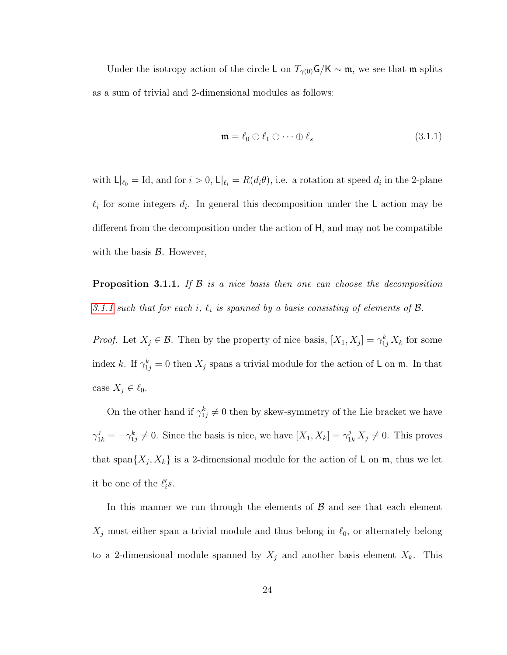Under the isotropy action of the circle L on  $T_{\gamma(0)}$ G/K ∼ m, we see that m splits as a sum of trivial and 2-dimensional modules as follows:

<span id="page-29-0"></span>
$$
\mathfrak{m} = \ell_0 \oplus \ell_1 \oplus \cdots \oplus \ell_s \tag{3.1.1}
$$

with  $\mathsf{L}|_{\ell_0} = \mathrm{Id}$ , and for  $i > 0$ ,  $\mathsf{L}|_{\ell_i} = R(d_i \theta)$ , i.e. a rotation at speed  $d_i$  in the 2-plane  $\ell_i$  for some integers  $d_i$ . In general this decomposition under the L action may be different from the decomposition under the action of H, and may not be compatible with the basis  $\beta$ . However,

**Proposition 3.1.1.** If  $\beta$  is a nice basis then one can choose the decomposition [3.1.1](#page-29-0) such that for each i,  $\ell_i$  is spanned by a basis consisting of elements of  $\mathcal{B}$ .

*Proof.* Let  $X_j \in \mathcal{B}$ . Then by the property of nice basis,  $[X_1, X_j] = \gamma_{1j}^k X_k$  for some index k. If  $\gamma_{1j}^k = 0$  then  $X_j$  spans a trivial module for the action of L on m. In that case  $X_j \in \ell_0$ .

On the other hand if  $\gamma_{1j}^k \neq 0$  then by skew-symmetry of the Lie bracket we have  $\gamma_{1k}^j = -\gamma_{1j}^k \neq 0$ . Since the basis is nice, we have  $[X_1, X_k] = \gamma_{1k}^j X_j \neq 0$ . This proves that span $\{X_j, X_k\}$  is a 2-dimensional module for the action of L on  $\mathfrak{m}$ , thus we let it be one of the  $\ell_i's$ .

In this manner we run through the elements of  $\beta$  and see that each element  $X_j$  must either span a trivial module and thus belong in  $\ell_0$ , or alternately belong to a 2-dimensional module spanned by  $X_j$  and another basis element  $X_k$ . This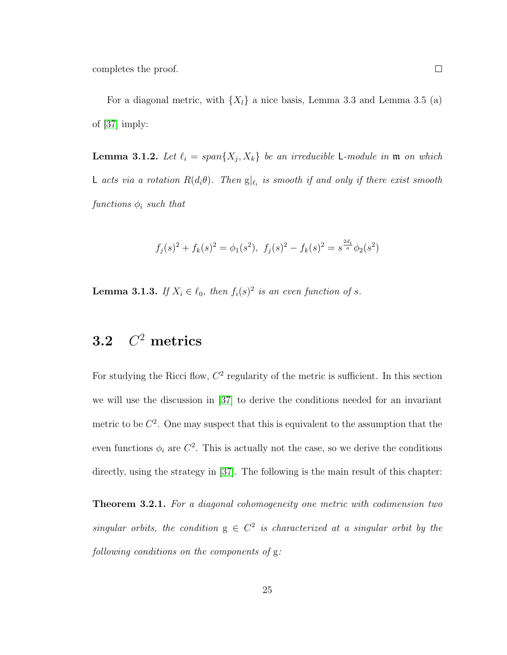completes the proof.

For a diagonal metric, with  $\{X_l\}$  a nice basis, Lemma 3.3 and Lemma 3.5 (a) of [\[37\]](#page-81-1) imply:

**Lemma 3.1.2.** Let  $\ell_i = span\{X_j, X_k\}$  be an irreducible L-module in  $\mathfrak{m}$  on which L acts via a rotation  $R(d_i\theta)$ . Then  $g|_{\ell_i}$  is smooth if and only if there exist smooth functions  $\phi_i$  such that

$$
f_j(s)^2 + f_k(s)^2 = \phi_1(s^2), \ f_j(s)^2 - f_k(s)^2 = s^{\frac{2d_j}{a}} \phi_2(s^2)
$$

**Lemma 3.1.3.** If  $X_i \in \ell_0$ , then  $f_i(s)^2$  is an even function of s.

### <span id="page-30-0"></span>3.2 C  $C^2$  metrics

For studying the Ricci flow,  $C<sup>2</sup>$  regularity of the metric is sufficient. In this section we will use the discussion in [\[37\]](#page-81-1) to derive the conditions needed for an invariant metric to be  $C^2$ . One may suspect that this is equivalent to the assumption that the even functions  $\phi_i$  are  $C^2$ . This is actually not the case, so we derive the conditions directly, using the strategy in [\[37\]](#page-81-1). The following is the main result of this chapter:

**Theorem 3.2.1.** For a diagonal cohomogeneity one metric with codimension two singular orbits, the condition  $g \in C^2$  is characterized at a singular orbit by the following conditions on the components of g: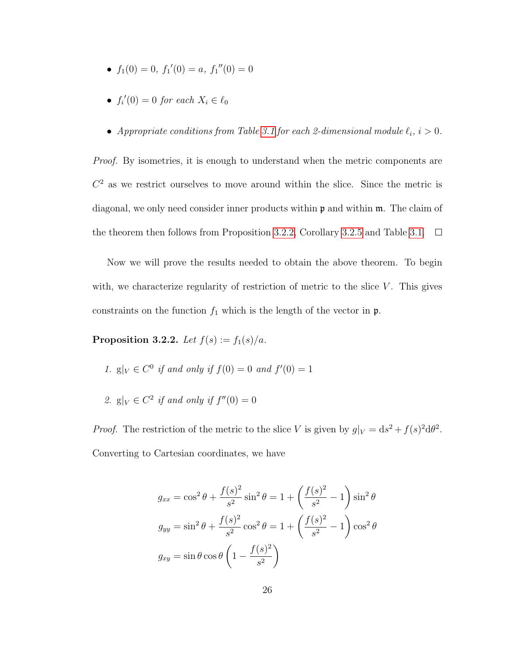- $f_1(0) = 0$ ,  $f_1'(0) = a$ ,  $f_1''(0) = 0$
- $f_i'(0) = 0$  for each  $X_i \in \ell_0$
- Appropriate conditions from Table [3.1](#page-36-0) for each 2-dimensional module  $\ell_i, i > 0$ .

*Proof.* By isometries, it is enough to understand when the metric components are  $C<sup>2</sup>$  as we restrict ourselves to move around within the slice. Since the metric is diagonal, we only need consider inner products within  $\mathfrak{p}$  and within  $\mathfrak{m}$ . The claim of the theorem then follows from Proposition [3.2.2,](#page-31-0) Corollary [3.2.5](#page-36-1) and Table [3.1.](#page-36-0)  $\Box$ 

Now we will prove the results needed to obtain the above theorem. To begin with, we characterize regularity of restriction of metric to the slice  $V$ . This gives constraints on the function  $f_1$  which is the length of the vector in  $\mathfrak{p}$ .

<span id="page-31-0"></span>Proposition 3.2.2. Let  $f(s) := f_1(s)/a$ .

1. 
$$
g|_V \in C^0
$$
 if and only if  $f(0) = 0$  and  $f'(0) = 1$ 

2.  $g|_V \in C^2$  if and only if  $f''(0) = 0$ 

*Proof.* The restriction of the metric to the slice V is given by  $g|_V = ds^2 + f(s)^2 d\theta^2$ . Converting to Cartesian coordinates, we have

$$
g_{xx} = \cos^2 \theta + \frac{f(s)^2}{s^2} \sin^2 \theta = 1 + \left(\frac{f(s)^2}{s^2} - 1\right) \sin^2 \theta
$$
  

$$
g_{yy} = \sin^2 \theta + \frac{f(s)^2}{s^2} \cos^2 \theta = 1 + \left(\frac{f(s)^2}{s^2} - 1\right) \cos^2 \theta
$$
  

$$
g_{xy} = \sin \theta \cos \theta \left(1 - \frac{f(s)^2}{s^2}\right)
$$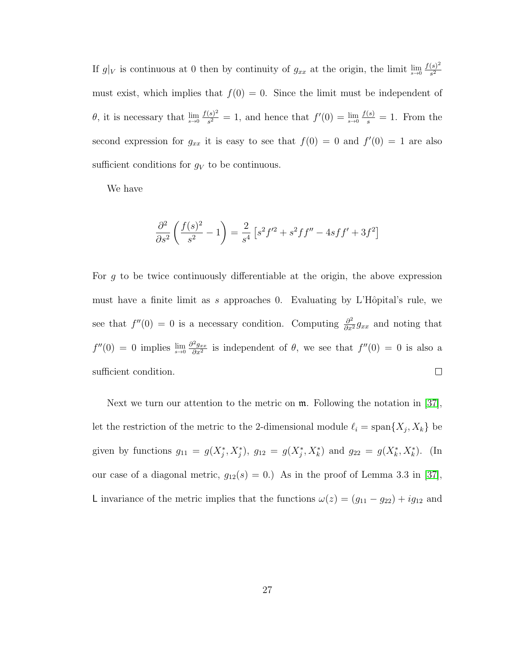If  $g|_V$  is continuous at 0 then by continuity of  $g_{xx}$  at the origin, the limit  $\lim_{s\to 0} \frac{f(s)^2}{s^2}$  $s^2$ must exist, which implies that  $f(0) = 0$ . Since the limit must be independent of  $\theta$ , it is necessary that  $\lim_{s\to 0} \frac{f(s)^2}{s^2}$  $\frac{(s)^2}{s^2} = 1$ , and hence that  $f'(0) = \lim_{s \to 0} \frac{f(s)}{s} = 1$ . From the second expression for  $g_{xx}$  it is easy to see that  $f(0) = 0$  and  $f'(0) = 1$  are also sufficient conditions for  $q_V$  to be continuous.

We have

$$
\frac{\partial^2}{\partial s^2} \left( \frac{f(s)^2}{s^2} - 1 \right) = \frac{2}{s^4} \left[ s^2 f'^2 + s^2 f f'' - 4s f f' + 3f^2 \right]
$$

For g to be twice continuously differentiable at the origin, the above expression must have a finite limit as s approaches 0. Evaluating by L'Hôpital's rule, we see that  $f''(0) = 0$  is a necessary condition. Computing  $\frac{\partial^2}{\partial x^2} g_{xx}$  and noting that  $f''(0) = 0$  implies  $\lim_{s\to 0} \frac{\partial^2 g_{xx}}{\partial x^2}$  $\frac{\partial^2 g_{xx}}{\partial x^2}$  is independent of  $\theta$ , we see that  $f''(0) = 0$  is also a sufficient condition.  $\Box$ 

Next we turn our attention to the metric on m. Following the notation in [\[37\]](#page-81-1), let the restriction of the metric to the 2-dimensional module  $\ell_i = \text{span}\{X_j, X_k\}$  be given by functions  $g_{11} = g(X_j^*, X_j^*)$ ,  $g_{12} = g(X_j^*, X_k^*)$  and  $g_{22} = g(X_k^*, X_k^*)$ . (In our case of a diagonal metric,  $g_{12}(s) = 0$ .) As in the proof of Lemma 3.3 in [\[37\]](#page-81-1), L invariance of the metric implies that the functions  $\omega(z) = (g_{11} - g_{22}) + ig_{12}$  and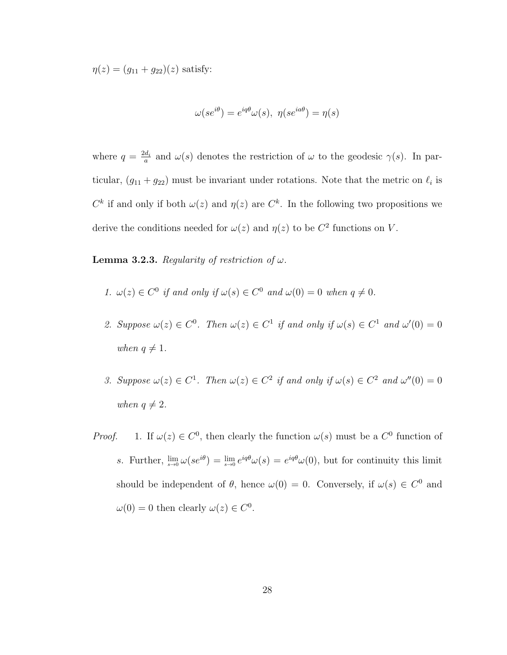$\eta(z) = (g_{11} + g_{22})(z)$  satisfy:

$$
\omega(se^{i\theta})=e^{iq\theta}\omega(s),\ \eta(se^{ia\theta})=\eta(s)
$$

where  $q = \frac{2d_i}{q}$  $\frac{d_i}{a}$  and  $\omega(s)$  denotes the restriction of  $\omega$  to the geodesic  $\gamma(s)$ . In particular,  $(g_{11} + g_{22})$  must be invariant under rotations. Note that the metric on  $\ell_i$  is  $C^k$  if and only if both  $\omega(z)$  and  $\eta(z)$  are  $C^k$ . In the following two propositions we derive the conditions needed for  $\omega(z)$  and  $\eta(z)$  to be  $C^2$  functions on V.

**Lemma 3.2.3.** Regularity of restriction of  $\omega$ .

- 1.  $\omega(z) \in C^0$  if and only if  $\omega(s) \in C^0$  and  $\omega(0) = 0$  when  $q \neq 0$ .
- 2. Suppose  $\omega(z) \in C^0$ . Then  $\omega(z) \in C^1$  if and only if  $\omega(s) \in C^1$  and  $\omega'(0) = 0$ when  $q \neq 1$ .
- 3. Suppose  $\omega(z) \in C^1$ . Then  $\omega(z) \in C^2$  if and only if  $\omega(s) \in C^2$  and  $\omega''(0) = 0$ when  $q \neq 2$ .
- *Proof.* 1. If  $\omega(z) \in C^0$ , then clearly the function  $\omega(s)$  must be a  $C^0$  function of s. Further,  $\lim_{s\to 0} \omega(se^{i\theta}) = \lim_{s\to 0} e^{iq\theta} \omega(s) = e^{iq\theta} \omega(0)$ , but for continuity this limit should be independent of  $\theta$ , hence  $\omega(0) = 0$ . Conversely, if  $\omega(s) \in C^0$  and  $\omega(0) = 0$  then clearly  $\omega(z) \in C^0$ .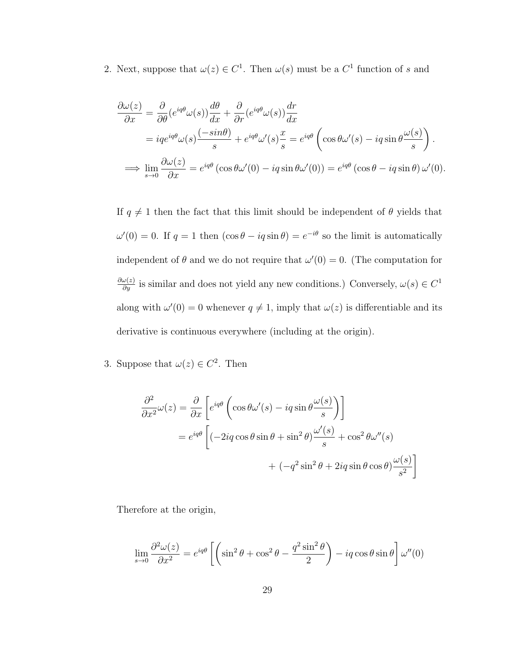2. Next, suppose that  $\omega(z) \in C^1$ . Then  $\omega(s)$  must be a  $C^1$  function of s and

$$
\frac{\partial \omega(z)}{\partial x} = \frac{\partial}{\partial \theta} (e^{iq\theta} \omega(s)) \frac{d\theta}{dx} + \frac{\partial}{\partial r} (e^{iq\theta} \omega(s)) \frac{dr}{dx}
$$
  
\n
$$
= iqe^{iq\theta} \omega(s) \frac{(-sin\theta)}{s} + e^{iq\theta} \omega'(s) \frac{x}{s} = e^{iq\theta} \left( cos\theta \omega'(s) - iq sin\theta \frac{\omega(s)}{s} \right).
$$
  
\n
$$
\implies \lim_{s \to 0} \frac{\partial \omega(z)}{\partial x} = e^{iq\theta} (cos\theta \omega'(0) - iq sin\theta \omega'(0)) = e^{iq\theta} (cos\theta - iq sin\theta) \omega'(0).
$$

If  $q \neq 1$  then the fact that this limit should be independent of  $\theta$  yields that  $\omega'(0) = 0$ . If  $q = 1$  then  $(\cos \theta - iq \sin \theta) = e^{-i\theta}$  so the limit is automatically independent of  $\theta$  and we do not require that  $\omega'(0) = 0$ . (The computation for  $\frac{\partial \omega(z)}{\partial y}$  is similar and does not yield any new conditions.) Conversely,  $\omega(s) \in C^1$ along with  $\omega'(0) = 0$  whenever  $q \neq 1$ , imply that  $\omega(z)$  is differentiable and its derivative is continuous everywhere (including at the origin).

3. Suppose that  $\omega(z) \in C^2$ . Then

$$
\frac{\partial^2}{\partial x^2} \omega(z) = \frac{\partial}{\partial x} \left[ e^{iq\theta} \left( \cos \theta \omega'(s) - iq \sin \theta \frac{\omega(s)}{s} \right) \right]
$$

$$
= e^{iq\theta} \left[ \left( -2iq \cos \theta \sin \theta + \sin^2 \theta \right) \frac{\omega'(s)}{s} + \cos^2 \theta \omega''(s) + \left( -q^2 \sin^2 \theta + 2iq \sin \theta \cos \theta \right) \frac{\omega(s)}{s^2} \right]
$$

Therefore at the origin,

$$
\lim_{s \to 0} \frac{\partial^2 \omega(z)}{\partial x^2} = e^{iq\theta} \left[ \left( \sin^2 \theta + \cos^2 \theta - \frac{q^2 \sin^2 \theta}{2} \right) - iq \cos \theta \sin \theta \right] \omega''(0)
$$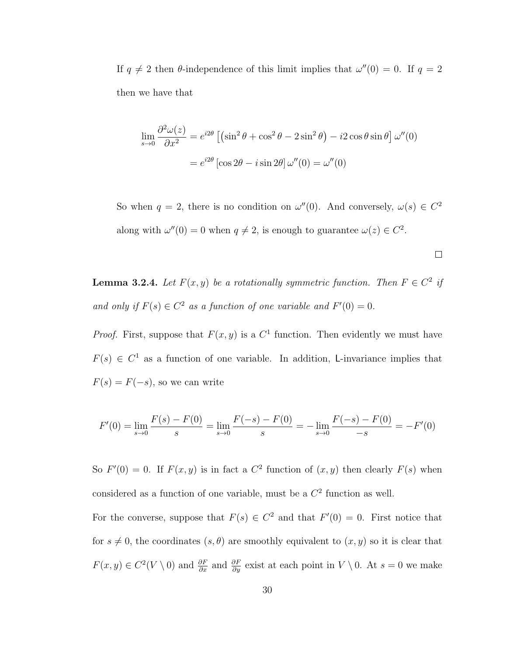If  $q \neq 2$  then  $\theta$ -independence of this limit implies that  $\omega''(0) = 0$ . If  $q = 2$ then we have that

$$
\lim_{s \to 0} \frac{\partial^2 \omega(z)}{\partial x^2} = e^{i2\theta} \left[ \left( \sin^2 \theta + \cos^2 \theta - 2 \sin^2 \theta \right) - i2 \cos \theta \sin \theta \right] \omega''(0)
$$

$$
= e^{i2\theta} \left[ \cos 2\theta - i \sin 2\theta \right] \omega''(0) = \omega''(0)
$$

So when  $q = 2$ , there is no condition on  $\omega''(0)$ . And conversely,  $\omega(s) \in C^2$ along with  $\omega''(0) = 0$  when  $q \neq 2$ , is enough to guarantee  $\omega(z) \in C^2$ .

 $\Box$ 

**Lemma 3.2.4.** Let  $F(x, y)$  be a rotationally symmetric function. Then  $F \in C^2$  if and only if  $F(s) \in C^2$  as a function of one variable and  $F'(0) = 0$ .

*Proof.* First, suppose that  $F(x, y)$  is a  $C<sup>1</sup>$  function. Then evidently we must have  $F(s) \in C<sup>1</sup>$  as a function of one variable. In addition, L-invariance implies that  $F(s) = F(-s)$ , so we can write

$$
F'(0) = \lim_{s \to 0} \frac{F(s) - F(0)}{s} = \lim_{s \to 0} \frac{F(-s) - F(0)}{s} = -\lim_{s \to 0} \frac{F(-s) - F(0)}{-s} = -F'(0)
$$

So  $F'(0) = 0$ . If  $F(x, y)$  is in fact a  $C^2$  function of  $(x, y)$  then clearly  $F(s)$  when considered as a function of one variable, must be a  $C<sup>2</sup>$  function as well.

For the converse, suppose that  $F(s) \in C^2$  and that  $F'(0) = 0$ . First notice that for  $s \neq 0$ , the coordinates  $(s, \theta)$  are smoothly equivalent to  $(x, y)$  so it is clear that  $F(x, y) \in C^2(V \setminus 0)$  and  $\frac{\partial F}{\partial x}$  and  $\frac{\partial F}{\partial y}$  exist at each point in  $V \setminus 0$ . At  $s = 0$  we make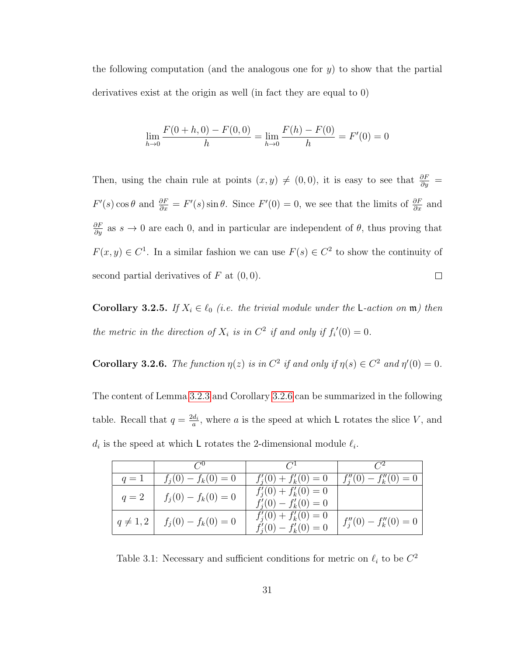the following computation (and the analogous one for  $y$ ) to show that the partial derivatives exist at the origin as well (in fact they are equal to 0)

$$
\lim_{h \to 0} \frac{F(0+h,0) - F(0,0)}{h} = \lim_{h \to 0} \frac{F(h) - F(0)}{h} = F'(0) = 0
$$

Then, using the chain rule at points  $(x, y) \neq (0, 0)$ , it is easy to see that  $\frac{\partial F}{\partial y}$  $F'(s) \cos \theta$  and  $\frac{\partial F}{\partial x} = F'(s) \sin \theta$ . Since  $F'(0) = 0$ , we see that the limits of  $\frac{\partial F}{\partial x}$  and  $\frac{\partial F}{\partial y}$  as  $s \to 0$  are each 0, and in particular are independent of  $\theta$ , thus proving that  $F(x, y) \in C<sup>1</sup>$ . In a similar fashion we can use  $F(s) \in C<sup>2</sup>$  to show the continuity of  $\Box$ second partial derivatives of  $F$  at  $(0,0)$ .

**Corollary 3.2.5.** If  $X_i \in \ell_0$  (i.e. the trivial module under the L-action on  $\mathfrak{m}$ ) then the metric in the direction of  $X_i$  is in  $C^2$  if and only if  $f_i'(0) = 0$ .

<span id="page-36-0"></span>**Corollary 3.2.6.** The function  $\eta(z)$  is in  $C^2$  if and only if  $\eta(s) \in C^2$  and  $\eta'(0) = 0$ .

The content of Lemma [3.2.3](#page-33-0) and Corollary [3.2.6](#page-36-0) can be summarized in the following table. Recall that  $q = \frac{2d_i}{q}$  $\frac{d_i}{a}$ , where a is the speed at which L rotates the slice V, and  $d_i$  is the speed at which L rotates the 2-dimensional module  $\ell_i$ .

|             | $C^0$                 | $C^{1}$                                                    | $C^2$                     |
|-------------|-----------------------|------------------------------------------------------------|---------------------------|
| $q=1$       | $f_j(0) - f_k(0) = 0$ | $f'_{i}(0) + f'_{k}(0) = 0$                                | $f''_i(0) - f''_k(0) = 0$ |
| $q=2$       | $f_j(0) - f_k(0) = 0$ | $f'_{i}(0) + f'_{k}(0) = 0$<br>$f'_i(0) - f'_k(0) = 0$     |                           |
| $q\neq 1,2$ | $f_j(0) - f_k(0) = 0$ | $f'_{i}(0) + f'_{k}(0) = 0$<br>$f'_{i}(0) - f'_{k}(0) = 0$ | $f''_i(0) - f''_k(0) = 0$ |

Table 3.1: Necessary and sufficient conditions for metric on  $\ell_i$  to be  $C^2$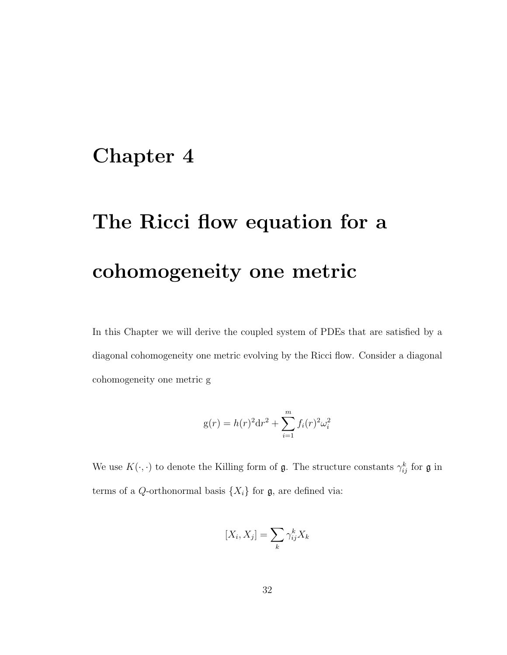## Chapter 4

# The Ricci flow equation for a cohomogeneity one metric

In this Chapter we will derive the coupled system of PDEs that are satisfied by a diagonal cohomogeneity one metric evolving by the Ricci flow. Consider a diagonal cohomogeneity one metric g

$$
g(r) = h(r)^{2} dr^{2} + \sum_{i=1}^{m} f_{i}(r)^{2} \omega_{i}^{2}
$$

We use  $K(\cdot, \cdot)$  to denote the Killing form of  $\mathfrak{g}$ . The structure constants  $\gamma_{ij}^k$  for  $\mathfrak{g}$  in terms of a Q-orthonormal basis  $\{X_i\}$  for  $\mathfrak{g}$ , are defined via:

$$
[X_i, X_j] = \sum_k \gamma_{ij}^k X_k
$$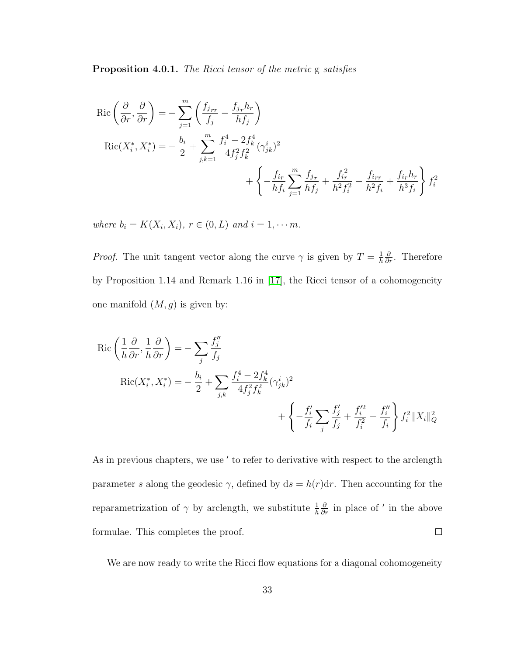<span id="page-38-0"></span>Proposition 4.0.1. The Ricci tensor of the metric g satisfies

$$
\text{Ric}\left(\frac{\partial}{\partial r}, \frac{\partial}{\partial r}\right) = -\sum_{j=1}^{m} \left( \frac{f_{j_{rr}}}{f_j} - \frac{f_{j_r} h_r}{h f_j} \right)
$$
\n
$$
\text{Ric}(X_i^*, X_i^*) = -\frac{b_i}{2} + \sum_{j,k=1}^{m} \frac{f_i^4 - 2f_k^4}{4f_j^2 f_k^2} (\gamma_{jk}^i)^2
$$
\n
$$
+ \left\{ -\frac{f_{ir}}{h f_i} \sum_{j=1}^{m} \frac{f_{j_r}}{h f_j} + \frac{f_{i_r}^2}{h^2 f_i^2} - \frac{f_{irr}}{h^2 f_i} + \frac{f_{ir} h_r}{h^3 f_i} \right\} f_i^2
$$

where  $b_i = K(X_i, X_i)$ ,  $r \in (0, L)$  and  $i = 1, \dots m$ .

*Proof.* The unit tangent vector along the curve  $\gamma$  is given by  $T = \frac{1}{h}$ h  $\frac{\partial}{\partial r}$ . Therefore by Proposition 1.14 and Remark 1.16 in [\[17\]](#page-79-0), the Ricci tensor of a cohomogeneity one manifold  $(M, g)$  is given by:

$$
\operatorname{Ric}\left(\frac{1}{h}\frac{\partial}{\partial r}, \frac{1}{h}\frac{\partial}{\partial r}\right) = -\sum_{j} \frac{f''_j}{f_j}
$$
\n
$$
\operatorname{Ric}(X_i^*, X_i^*) = -\frac{b_i}{2} + \sum_{j,k} \frac{f_i^4 - 2f_k^4}{4f_j^2 f_k^2} (\gamma_{jk}^i)^2
$$
\n
$$
+ \left\{-\frac{f'_i}{f_i} \sum_j \frac{f'_j}{f_j} + \frac{f'^2_i}{f_i^2} - \frac{f''_i}{f_i}\right\} f_i^2 \|X_i\|_{Q}^2
$$

As in previous chapters, we use ' to refer to derivative with respect to the arclength parameter s along the geodesic  $\gamma$ , defined by  $ds = h(r)dr$ . Then accounting for the reparametrization of  $\gamma$  by arclength, we substitute  $\frac{1}{h}$  $\frac{\partial}{\partial r}$  in place of ' in the above formulae. This completes the proof.  $\Box$ 

We are now ready to write the Ricci flow equations for a diagonal cohomogeneity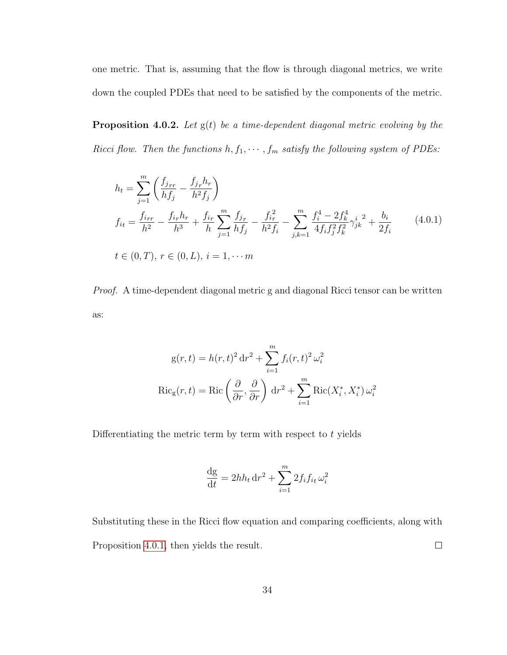one metric. That is, assuming that the flow is through diagonal metrics, we write down the coupled PDEs that need to be satisfied by the components of the metric.

<span id="page-39-0"></span>**Proposition 4.0.2.** Let  $g(t)$  be a time-dependent diagonal metric evolving by the Ricci flow. Then the functions  $h, f_1, \cdots, f_m$  satisfy the following system of PDEs:

<span id="page-39-1"></span>
$$
h_{t} = \sum_{j=1}^{m} \left( \frac{f_{jrr}}{hf_{j}} - \frac{f_{j_r}h_r}{h^2f_{j}} \right)
$$
  
\n
$$
f_{it} = \frac{f_{irr}}{h^2} - \frac{f_{ir}h_r}{h^3} + \frac{f_{ir}}{h} \sum_{j=1}^{m} \frac{f_{j_r}}{hf_{j}} - \frac{f_{i_r}^2}{h^2f_{i}} - \sum_{j,k=1}^{m} \frac{f_{i}^4 - 2f_{k}^4}{4f_{i}f_{j}^2f_{k}^2} \gamma_{jk}^{i^2} + \frac{b_{i}}{2f_{i}}
$$
  
\n
$$
t \in (0, T), r \in (0, L), i = 1, \dots m
$$
\n(4.0.1)

Proof. A time-dependent diagonal metric g and diagonal Ricci tensor can be written as:

$$
g(r,t) = h(r,t)^2 dr^2 + \sum_{i=1}^{m} f_i(r,t)^2 \omega_i^2
$$
  
 
$$
Ric_g(r,t) = Ric\left(\frac{\partial}{\partial r}, \frac{\partial}{\partial r}\right) dr^2 + \sum_{i=1}^{m} Ric(X_i^*, X_i^*) \omega_i^2
$$

Differentiating the metric term by term with respect to  $t$  yields

$$
\frac{\mathrm{d}g}{\mathrm{d}t} = 2hh_t \,\mathrm{d}r^2 + \sum_{i=1}^m 2f_i f_{it} \,\omega_i^2
$$

Substituting these in the Ricci flow equation and comparing coefficients, along with Proposition [4.0.1,](#page-38-0) then yields the result.  $\Box$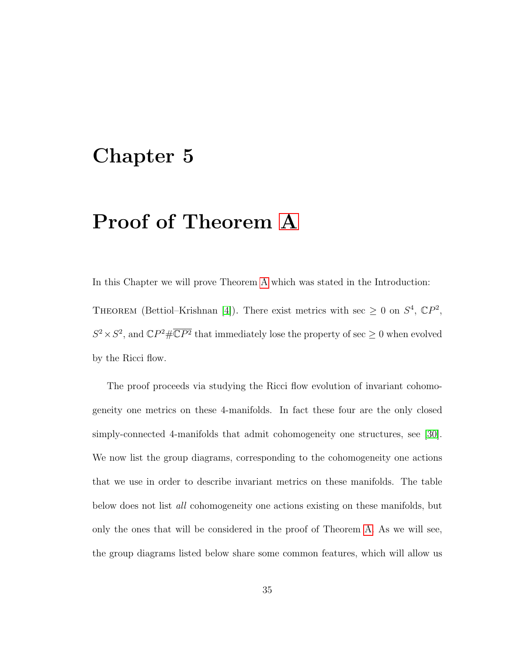## Chapter 5

## Proof of Theorem [A](#page-8-0)

In this Chapter we will prove Theorem [A](#page-8-0) which was stated in the Introduction:

THEOREM (Bettiol–Krishnan [\[4\]](#page-77-0)). There exist metrics with sec  $\geq 0$  on  $S^4$ ,  $\mathbb{C}P^2$ ,  $S^2 \times S^2$ , and  $\mathbb{C}P^2 \# \overline{\mathbb{C}P^2}$  that immediately lose the property of sec  $\geq 0$  when evolved by the Ricci flow.

The proof proceeds via studying the Ricci flow evolution of invariant cohomogeneity one metrics on these 4-manifolds. In fact these four are the only closed simply-connected 4-manifolds that admit cohomogeneity one structures, see [\[30\]](#page-80-0). We now list the group diagrams, corresponding to the cohomogeneity one actions that we use in order to describe invariant metrics on these manifolds. The table below does not list *all* cohomogeneity one actions existing on these manifolds, but only the ones that will be considered in the proof of Theorem [A.](#page-8-0) As we will see, the group diagrams listed below share some common features, which will allow us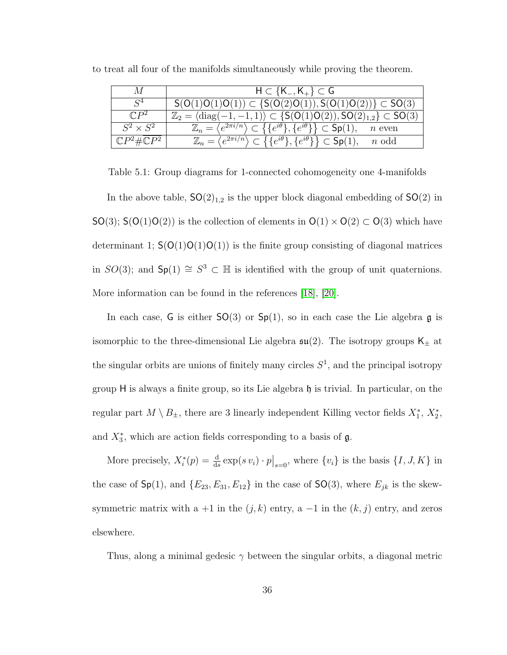| M                                | $H \subset \{K_-, K_+\} \subset G$                                                                                                                      |  |  |
|----------------------------------|---------------------------------------------------------------------------------------------------------------------------------------------------------|--|--|
| $\mathcal{S}^4$                  | $S(O(1)O(1)O(1)) \subset \{S(O(2)O(1)), S(O(1)O(2))\} \subset SO(3)$                                                                                    |  |  |
| $\mathbb{C}P^2$                  | $\mathbb{Z}_2 = \langle \text{diag}(-1,-1,1) \rangle \subset \{ \mathsf{S}(\mathsf{O}(1)\mathsf{O}(2)), \mathsf{SO}(2)_{1,2} \} \subset \mathsf{SO}(3)$ |  |  |
| $S^2 \times S^2$                 | $\mathbb{Z}_n = \langle e^{2\pi i/n} \rangle \subset \{\{e^{i\theta}\}, \{e^{i\theta}\}\}\subset \mathsf{Sp}(1), \quad n \text{ even}$                  |  |  |
| $\mathbb{C}P^2 \# \mathbb{C}P^2$ | $\mathbb{Z}_n = \langle e^{2\pi i/n} \rangle \subset \{ \{e^{i\theta}\}, \{e^{i\theta}\} \} \subset \mathsf{Sp}(1),$<br>$n$ odd                         |  |  |

to treat all four of the manifolds simultaneously while proving the theorem.

Table 5.1: Group diagrams for 1-connected cohomogeneity one 4-manifolds

In the above table,  $SO(2)_{1,2}$  is the upper block diagonal embedding of  $SO(2)$  in  $SO(3)$ ;  $S(O(1)O(2))$  is the collection of elements in  $O(1) \times O(2) \subset O(3)$  which have determinant 1;  $S(O(1)O(1)O(1))$  is the finite group consisting of diagonal matrices in  $SO(3)$ ; and  $Sp(1) \cong S^3 \subset \mathbb{H}$  is identified with the group of unit quaternions. More information can be found in the references [\[18\]](#page-79-1), [\[20\]](#page-79-2).

In each case, G is either  $SO(3)$  or  $Sp(1)$ , so in each case the Lie algebra g is isomorphic to the three-dimensional Lie algebra  $\mathfrak{su}(2).$  The isotropy groups  $\mathsf{K}_\pm$  at the singular orbits are unions of finitely many circles  $S<sup>1</sup>$ , and the principal isotropy group H is always a finite group, so its Lie algebra h is trivial. In particular, on the regular part  $M \setminus B_{\pm}$ , there are 3 linearly independent Killing vector fields  $X_1^*, X_2^*,$ and  $X_3^*$ , which are action fields corresponding to a basis of  $\mathfrak{g}$ .

More precisely,  $X_i^*(p) = \frac{d}{ds} \exp(s v_i) \cdot p \big|_{s=0}$ , where  $\{v_i\}$  is the basis  $\{I, J, K\}$  in the case of  $\mathsf{Sp}(1)$ , and  $\{E_{23}, E_{31}, E_{12}\}$  in the case of  $\mathsf{SO}(3)$ , where  $E_{jk}$  is the skewsymmetric matrix with a +1 in the  $(j, k)$  entry, a -1 in the  $(k, j)$  entry, and zeros elsewhere.

Thus, along a minimal gedesic  $\gamma$  between the singular orbits, a diagonal metric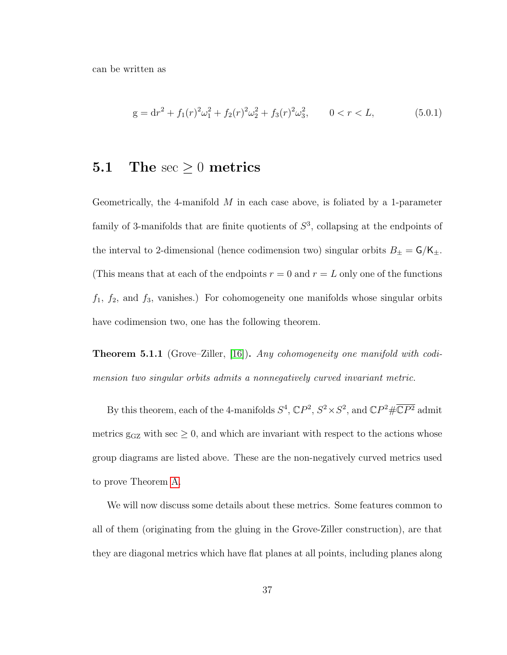can be written as

<span id="page-42-0"></span>
$$
g = dr2 + f1(r)2 \omega12 + f2(r)2 \omega22 + f3(r)2 \omega32, \qquad 0 < r < L,
$$
 (5.0.1)

### **5.1** The  $\sec \geq 0$  metrics

Geometrically, the 4-manifold  $M$  in each case above, is foliated by a 1-parameter family of 3-manifolds that are finite quotients of  $S<sup>3</sup>$ , collapsing at the endpoints of the interval to 2-dimensional (hence codimension two) singular orbits  $B_{\pm} = \mathsf{G}/\mathsf{K}_{\pm}$ . (This means that at each of the endpoints  $r = 0$  and  $r = L$  only one of the functions  $f_1$ ,  $f_2$ , and  $f_3$ , vanishes.) For cohomogeneity one manifolds whose singular orbits have codimension two, one has the following theorem.

**Theorem 5.1.1** (Grove–Ziller, [\[16\]](#page-79-3)). Any cohomogeneity one manifold with codimension two singular orbits admits a nonnegatively curved invariant metric.

By this theorem, each of the 4-manifolds  $S^4$ ,  $\mathbb{C}P^2$ ,  $S^2 \times S^2$ , and  $\mathbb{C}P^2 \# \overline{\mathbb{C}P^2}$  admit metrics  $g_{GZ}$  with sec  $\geq 0$ , and which are invariant with respect to the actions whose group diagrams are listed above. These are the non-negatively curved metrics used to prove Theorem [A.](#page-8-0)

We will now discuss some details about these metrics. Some features common to all of them (originating from the gluing in the Grove-Ziller construction), are that they are diagonal metrics which have flat planes at all points, including planes along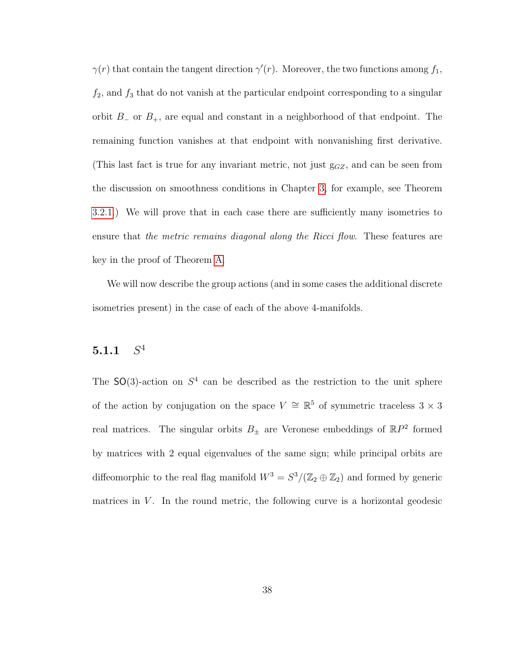$\gamma(r)$  that contain the tangent direction  $\gamma'(r)$ . Moreover, the two functions among  $f_1$ ,  $f_2$ , and  $f_3$  that do not vanish at the particular endpoint corresponding to a singular orbit  $B_-\,$  or  $B_+$ , are equal and constant in a neighborhood of that endpoint. The remaining function vanishes at that endpoint with nonvanishing first derivative. (This last fact is true for any invariant metric, not just  $g_{GZ}$ , and can be seen from the discussion on smoothness conditions in Chapter [3,](#page-27-0) for example, see Theorem [3.2.1.](#page-30-0)) We will prove that in each case there are sufficiently many isometries to ensure that the metric remains diagonal along the Ricci flow. These features are key in the proof of Theorem [A.](#page-8-0)

We will now describe the group actions (and in some cases the additional discrete isometries present) in the case of each of the above 4-manifolds.

#### <span id="page-43-0"></span> $5.1.1$  $S^4$

The  $SO(3)$ -action on  $S<sup>4</sup>$  can be described as the restriction to the unit sphere of the action by conjugation on the space  $V \cong \mathbb{R}^5$  of symmetric traceless 3 × 3 real matrices. The singular orbits  $B_{\pm}$  are Veronese embeddings of  $\mathbb{R}P^2$  formed by matrices with 2 equal eigenvalues of the same sign; while principal orbits are diffeomorphic to the real flag manifold  $W^3 = S^3/(\mathbb{Z}_2 \oplus \mathbb{Z}_2)$  and formed by generic matrices in  $V$ . In the round metric, the following curve is a horizontal geodesic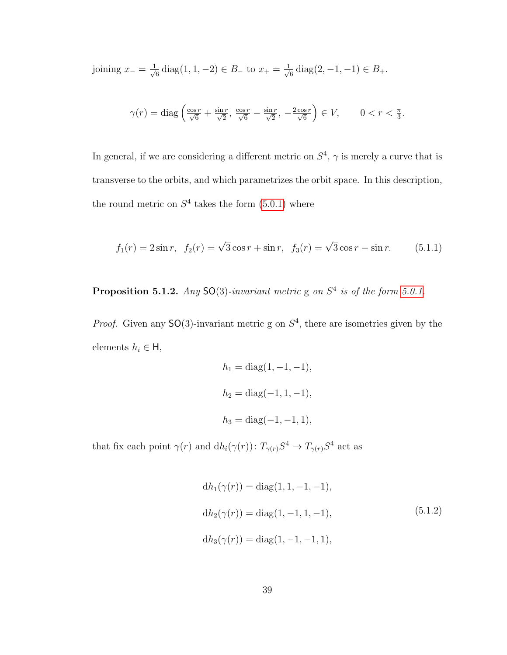joining  $x_-\equiv \frac{1}{\sqrt{2}}$  $\frac{1}{6}$  diag(1, 1, -2)  $\in$  B<sub>-</sub> to  $x_+ = \frac{1}{\sqrt{2}}$  $\frac{1}{6}$  diag(2, -1, -1)  $\in B_+.$ 

$$
\gamma(r) = \text{diag}\left(\frac{\cos r}{\sqrt{6}} + \frac{\sin r}{\sqrt{2}}, \frac{\cos r}{\sqrt{6}} - \frac{\sin r}{\sqrt{2}}, -\frac{2\cos r}{\sqrt{6}}\right) \in V, \qquad 0 < r < \frac{\pi}{3}.
$$

In general, if we are considering a different metric on  $S<sup>4</sup>$ ,  $\gamma$  is merely a curve that is transverse to the orbits, and which parametrizes the orbit space. In this description, the round metric on  $S<sup>4</sup>$  takes the form  $(5.0.1)$  where

$$
f_1(r) = 2\sin r
$$
,  $f_2(r) = \sqrt{3}\cos r + \sin r$ ,  $f_3(r) = \sqrt{3}\cos r - \sin r$ . (5.1.1)

**Proposition 5.1.2.** Any SO(3)-invariant metric g on  $S<sup>4</sup>$  is of the form [5.0.1.](#page-42-0)

*Proof.* Given any  $SO(3)$ -invariant metric g on  $S<sup>4</sup>$ , there are isometries given by the elements  $h_i \in \mathsf{H}$ ,

$$
h_1 = \text{diag}(1, -1, -1),
$$
  
\n
$$
h_2 = \text{diag}(-1, 1, -1),
$$
  
\n
$$
h_3 = \text{diag}(-1, -1, 1),
$$

that fix each point  $\gamma(r)$  and  $dh_i(\gamma(r))$ :  $T_{\gamma(r)}S^4 \to T_{\gamma(r)}S^4$  act as

<span id="page-44-0"></span>
$$
dh_1(\gamma(r)) = diag(1, 1, -1, -1),
$$
  
\n
$$
dh_2(\gamma(r)) = diag(1, -1, 1, -1),
$$
\n
$$
dh_3(\gamma(r)) = diag(1, -1, -1, 1),
$$
\n(5.1.2)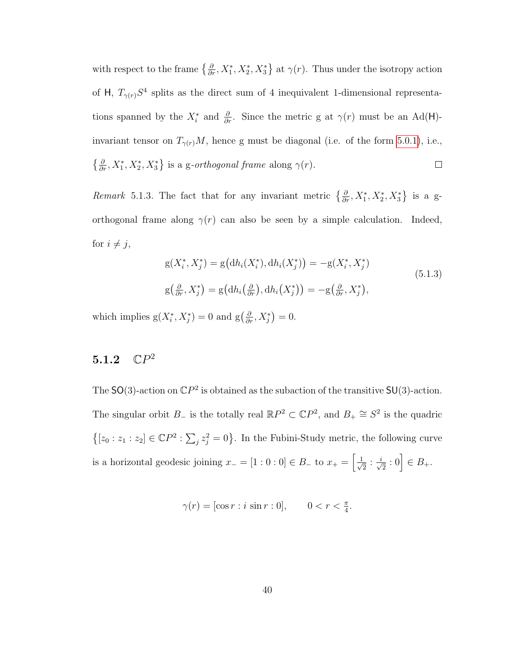with respect to the frame  $\{\frac{\partial}{\partial r}, X_1^*, X_2^*, X_3^*\}$  at  $\gamma(r)$ . Thus under the isotropy action of H,  $T_{\gamma(r)}S^4$  splits as the direct sum of 4 inequivalent 1-dimensional representations spanned by the  $X_i^*$  and  $\frac{\partial}{\partial r}$ . Since the metric g at  $\gamma(r)$  must be an Ad(H)invariant tensor on  $T_{\gamma(r)}M$ , hence g must be diagonal (i.e. of the form [5.0.1\)](#page-42-0), i.e.,  $\{\frac{\partial}{\partial r}, X_1^*, X_2^*, X_3^*\}$  is a g-orthogonal frame along  $\gamma(r)$ .  $\Box$ 

Remark 5.1.3. The fact that for any invariant metric  $\{\frac{\partial}{\partial r}, X_1^*, X_2^*, X_3^*\}$  is a gorthogonal frame along  $\gamma(r)$  can also be seen by a simple calculation. Indeed, for  $i \neq j$ ,

<span id="page-45-0"></span>
$$
g(X_i^*, X_j^*) = g\big(dh_i(X_i^*), dh_i(X_j^*)\big) = -g(X_i^*, X_j^*)
$$
  
\n
$$
g\big(\frac{\partial}{\partial r}, X_j^*\big) = g\big(dh_i\big(\frac{\partial}{\partial r}\big), dh_i\big(X_j^*\big)\big) = -g\big(\frac{\partial}{\partial r}, X_j^*\big),
$$
\n(5.1.3)

which implies  $g(X_i^*, X_j^*) = 0$  and  $g\left(\frac{\partial}{\partial r}, X_j^*\right) = 0$ .

#### <span id="page-45-1"></span> $5.1.2$  $\mathbb{C}P^2$

The SO(3)-action on  $\mathbb{C}P^2$  is obtained as the subaction of the transitive SU(3)-action. The singular orbit  $B_-\$  is the totally real  $\mathbb{R}P^2 \subset \mathbb{C}P^2$ , and  $B_+\cong S^2$  is the quadric  $\{[z_0 : z_1 : z_2] \in \mathbb{C}P^2 : \sum_j z_j^2 = 0\}$ . In the Fubini-Study metric, the following curve is a horizontal geodesic joining  $x_-= [1:0:0] \in B_+$  to  $x_+=\left[\frac{1}{\sqrt{2}}\right]$  $\overline{\overline{2}}$  :  $\frac{i}{\sqrt{}}$  $\frac{1}{2} : 0 \Big] \in B_{+}.$ 

$$
\gamma(r) = [\cos r : i \sin r : 0], \qquad 0 < r < \frac{\pi}{4}.
$$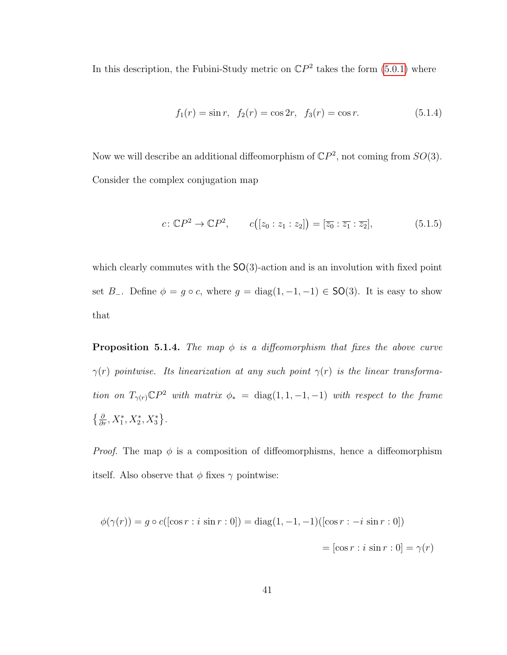In this description, the Fubini-Study metric on  $\mathbb{C}P^2$  takes the form [\(5.0.1\)](#page-42-0) where

$$
f_1(r) = \sin r, \ \ f_2(r) = \cos 2r, \ \ f_3(r) = \cos r. \tag{5.1.4}
$$

Now we will describe an additional diffeomorphism of  $\mathbb{C}P^2$ , not coming from  $SO(3)$ . Consider the complex conjugation map

<span id="page-46-1"></span>
$$
c \colon \mathbb{C}P^2 \to \mathbb{C}P^2, \qquad c([z_0:z_1:z_2]) = [\overline{z_0} : \overline{z_1} : \overline{z_2}], \tag{5.1.5}
$$

which clearly commutes with the  $SO(3)$ -action and is an involution with fixed point set B<sub>-</sub>. Define  $\phi = g \circ c$ , where  $g = diag(1, -1, -1) \in SO(3)$ . It is easy to show that

<span id="page-46-0"></span>**Proposition 5.1.4.** The map  $\phi$  is a diffeomorphism that fixes the above curve  $\gamma(r)$  pointwise. Its linearization at any such point  $\gamma(r)$  is the linear transformation on  $T_{\gamma(r)} \mathbb{C} P^2$  with matrix  $\phi_* = \text{diag}(1, 1, -1, -1)$  with respect to the frame  $\left\{\frac{\partial}{\partial r}, X_1^*, X_2^*, X_3^*\right\}.$ 

*Proof.* The map  $\phi$  is a composition of diffeomorphisms, hence a diffeomorphism itself. Also observe that  $\phi$  fixes  $\gamma$  pointwise:

$$
\phi(\gamma(r)) = g \circ c([\cos r : i \sin r : 0]) = \text{diag}(1, -1, -1)([\cos r : -i \sin r : 0])
$$

$$
= [\cos r : i \sin r : 0] = \gamma(r)
$$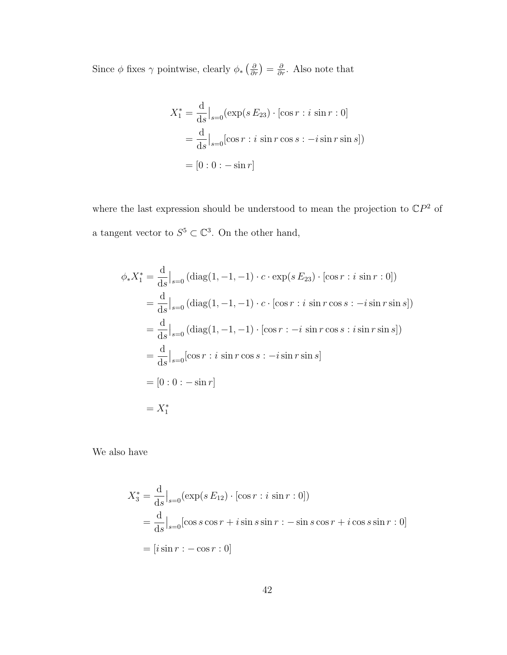Since  $\phi$  fixes  $\gamma$  pointwise, clearly  $\phi_*\left(\frac{\partial}{\partial r}\right) = \frac{\partial}{\partial r}$ . Also note that

$$
X_1^* = \frac{d}{ds}\Big|_{s=0} (\exp(s E_{23}) \cdot [\cos r : i \sin r : 0]
$$
  
= 
$$
\frac{d}{ds}\Big|_{s=0} [\cos r : i \sin r \cos s : -i \sin r \sin s])
$$
  
= 
$$
[0 : 0 : -\sin r]
$$

where the last expression should be understood to mean the projection to  $\mathbb{C}P^2$  of a tangent vector to  $S^5 \subset \mathbb{C}^3$ . On the other hand,

$$
\phi_* X_1^* = \frac{d}{ds} \Big|_{s=0} (\text{diag}(1, -1, -1) \cdot c \cdot \exp(s E_{23}) \cdot [\cos r : i \sin r : 0])
$$
  
\n
$$
= \frac{d}{ds} \Big|_{s=0} (\text{diag}(1, -1, -1) \cdot c \cdot [\cos r : i \sin r \cos s : -i \sin r \sin s])
$$
  
\n
$$
= \frac{d}{ds} \Big|_{s=0} (\text{diag}(1, -1, -1) \cdot [\cos r : -i \sin r \cos s : i \sin r \sin s])
$$
  
\n
$$
= \frac{d}{ds} \Big|_{s=0} [\cos r : i \sin r \cos s : -i \sin r \sin s]
$$
  
\n
$$
= [0 : 0 : - \sin r]
$$
  
\n
$$
= X_1^*
$$

We also have

$$
X_3^* = \frac{d}{ds}\Big|_{s=0} (\exp(s E_{12}) \cdot [\cos r : i \sin r : 0])
$$
  
= 
$$
\frac{d}{ds}\Big|_{s=0} [\cos s \cos r + i \sin s \sin r : - \sin s \cos r + i \cos s \sin r : 0]
$$
  
= 
$$
[i \sin r : -\cos r : 0]
$$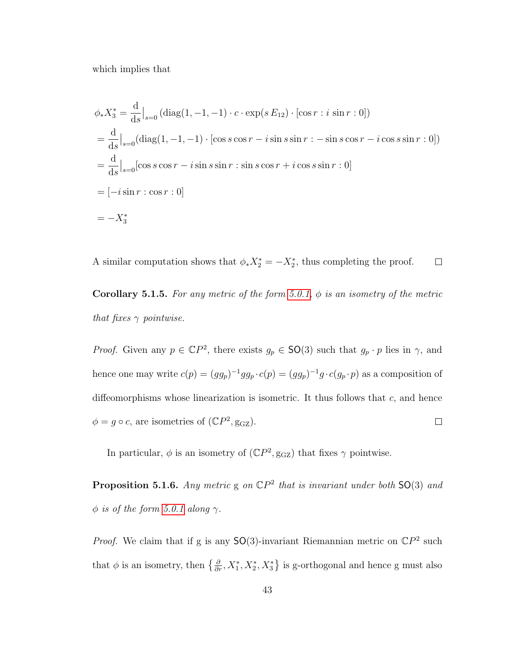which implies that

$$
\phi_* X_3^* = \frac{d}{ds} \Big|_{s=0} (\text{diag}(1, -1, -1) \cdot c \cdot \exp(s E_{12}) \cdot [\cos r : i \sin r : 0])
$$
  
=  $\frac{d}{ds} \Big|_{s=0} (\text{diag}(1, -1, -1) \cdot [\cos s \cos r - i \sin s \sin r : - \sin s \cos r - i \cos s \sin r : 0])$   
=  $\frac{d}{ds} \Big|_{s=0} [\cos s \cos r - i \sin s \sin r : \sin s \cos r + i \cos s \sin r : 0]$   
=  $[-i \sin r : \cos r : 0]$   
=  $-X_3^*$ 

A similar computation shows that  $\phi_* X_2^* = -X_2^*$ , thus completing the proof.  $\Box$ 

**Corollary 5.1.5.** For any metric of the form [5.0.1,](#page-42-0)  $\phi$  is an isometry of the metric that fixes  $\gamma$  pointwise.

*Proof.* Given any  $p \in \mathbb{C}P^2$ , there exists  $g_p \in SO(3)$  such that  $g_p \cdot p$  lies in  $\gamma$ , and hence one may write  $c(p) = (gg_p)^{-1}gg_p \cdot c(p) = (gg_p)^{-1}g \cdot c(g_p \cdot p)$  as a composition of diffeomorphisms whose linearization is isometric. It thus follows that  $c$ , and hence  $\phi = g \circ c$ , are isometries of  $(\mathbb{C}P^2, \text{g}_{\text{GZ}})$ .  $\Box$ 

In particular,  $\phi$  is an isometry of  $(\mathbb{C}P^2, \text{g}_{GZ})$  that fixes  $\gamma$  pointwise.

**Proposition 5.1.6.** Any metric  $g$  on  $\mathbb{C}P^2$  that is invariant under both  $SO(3)$  and  $\phi$  is of the form [5.0.1](#page-42-0) along  $\gamma$ .

*Proof.* We claim that if g is any  $SO(3)$ -invariant Riemannian metric on  $\mathbb{C}P^2$  such that  $\phi$  is an isometry, then  $\{\frac{\partial}{\partial r}, X_1^*, X_2^*, X_3^*\}$  is g-orthogonal and hence g must also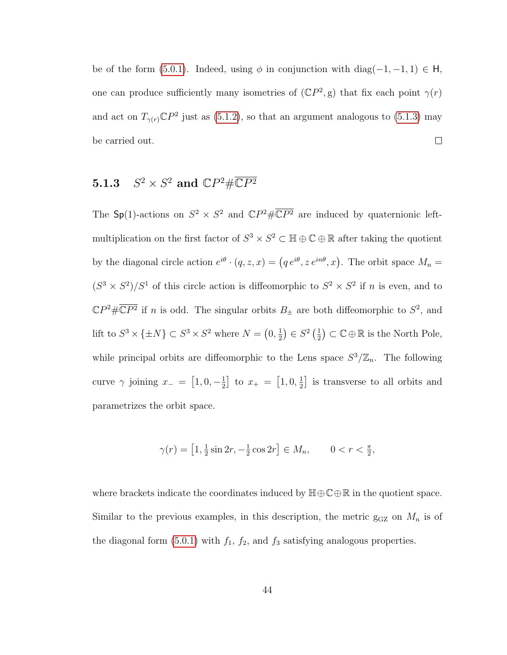be of the form [\(5.0.1\)](#page-42-0). Indeed, using  $\phi$  in conjunction with diag(-1, -1, 1) ∈ H, one can produce sufficiently many isometries of  $(\mathbb{C}P^2, g)$  that fix each point  $\gamma(r)$ and act on  $T_{\gamma(r)}\mathbb{C}P^2$  just as [\(5.1.2\)](#page-44-0), so that an argument analogous to [\(5.1.3\)](#page-45-0) may  $\Box$ be carried out.

#### <span id="page-49-0"></span> $5.1.3$  $^2 \times S^2$  and  $\mathbb{C}P^2 \# \overline{\mathbb{C}P^2}$

The Sp(1)-actions on  $S^2 \times S^2$  and  $\mathbb{C}P^2 \# \overline{\mathbb{C}P^2}$  are induced by quaternionic leftmultiplication on the first factor of  $S^3 \times S^2 \subset \mathbb{H} \oplus \mathbb{C} \oplus \mathbb{R}$  after taking the quotient by the diagonal circle action  $e^{i\theta} \cdot (q, z, x) = (q e^{i\theta}, z e^{in\theta}, x)$ . The orbit space  $M_n =$  $(S^3 \times S^2)/S^1$  of this circle action is diffeomorphic to  $S^2 \times S^2$  if n is even, and to  $\mathbb{C}P^2 \# \overline{\mathbb{C}P^2}$  if *n* is odd. The singular orbits  $B_{\pm}$  are both diffeomorphic to  $S^2$ , and lift to  $S^3 \times {\pm N} \subset S^3 \times S^2$  where  $N = \left(0, \frac{1}{2}\right)$  $(\frac{1}{2}) \in S^2 \left(\frac{1}{2}\right)$  $(\frac{1}{2}) \subset \mathbb{C} \oplus \mathbb{R}$  is the North Pole, while principal orbits are diffeomorphic to the Lens space  $S^3/\mathbb{Z}_n$ . The following curve  $\gamma$  joining  $x_- = \left[1, 0, -\frac{1}{2}\right]$  $\frac{1}{2}$  to  $x_+ = [1, 0, \frac{1}{2}]$  $\frac{1}{2}$  is transverse to all orbits and parametrizes the orbit space.

$$
\gamma(r) = \left[1, \frac{1}{2}\sin 2r, -\frac{1}{2}\cos 2r\right] \in M_n, \qquad 0 < r < \frac{\pi}{2},
$$

where brackets indicate the coordinates induced by  $\mathbb{H}\oplus\mathbb{C}\oplus\mathbb{R}$  in the quotient space. Similar to the previous examples, in this description, the metric  $g_{GZ}$  on  $M_n$  is of the diagonal form  $(5.0.1)$  with  $f_1$ ,  $f_2$ , and  $f_3$  satisfying analogous properties.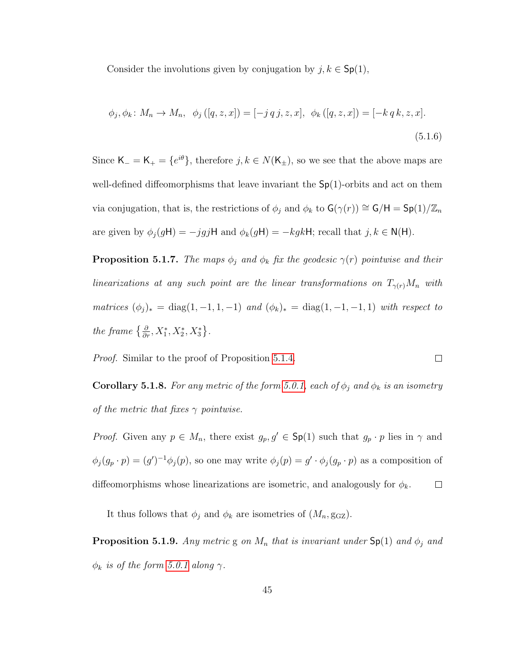Consider the involutions given by conjugation by  $j, k \in \mathsf{Sp}(1)$ ,

<span id="page-50-0"></span>
$$
\phi_j, \phi_k \colon M_n \to M_n, \quad \phi_j([q, z, x]) = [-j q j, z, x], \quad \phi_k([q, z, x]) = [-k q k, z, x].
$$
\n(5.1.6)

Since  $\mathsf{K}_{-} = \mathsf{K}_{+} = \{e^{i\theta}\}\text{, therefore } j, k \in N(\mathsf{K}_{+})\text{, so we see that the above maps are }$ well-defined diffeomorphisms that leave invariant the  $Sp(1)$ -orbits and act on them via conjugation, that is, the restrictions of  $\phi_j$  and  $\phi_k$  to  $G(\gamma(r)) \cong G/H = Sp(1)/\mathbb{Z}_n$ are given by  $\phi_j(gH) = -jgjH$  and  $\phi_k(gH) = -kgkH$ ; recall that  $j, k \in N(H)$ .

**Proposition 5.1.7.** The maps  $\phi_j$  and  $\phi_k$  fix the geodesic  $\gamma(r)$  pointwise and their linearizations at any such point are the linear transformations on  $T_{\gamma(r)}M_n$  with matrices  $(\phi_j)_* = \text{diag}(1, -1, 1, -1)$  and  $(\phi_k)_* = \text{diag}(1, -1, -1, 1)$  with respect to the frame  $\{\frac{\partial}{\partial r}, X_1^*, X_2^*, X_3^*\}.$ 

Proof. Similar to the proof of Proposition [5.1.4.](#page-46-0)

**Corollary 5.1.8.** For any metric of the form [5.0.1,](#page-42-0) each of  $\phi_j$  and  $\phi_k$  is an isometry of the metric that fixes  $\gamma$  pointwise.

 $\Box$ 

*Proof.* Given any  $p \in M_n$ , there exist  $g_p, g' \in \mathsf{Sp}(1)$  such that  $g_p \cdot p$  lies in  $\gamma$  and  $\phi_j(g_p \cdot p) = (g')^{-1} \phi_j(p)$ , so one may write  $\phi_j(p) = g' \cdot \phi_j(g_p \cdot p)$  as a composition of  $\Box$ diffeomorphisms whose linearizations are isometric, and analogously for  $\phi_k$ .

It thus follows that  $\phi_j$  and  $\phi_k$  are isometries of  $(M_n, \text{g}_{\text{GZ}})$ .

**Proposition 5.1.9.** Any metric g on  $M_n$  that is invariant under  $\text{Sp}(1)$  and  $\phi_j$  and  $\phi_k$  is of the form [5.0.1](#page-42-0) along  $\gamma$ .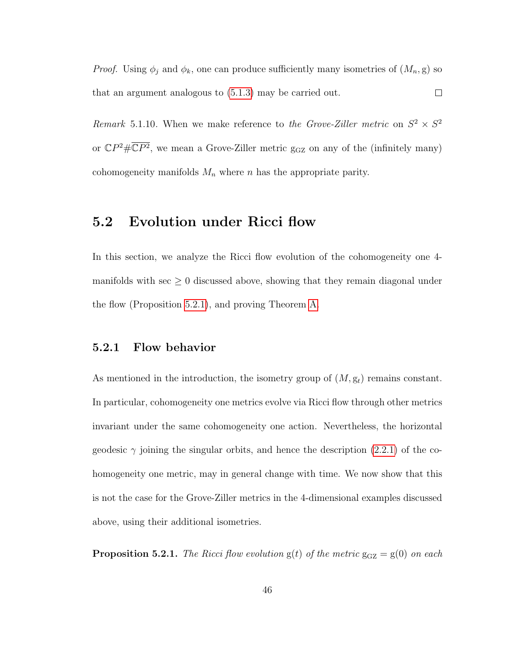*Proof.* Using  $\phi_j$  and  $\phi_k$ , one can produce sufficiently many isometries of  $(M_n, g)$  so that an argument analogous to [\(5.1.3\)](#page-45-0) may be carried out.  $\Box$ 

Remark 5.1.10. When we make reference to the Grove-Ziller metric on  $S^2 \times S^2$ or  $\mathbb{C}P^2 \# \overline{\mathbb{C}P^2}$ , we mean a Grove-Ziller metric g<sub>GZ</sub> on any of the (infinitely many) cohomogeneity manifolds  $M_n$  where n has the appropriate parity.

### 5.2 Evolution under Ricci flow

In this section, we analyze the Ricci flow evolution of the cohomogeneity one 4 manifolds with sec  $\geq 0$  discussed above, showing that they remain diagonal under the flow (Proposition [5.2.1\)](#page-51-0), and proving Theorem [A.](#page-8-0)

#### 5.2.1 Flow behavior

As mentioned in the introduction, the isometry group of  $(M, g_t)$  remains constant. In particular, cohomogeneity one metrics evolve via Ricci flow through other metrics invariant under the same cohomogeneity one action. Nevertheless, the horizontal geodesic  $\gamma$  joining the singular orbits, and hence the description [\(2.2.1\)](#page-19-0) of the cohomogeneity one metric, may in general change with time. We now show that this is not the case for the Grove-Ziller metrics in the 4-dimensional examples discussed above, using their additional isometries.

<span id="page-51-0"></span>**Proposition 5.2.1.** The Ricci flow evolution  $g(t)$  of the metric  $g_{GZ} = g(0)$  on each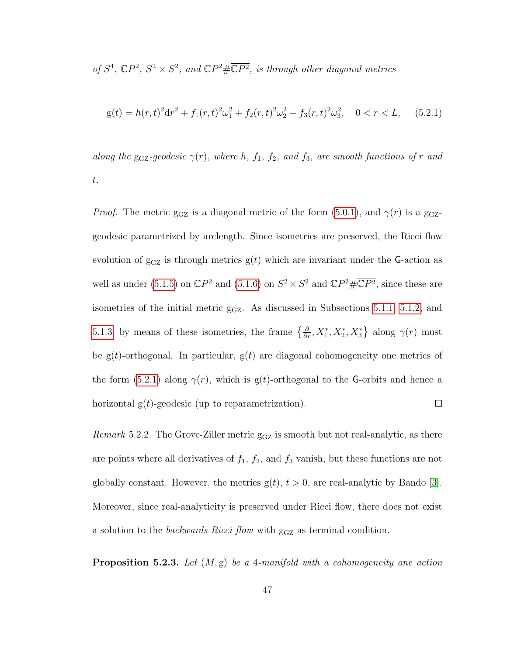of  $S^4$ ,  $\mathbb{C}P^2$ ,  $S^2 \times S^2$ , and  $\mathbb{C}P^2 \# \overline{\mathbb{C}P^2}$ , is through other diagonal metrics

<span id="page-52-0"></span>
$$
g(t) = h(r,t)^{2}dr^{2} + f_{1}(r,t)^{2}\omega_{1}^{2} + f_{2}(r,t)^{2}\omega_{2}^{2} + f_{3}(r,t)^{2}\omega_{3}^{2}, \quad 0 < r < L, \quad (5.2.1)
$$

along the g<sub>GZ</sub>-geodesic  $\gamma(r)$ , where h,  $f_1$ ,  $f_2$ , and  $f_3$ , are smooth functions of r and t.

*Proof.* The metric g<sub>GZ</sub> is a diagonal metric of the form [\(5.0.1\)](#page-42-0), and  $\gamma(r)$  is a g<sub>GZ</sub>geodesic parametrized by arclength. Since isometries are preserved, the Ricci flow evolution of  $g_{GZ}$  is through metrics  $g(t)$  which are invariant under the G-action as well as under [\(5.1.5\)](#page-46-1) on  $\mathbb{C}P^2$  and [\(5.1.6\)](#page-50-0) on  $S^2 \times S^2$  and  $\mathbb{C}P^2 \# \overline{\mathbb{C}P^2}$ , since these are isometries of the initial metric  $g_{GZ}$ . As discussed in Subsections [5.1.1,](#page-43-0) [5.1.2,](#page-45-1) and [5.1.3,](#page-49-0) by means of these isometries, the frame  $\{\frac{\partial}{\partial r}, X_1^*, X_2^*, X_3^*\}$  along  $\gamma(r)$  must be  $g(t)$ -orthogonal. In particular,  $g(t)$  are diagonal cohomogeneity one metrics of the form [\(5.2.1\)](#page-52-0) along  $\gamma(r)$ , which is g(t)-orthogonal to the G-orbits and hence a horizontal  $g(t)$ -geodesic (up to reparametrization).  $\Box$ 

*Remark* 5.2.2. The Grove-Ziller metric  $g_{GZ}$  is smooth but not real-analytic, as there are points where all derivatives of  $f_1$ ,  $f_2$ , and  $f_3$  vanish, but these functions are not globally constant. However, the metrics  $g(t)$ ,  $t > 0$ , are real-analytic by Bando [\[3\]](#page-77-1). Moreover, since real-analyticity is preserved under Ricci flow, there does not exist a solution to the *backwards Ricci flow* with  $g_{GZ}$  as terminal condition.

<span id="page-52-1"></span>**Proposition 5.2.3.** Let  $(M, g)$  be a 4-manifold with a cohomogeneity one action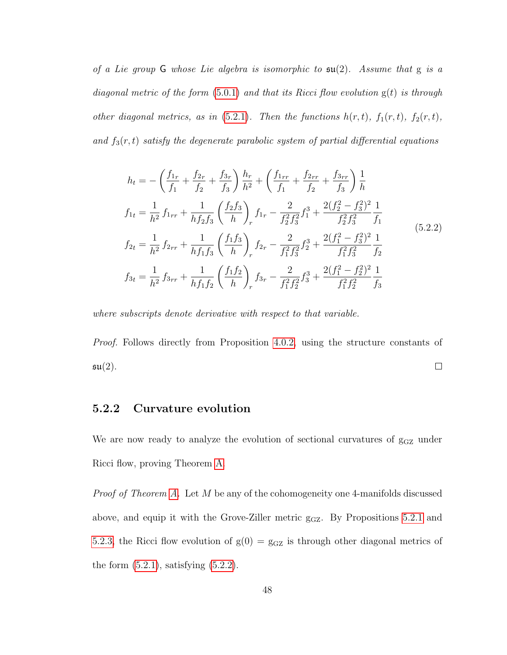of a Lie group  $G$  whose Lie algebra is isomorphic to  $\mathfrak{su}(2)$ . Assume that g is a diagonal metric of the form  $(5.0.1)$  and that its Ricci flow evolution  $g(t)$  is through other diagonal metrics, as in [\(5.2.1\)](#page-52-0). Then the functions  $h(r, t)$ ,  $f_1(r, t)$ ,  $f_2(r, t)$ , and  $f_3(r, t)$  satisfy the degenerate parabolic system of partial differential equations

<span id="page-53-0"></span>
$$
h_{t} = -\left(\frac{f_{1r}}{f_{1}} + \frac{f_{2r}}{f_{2}} + \frac{f_{3r}}{f_{3}}\right) \frac{h_{r}}{h^{2}} + \left(\frac{f_{1rr}}{f_{1}} + \frac{f_{2rr}}{f_{2}} + \frac{f_{3rr}}{f_{3}}\right) \frac{1}{h}
$$
  
\n
$$
f_{1t} = \frac{1}{h^{2}} f_{1rr} + \frac{1}{h f_{2} f_{3}} \left(\frac{f_{2} f_{3}}{h}\right)_{r} f_{1r} - \frac{2}{f_{2}^{2} f_{3}^{2}} f_{1}^{3} + \frac{2(f_{2}^{2} - f_{3}^{2})^{2}}{f_{2}^{2} f_{3}^{2}} \frac{1}{f_{1}}
$$
  
\n
$$
f_{2t} = \frac{1}{h^{2}} f_{2rr} + \frac{1}{h f_{1} f_{3}} \left(\frac{f_{1} f_{3}}{h}\right)_{r} f_{2r} - \frac{2}{f_{1}^{2} f_{3}^{2}} f_{2}^{3} + \frac{2(f_{1}^{2} - f_{3}^{2})^{2}}{f_{1}^{2} f_{3}^{2}} \frac{1}{f_{2}}
$$
  
\n
$$
f_{3t} = \frac{1}{h^{2}} f_{3rr} + \frac{1}{h f_{1} f_{2}} \left(\frac{f_{1} f_{2}}{h}\right)_{r} f_{3r} - \frac{2}{f_{1}^{2} f_{2}^{2}} f_{3}^{3} + \frac{2(f_{1}^{2} - f_{2}^{2})^{2}}{f_{1}^{2} f_{2}^{2}} \frac{1}{f_{3}}
$$
  
\n(5.2.2)

where subscripts denote derivative with respect to that variable.

Proof. Follows directly from Proposition [4.0.2,](#page-39-0) using the structure constants of  $\mathfrak{su}(2)$ .  $\Box$ 

### 5.2.2 Curvature evolution

We are now ready to analyze the evolution of sectional curvatures of  $g_{GZ}$  under Ricci flow, proving Theorem [A.](#page-8-0)

Proof of Theorem [A.](#page-8-0) Let M be any of the cohomogeneity one 4-manifolds discussed above, and equip it with the Grove-Ziller metric  $g_{GZ}$ . By Propositions [5.2.1](#page-51-0) and [5.2.3,](#page-52-1) the Ricci flow evolution of  $g(0) = g_{GZ}$  is through other diagonal metrics of the form  $(5.2.1)$ , satisfying  $(5.2.2)$ .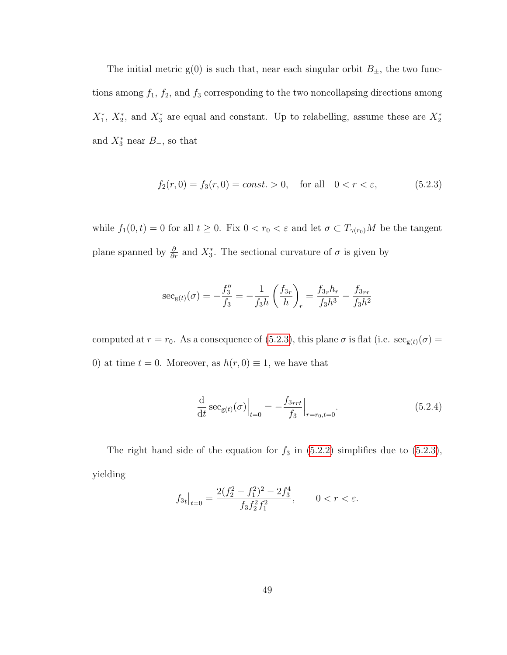The initial metric  $g(0)$  is such that, near each singular orbit  $B_{\pm}$ , the two functions among  $f_1$ ,  $f_2$ , and  $f_3$  corresponding to the two noncollapsing directions among  $X_1^*, X_2^*,$  and  $X_3^*$  are equal and constant. Up to relabelling, assume these are  $X_2^*$ and  $X_3^*$  near  $B_-,$  so that

<span id="page-54-0"></span>
$$
f_2(r,0) = f_3(r,0) = const. > 0, \text{ for all } 0 < r < \varepsilon,
$$
 (5.2.3)

while  $f_1(0, t) = 0$  for all  $t \geq 0$ . Fix  $0 < r_0 < \varepsilon$  and let  $\sigma \subset T_{\gamma(r_0)}M$  be the tangent plane spanned by  $\frac{\partial}{\partial r}$  and  $X_3^*$ . The sectional curvature of  $\sigma$  is given by

$$
\sec_{g(t)}(\sigma) = -\frac{f_3''}{f_3} = -\frac{1}{f_3h} \left(\frac{f_{3r}}{h}\right)_r = \frac{f_{3r}h_r}{f_3h^3} - \frac{f_{3rr}}{f_3h^2}
$$

computed at  $r = r_0$ . As a consequence of [\(5.2.3\)](#page-54-0), this plane  $\sigma$  is flat (i.e.  $\sec_{g(t)}(\sigma) =$ 0) at time  $t = 0$ . Moreover, as  $h(r, 0) \equiv 1$ , we have that

<span id="page-54-1"></span>
$$
\frac{\mathrm{d}}{\mathrm{d}t} \sec_{g(t)}(\sigma) \Big|_{t=0} = -\frac{f_{3rt}}{f_3} \Big|_{r=r_0, t=0}.
$$
\n(5.2.4)

The right hand side of the equation for  $f_3$  in [\(5.2.2\)](#page-53-0) simplifies due to [\(5.2.3\)](#page-54-0), yielding

$$
f_{3t}|_{t=0} = \frac{2(f_2^2 - f_1^2)^2 - 2f_3^4}{f_3 f_2^2 f_1^2}, \qquad 0 < r < \varepsilon.
$$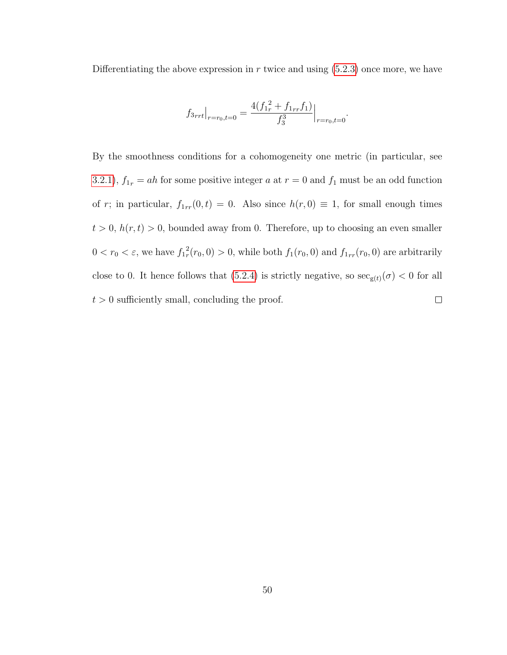Differentiating the above expression in  $r$  twice and using  $(5.2.3)$  once more, we have

$$
f_{3rrt}|_{r=r_0,t=0} = \frac{4(f_{1r}^2 + f_{1rr}f_1)}{f_3^3}|_{r=r_0,t=0}
$$

.

By the smoothness conditions for a cohomogeneity one metric (in particular, see [3.2.1\)](#page-30-0),  $f_{1r} = ah$  for some positive integer a at  $r = 0$  and  $f_1$  must be an odd function of r; in particular,  $f_{1rr}(0, t) = 0$ . Also since  $h(r, 0) \equiv 1$ , for small enough times  $t > 0$ ,  $h(r, t) > 0$ , bounded away from 0. Therefore, up to choosing an even smaller  $0 < r_0 < \varepsilon$ , we have  $f_{1r}^2$  $f_r^2(r_0, 0) > 0$ , while both  $f_1(r_0, 0)$  and  $f_{1rr}(r_0, 0)$  are arbitrarily close to 0. It hence follows that [\(5.2.4\)](#page-54-1) is strictly negative, so  $\sec_{g(t)}(\sigma) < 0$  for all  $t > 0$  sufficiently small, concluding the proof.  $\Box$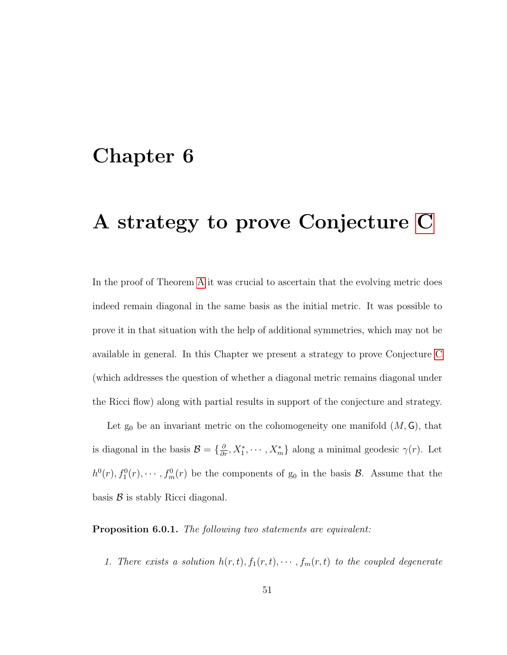## Chapter 6

## A strategy to prove Conjecture [C](#page-15-0)

In the proof of Theorem [A](#page-8-0) it was crucial to ascertain that the evolving metric does indeed remain diagonal in the same basis as the initial metric. It was possible to prove it in that situation with the help of additional symmetries, which may not be available in general. In this Chapter we present a strategy to prove Conjecture [C](#page-15-0) (which addresses the question of whether a diagonal metric remains diagonal under the Ricci flow) along with partial results in support of the conjecture and strategy.

Let  $g_0$  be an invariant metric on the cohomogeneity one manifold  $(M, G)$ , that is diagonal in the basis  $\mathcal{B} = \{\frac{\partial}{\partial r}, X_1^*, \cdots, X_m^*\}$  along a minimal geodesic  $\gamma(r)$ . Let  $h^0(r)$ ,  $f_1^0(r)$ ,  $\cdots$ ,  $f_m^0(r)$  be the components of  $g_0$  in the basis  $\mathcal{B}$ . Assume that the basis  $\beta$  is stably Ricci diagonal.

Proposition 6.0.1. The following two statements are equivalent:

1. There exists a solution  $h(r, t), f_1(r, t), \cdots, f_m(r, t)$  to the coupled degenerate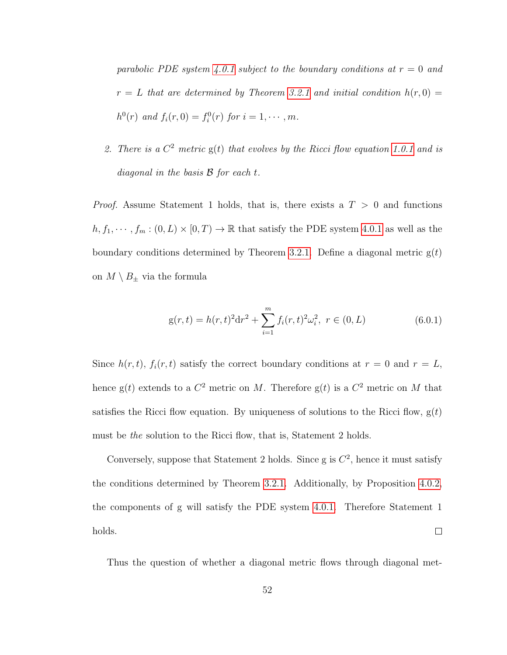parabolic PDE system [4.0.1](#page-39-1) subject to the boundary conditions at  $r = 0$  and  $r = L$  that are determined by Theorem [3.2.1](#page-30-0) and initial condition  $h(r, 0) =$  $h^{0}(r)$  and  $f_{i}(r, 0) = f_{i}^{0}(r)$  for  $i = 1, \cdots, m$ .

2. There is a  $C^2$  metric  $g(t)$  that evolves by the Ricci flow equation [1.0.1](#page-6-0) and is diagonal in the basis  $\mathcal{B}$  for each  $t$ .

*Proof.* Assume Statement 1 holds, that is, there exists a  $T > 0$  and functions  $h, f_1, \dots, f_m : (0, L) \times [0, T) \to \mathbb{R}$  that satisfy the PDE system [4.0.1](#page-39-1) as well as the boundary conditions determined by Theorem [3.2.1.](#page-30-0) Define a diagonal metric  $g(t)$ on  $M \setminus B_{\pm}$  via the formula

<span id="page-57-0"></span>
$$
g(r,t) = h(r,t)^{2}dr^{2} + \sum_{i=1}^{m} f_{i}(r,t)^{2}\omega_{i}^{2}, \ r \in (0,L)
$$
\n(6.0.1)

Since  $h(r, t)$ ,  $f_i(r, t)$  satisfy the correct boundary conditions at  $r = 0$  and  $r = L$ , hence  $g(t)$  extends to a  $C^2$  metric on M. Therefore  $g(t)$  is a  $C^2$  metric on M that satisfies the Ricci flow equation. By uniqueness of solutions to the Ricci flow,  $g(t)$ must be the solution to the Ricci flow, that is, Statement 2 holds.

Conversely, suppose that Statement 2 holds. Since g is  $C^2$ , hence it must satisfy the conditions determined by Theorem [3.2.1.](#page-30-0) Additionally, by Proposition [4.0.2,](#page-39-0) the components of g will satisfy the PDE system [4.0.1.](#page-39-1) Therefore Statement 1 holds.  $\Box$ 

Thus the question of whether a diagonal metric flows through diagonal met-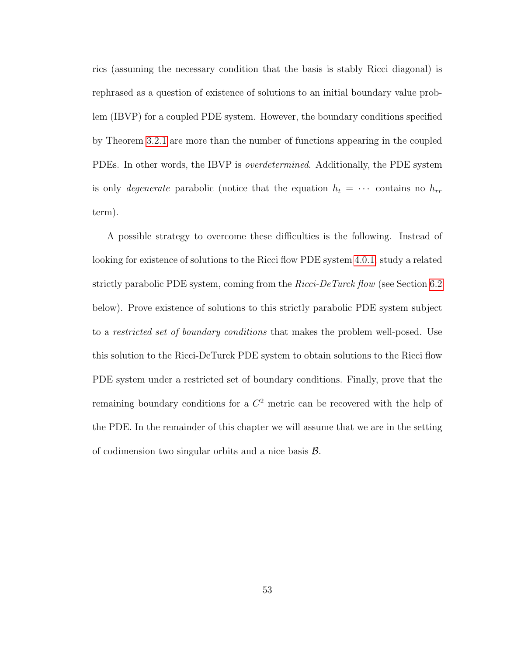rics (assuming the necessary condition that the basis is stably Ricci diagonal) is rephrased as a question of existence of solutions to an initial boundary value problem (IBVP) for a coupled PDE system. However, the boundary conditions specified by Theorem [3.2.1](#page-30-0) are more than the number of functions appearing in the coupled PDEs. In other words, the IBVP is overdetermined. Additionally, the PDE system is only *degenerate* parabolic (notice that the equation  $h_t = \cdots$  contains no  $h_{rr}$ term).

A possible strategy to overcome these difficulties is the following. Instead of looking for existence of solutions to the Ricci flow PDE system [4.0.1,](#page-39-1) study a related strictly parabolic PDE system, coming from the *Ricci-DeTurck flow* (see Section [6.2](#page-65-0)) below). Prove existence of solutions to this strictly parabolic PDE system subject to a *restricted set of boundary conditions* that makes the problem well-posed. Use this solution to the Ricci-DeTurck PDE system to obtain solutions to the Ricci flow PDE system under a restricted set of boundary conditions. Finally, prove that the remaining boundary conditions for a  $C<sup>2</sup>$  metric can be recovered with the help of the PDE. In the remainder of this chapter we will assume that we are in the setting of codimension two singular orbits and a nice basis  $\mathcal{B}$ .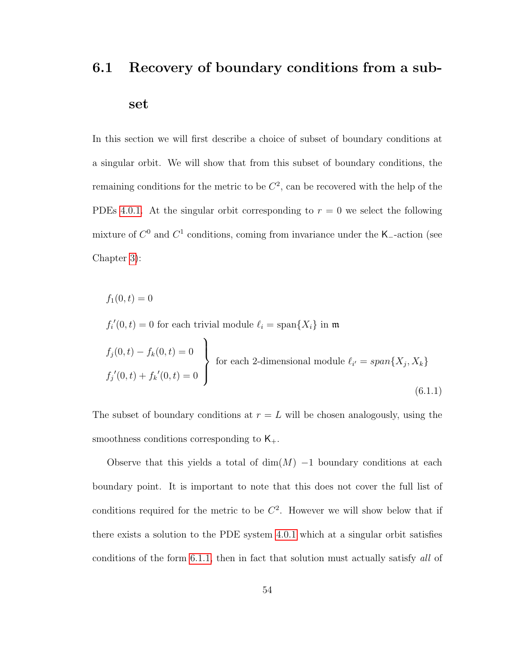# 6.1 Recovery of boundary conditions from a subset

In this section we will first describe a choice of subset of boundary conditions at a singular orbit. We will show that from this subset of boundary conditions, the remaining conditions for the metric to be  $C<sup>2</sup>$ , can be recovered with the help of the PDEs [4.0.1.](#page-39-1) At the singular orbit corresponding to  $r = 0$  we select the following mixture of  $C^0$  and  $C^1$  conditions, coming from invariance under the K<sub>-</sub>-action (see Chapter [3\)](#page-27-0):

$$
f_1(0,t) = 0
$$

<span id="page-59-0"></span> $f_i'(0,t) = 0$  for each trivial module  $\ell_i = \text{span}\{X_i\}$  in m

$$
f_j(0,t) - f_k(0,t) = 0
$$
  
for each 2-dimensional module  $\ell_{i'} = span{X_j, X_k}$   

$$
f_j'(0,t) + f_k'(0,t) = 0
$$
 (6.1.1)

The subset of boundary conditions at  $r = L$  will be chosen analogously, using the smoothness conditions corresponding to  $K_{+}$ .

Observe that this yields a total of  $\dim(M)$  –1 boundary conditions at each boundary point. It is important to note that this does not cover the full list of conditions required for the metric to be  $C<sup>2</sup>$ . However we will show below that if there exists a solution to the PDE system [4.0.1](#page-39-1) which at a singular orbit satisfies conditions of the form [6.1.1,](#page-59-0) then in fact that solution must actually satisfy all of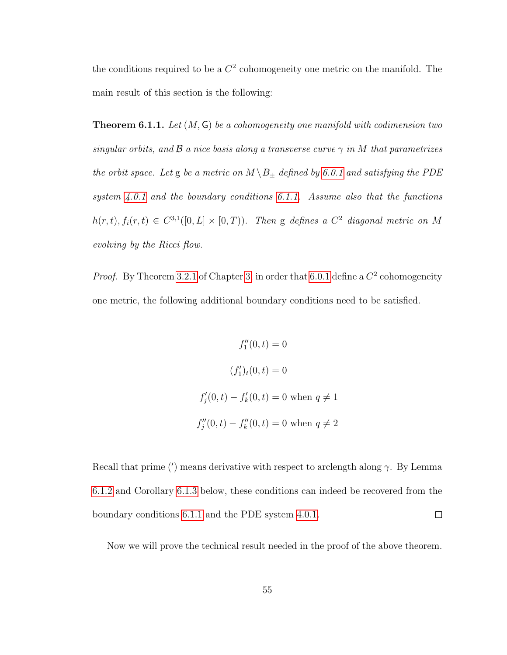the conditions required to be a  $C^2$  cohomogeneity one metric on the manifold. The main result of this section is the following:

**Theorem 6.1.1.** Let  $(M, G)$  be a cohomogeneity one manifold with codimension two singular orbits, and  $\beta$  a nice basis along a transverse curve  $\gamma$  in M that parametrizes the orbit space. Let g be a metric on  $M \ B_{\pm}$  defined by [6.0.1](#page-57-0) and satisfying the PDE system [4.0.1](#page-39-1) and the boundary conditions [6.1.1.](#page-59-0) Assume also that the functions  $h(r,t), f_i(r,t) \in C^{3,1}([0,L] \times [0,T))$ . Then g defines a  $C^2$  diagonal metric on M evolving by the Ricci flow.

*Proof.* By Theorem [3.2.1](#page-30-0) of Chapter [3,](#page-27-0) in order that [6.0.1](#page-57-0) define a  $C^2$  cohomogeneity one metric, the following additional boundary conditions need to be satisfied.

$$
f_1''(0, t) = 0
$$
  

$$
(f_1')_t(0, t) = 0
$$
  

$$
f_j'(0, t) - f_k'(0, t) = 0 \text{ when } q \neq 1
$$
  

$$
f_j''(0, t) - f_k''(0, t) = 0 \text{ when } q \neq 2
$$

Recall that prime ( $\prime$ ) means derivative with respect to arclength along  $\gamma$ . By Lemma [6.1.2](#page-61-0) and Corollary [6.1.3](#page-65-1) below, these conditions can indeed be recovered from the  $\Box$ boundary conditions [6](#page-59-0).1.1 and the PDE system [4.0.1.](#page-39-1)

Now we will prove the technical result needed in the proof of the above theorem.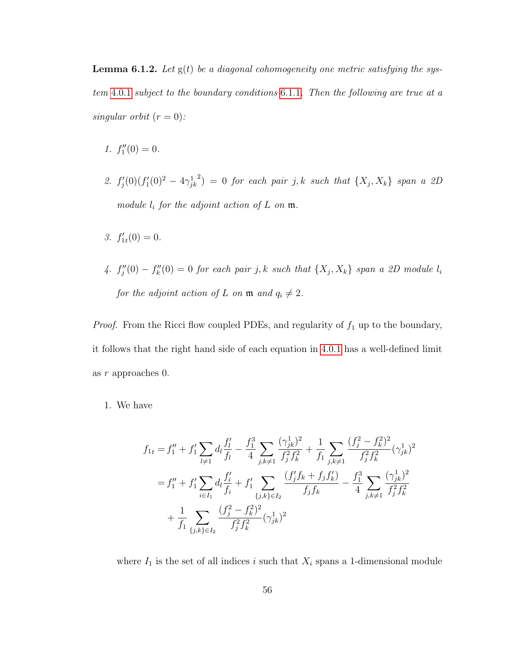<span id="page-61-0"></span>**Lemma 6.1.2.** Let  $g(t)$  be a diagonal cohomogeneity one metric satisfying the system [4](#page-39-1).0.1 subject to the boundary conditions [6](#page-59-0).1.1. Then the following are true at a singular orbit  $(r = 0)$ :

- 1.  $f_1''(0) = 0$ .
- 2.  $f'_j(0)(f'_1(0)^2 4\gamma_{jk}^1)$  $\mathcal{L}^{(2)} = 0$  for each pair j, k such that  $\{X_j, X_k\}$  span a 2D module  $l_i$  for the adjoint action of  $L$  on  $\mathfrak m$ .
- 3.  $f'_{1t}(0) = 0$ .
- 4.  $f''_j(0) f''_k(0) = 0$  for each pair j, k such that  $\{X_j, X_k\}$  span a 2D module  $l_i$ for the adjoint action of L on  $\mathfrak{m}$  and  $q_i \neq 2$ .

*Proof.* From the Ricci flow coupled PDEs, and regularity of  $f_1$  up to the boundary, it follows that the right hand side of each equation in [4](#page-39-1).0.1 has a well-defined limit as r approaches 0.

1. We have

$$
f_{1t} = f_1'' + f_1' \sum_{l \neq 1} d_l \frac{f_l'}{f_l} - \frac{f_1^3}{4} \sum_{j,k \neq 1} \frac{(\gamma_{jk}^1)^2}{f_j^2 f_k^2} + \frac{1}{f_1} \sum_{j,k \neq 1} \frac{(f_j^2 - f_k^2)^2}{f_j^2 f_k^2} (\gamma_{jk}^1)^2
$$
  

$$
= f_1'' + f_1' \sum_{i \in I_1} d_l \frac{f_i'}{f_i} + f_1' \sum_{\{j,k\} \in I_2} \frac{(f_j' f_k + f_j f_k')}{f_j f_k} - \frac{f_1^3}{4} \sum_{j,k \neq 1} \frac{(\gamma_{jk}^1)^2}{f_j^2 f_k^2}
$$
  

$$
+ \frac{1}{f_1} \sum_{\{j,k\} \in I_2} \frac{(f_j^2 - f_k^2)^2}{f_j^2 f_k^2} (\gamma_{jk}^1)^2
$$

where  $I_1$  is the set of all indices i such that  $X_i$  spans a 1-dimensional module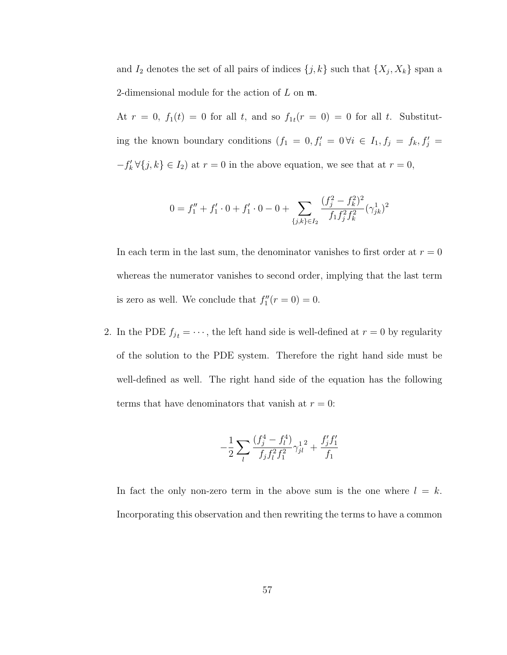and  $I_2$  denotes the set of all pairs of indices  $\{j, k\}$  such that  $\{X_j, X_k\}$  span a 2-dimensional module for the action of  $L$  on  $\mathfrak{m}$ .

At  $r = 0$ ,  $f_1(t) = 0$  for all t, and so  $f_{1t}(r = 0) = 0$  for all t. Substituting the known boundary conditions  $(f_1 = 0, f'_i = 0 \forall i \in I_1, f_j = f_k, f'_j =$  $-f'_k \forall \{j,k\} \in I_2$  at  $r = 0$  in the above equation, we see that at  $r = 0$ ,

$$
0=f_1''+f_1'\cdot 0+f_1'\cdot 0-0+\sum_{\{j,k\}\in I_2}\frac{(f_j^2-f_k^2)^2}{f_1f_j^2f_k^2}(\gamma_{jk}^1)^2
$$

In each term in the last sum, the denominator vanishes to first order at  $r = 0$ whereas the numerator vanishes to second order, implying that the last term is zero as well. We conclude that  $f_1''(r=0) = 0$ .

2. In the PDE  $f_{jt} = \cdots$ , the left hand side is well-defined at  $r = 0$  by regularity of the solution to the PDE system. Therefore the right hand side must be well-defined as well. The right hand side of the equation has the following terms that have denominators that vanish at  $r = 0$ :

$$
-\frac{1}{2}\sum_{l}\frac{(f_j^4 - f_l^4)}{f_jf_l^2f_1^2}\gamma_{jl}^{12} + \frac{f_j^{\prime}f_1^{\prime}}{f_1}
$$

In fact the only non-zero term in the above sum is the one where  $l = k$ . Incorporating this observation and then rewriting the terms to have a common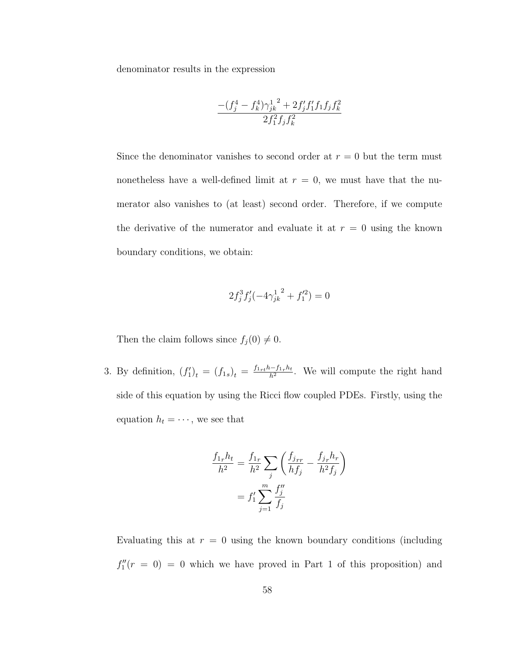denominator results in the expression

$$
\frac{-(f_j^4 - f_k^4)\gamma_{jk}^{1\ 2} + 2f_j'f_1'f_1f_jf_k^2}{2f_1^2f_jf_k^2}
$$

Since the denominator vanishes to second order at  $r = 0$  but the term must nonetheless have a well-defined limit at  $r = 0$ , we must have that the numerator also vanishes to (at least) second order. Therefore, if we compute the derivative of the numerator and evaluate it at  $r = 0$  using the known boundary conditions, we obtain:

$$
2f_j^3 f_j'(-4\gamma_{jk}^{1^2} + f_1'^2) = 0
$$

Then the claim follows since  $f_j(0) \neq 0$ .

3. By definition,  $(f'_1)_t = (f_{1s})_t = \frac{f_{1rt}h - f_{1r}h_t}{h^2}$  $\frac{n-1}{h^2}$ . We will compute the right hand side of this equation by using the Ricci flow coupled PDEs. Firstly, using the equation  $h_t = \cdots$ , we see that

$$
\frac{f_{1r}h_t}{h^2} = \frac{f_{1r}}{h^2} \sum_j \left( \frac{f_{jrr}}{hf_j} - \frac{f_{jr}h_r}{h^2f_j} \right)
$$

$$
= f'_1 \sum_{j=1}^m \frac{f''_j}{f_j}
$$

Evaluating this at  $r = 0$  using the known boundary conditions (including  $f''_1(r = 0) = 0$  which we have proved in Part 1 of this proposition) and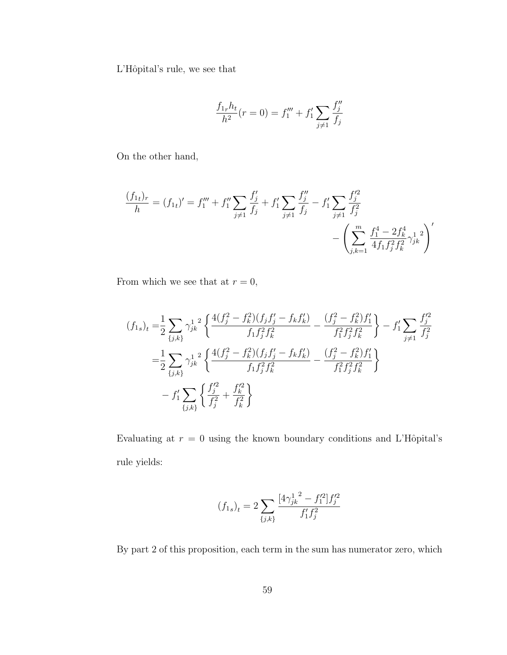L'Hôpital's rule, we see that

$$
\frac{f_{1r}h_t}{h^2}(r=0) = f_1''' + f_1' \sum_{j \neq 1} \frac{f_j''}{f_j}
$$

On the other hand,

$$
\frac{(f_{1t})_r}{h} = (f_{1t})' = f_1''' + f_1'' \sum_{j \neq 1} \frac{f_j'}{f_j} + f_1' \sum_{j \neq 1} \frac{f_j''}{f_j} - f_1' \sum_{j \neq 1} \frac{f_j'^2}{f_j^2} - \left( \sum_{j,k=1}^m \frac{f_1^4 - 2f_k^4}{4f_1 f_j^2 f_k^2} \gamma_{jk}^1 \right)'
$$

From which we see that at  $r = 0$ ,

$$
(f_{1s})_t = \frac{1}{2} \sum_{\{j,k\}} \gamma_{jk}^{1/2} \left\{ \frac{4(f_j^2 - f_k^2)(f_j f_j' - f_k f_k')}{f_1 f_j^2 f_k^2} - \frac{(f_j^2 - f_k^2) f_1'}{f_1^2 f_j^2 f_k^2} \right\} - f_1' \sum_{j \neq 1} \frac{f_j'^2}{f_j^2} = \frac{1}{2} \sum_{\{j,k\}} \gamma_{jk}^{1/2} \left\{ \frac{4(f_j^2 - f_k^2)(f_j f_j' - f_k f_k')}{f_1 f_j^2 f_k^2} - \frac{(f_j^2 - f_k^2) f_1'}{f_1^2 f_j^2 f_k^2} \right\} - f_1' \sum_{\{j,k\}} \left\{ \frac{f_j'^2}{f_j^2} + \frac{f_k'^2}{f_k^2} \right\}
$$

Evaluating at  $r = 0$  using the known boundary conditions and L'Hôpital's rule yields:

$$
(f_{1s})_t = 2 \sum_{\{j,k\}} \frac{[4\gamma_{jk}^{1^2} - f_1^{\prime 2}]f_j^{\prime 2}}{f_1^{\prime}f_j^2}
$$

By part 2 of this proposition, each term in the sum has numerator zero, which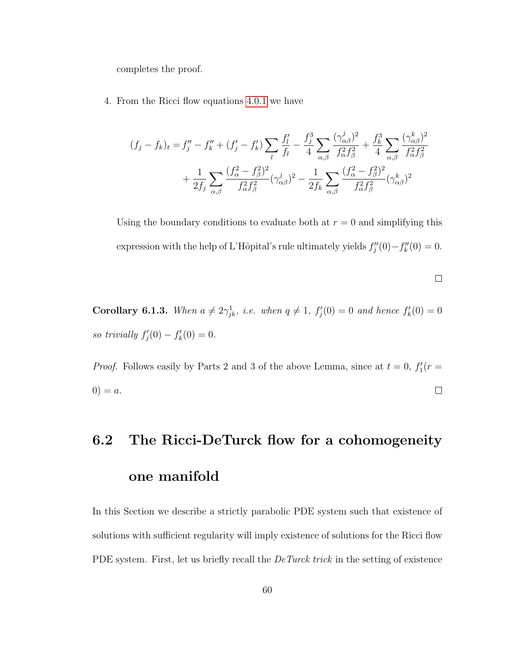completes the proof.

4. From the Ricci flow equations [4](#page-39-1).0.1 we have

$$
(f_j - f_k)_t = f''_j - f''_k + (f'_j - f'_k) \sum_l \frac{f'_l}{f_l} - \frac{f^3_j}{4} \sum_{\alpha,\beta} \frac{(\gamma^j_{\alpha\beta})^2}{f^2_{\alpha}f^2_{\beta}} + \frac{f^3_k}{4} \sum_{\alpha,\beta} \frac{(\gamma^k_{\alpha\beta})^2}{f^2_{\alpha}f^2_{\beta}} + \frac{1}{2f_j} \sum_{\alpha,\beta} \frac{(f^2_{\alpha} - f^2_{\beta})^2}{f^2_{\alpha}f^2_{\beta}} (\gamma^j_{\alpha\beta})^2 - \frac{1}{2f_k} \sum_{\alpha,\beta} \frac{(f^2_{\alpha} - f^2_{\beta})^2}{f^2_{\alpha}f^2_{\beta}} (\gamma^k_{\alpha\beta})^2
$$

Using the boundary conditions to evaluate both at  $r = 0$  and simplifying this expression with the help of L'Hôpital's rule ultimately yields  $f''_j(0) - f''_k(0) = 0$ .

 $\Box$ 

<span id="page-65-1"></span>**Corollary 6.1.3.** When  $a \neq 2\gamma_{jk}^1$ , i.e. when  $q \neq 1$ ,  $f'_j(0) = 0$  and hence  $f'_k(0) = 0$ so trivially  $f'_{j}(0) - f'_{k}(0) = 0.$ 

*Proof.* Follows easily by Parts 2 and 3 of the above Lemma, since at  $t = 0$ ,  $f_1'(r =$  $0) = a.$  $\Box$ 

# <span id="page-65-0"></span>6.2 The Ricci-DeTurck flow for a cohomogeneity one manifold

In this Section we describe a strictly parabolic PDE system such that existence of solutions with sufficient regularity will imply existence of solutions for the Ricci flow PDE system. First, let us briefly recall the *DeTurck trick* in the setting of existence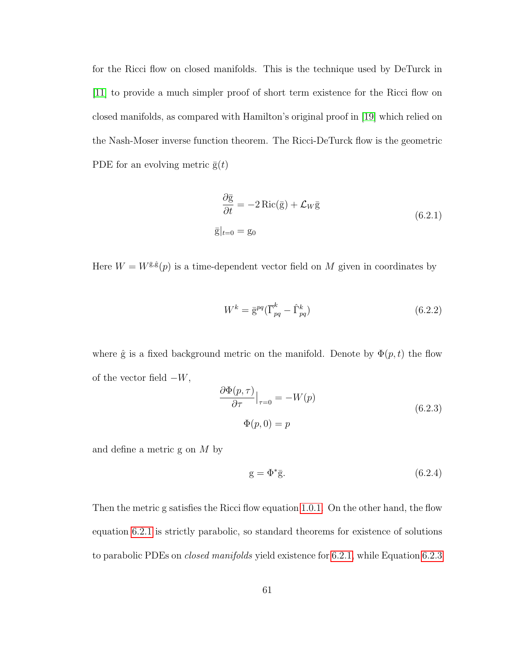for the Ricci flow on closed manifolds. This is the technique used by DeTurck in [\[11\]](#page-78-0) to provide a much simpler proof of short term existence for the Ricci flow on closed manifolds, as compared with Hamilton's original proof in [\[19\]](#page-79-4) which relied on the Nash-Moser inverse function theorem. The Ricci-DeTurck flow is the geometric PDE for an evolving metric  $\bar{g}(t)$ 

<span id="page-66-0"></span>
$$
\frac{\partial \bar{\mathbf{g}}}{\partial t} = -2 \operatorname{Ric}(\bar{\mathbf{g}}) + \mathcal{L}_W \bar{\mathbf{g}}
$$
  

$$
\bar{\mathbf{g}}|_{t=0} = \mathbf{g}_0
$$
 (6.2.1)

Here  $W = W^{\bar{\mathbf{g}},\hat{\mathbf{g}}}(p)$  is a time-dependent vector field on M given in coordinates by

<span id="page-66-2"></span>
$$
W^k = \bar{\mathbf{g}}^{pq} (\bar{\Gamma}^k_{pq} - \hat{\Gamma}^k_{pq}) \tag{6.2.2}
$$

where  $\hat{g}$  is a fixed background metric on the manifold. Denote by  $\Phi(p, t)$  the flow of the vector field  $-W$ ,

<span id="page-66-1"></span>
$$
\frac{\partial \Phi(p,\tau)}{\partial \tau}\Big|_{\tau=0} = -W(p)
$$
\n
$$
\Phi(p,0) = p
$$
\n(6.2.3)

and define a metric g on M by

$$
g = \Phi^* \overline{g}.\tag{6.2.4}
$$

Then the metric g satisfies the Ricci flow equation [1.0.1.](#page-6-0) On the other hand, the flow equation [6.2.1](#page-66-0) is strictly parabolic, so standard theorems for existence of solutions to parabolic PDEs on *closed manifolds* yield existence for [6.2.1,](#page-66-0) while Equation [6.2.3](#page-66-1)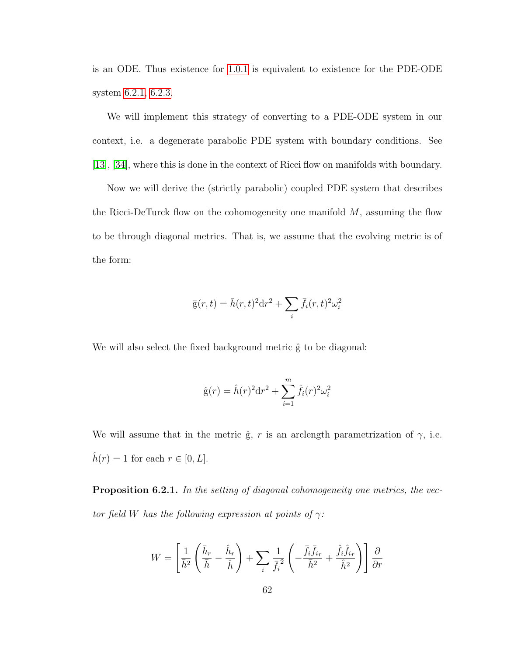is an ODE. Thus existence for [1.0.1](#page-6-0) is equivalent to existence for the PDE-ODE system [6.2.1,](#page-66-0) [6.2.3.](#page-66-1)

We will implement this strategy of converting to a PDE-ODE system in our context, i.e. a degenerate parabolic PDE system with boundary conditions. See [\[13\]](#page-78-1), [\[34\]](#page-81-0), where this is done in the context of Ricci flow on manifolds with boundary.

Now we will derive the (strictly parabolic) coupled PDE system that describes the Ricci-DeTurck flow on the cohomogeneity one manifold  $M$ , assuming the flow to be through diagonal metrics. That is, we assume that the evolving metric is of the form:

$$
\bar{g}(r,t) = \bar{h}(r,t)^2 dr^2 + \sum_i \bar{f}_i(r,t)^2 \omega_i^2
$$

We will also select the fixed background metric  $\hat{g}$  to be diagonal:

$$
\hat{g}(r) = \hat{h}(r)^2 dr^2 + \sum_{i=1}^{m} \hat{f}_i(r)^2 \omega_i^2
$$

We will assume that in the metric  $\hat{g}$ , r is an arclength parametrization of  $\gamma$ , i.e.  $\hat{h}(r) = 1$  for each  $r \in [0, L]$ .

Proposition 6.2.1. In the setting of diagonal cohomogeneity one metrics, the vector field W has the following expression at points of  $\gamma$ :

$$
W = \left[\frac{1}{\bar{h}^2} \left(\frac{\bar{h}_r}{\bar{h}} - \frac{\hat{h}_r}{\hat{h}}\right) + \sum_i \frac{1}{\bar{f}_i^2} \left(-\frac{\bar{f}_i \bar{f}_{ir}}{\bar{h}^2} + \frac{\hat{f}_i \hat{f}_{ir}}{\hat{h}^2}\right)\right] \frac{\partial}{\partial r}
$$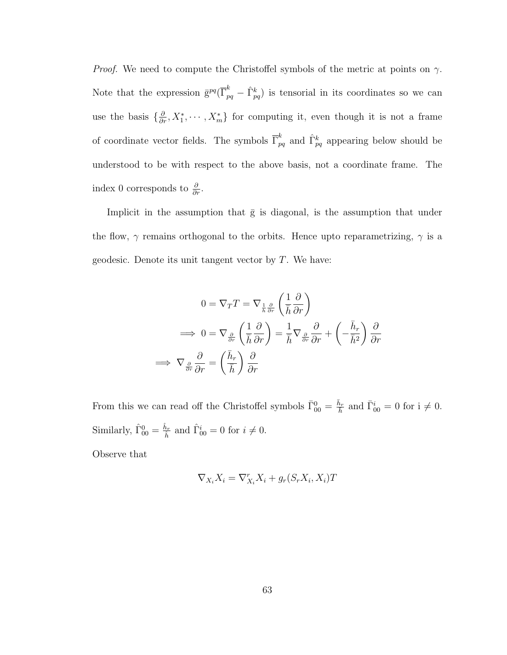*Proof.* We need to compute the Christoffel symbols of the metric at points on  $\gamma$ . Note that the expression  $\bar{g}^{pq}(\bar{\Gamma}^k_{pq} - \hat{\Gamma}^k_{pq})$  is tensorial in its coordinates so we can use the basis  $\{\frac{\partial}{\partial r}, X_1^*, \cdots, X_m^*\}$  for computing it, even though it is not a frame of coordinate vector fields. The symbols  $\overline{\Gamma}_{pq}^k$  and  $\hat{\Gamma}_{pq}^k$  appearing below should be understood to be with respect to the above basis, not a coordinate frame. The index 0 corresponds to  $\frac{\partial}{\partial r}$ .

Implicit in the assumption that  $\bar{g}$  is diagonal, is the assumption that under the flow,  $\gamma$  remains orthogonal to the orbits. Hence upto reparametrizing,  $\gamma$  is a geodesic. Denote its unit tangent vector by  $T$ . We have:

$$
0 = \nabla_T T = \nabla_{\frac{1}{\hbar} \frac{\partial}{\partial r}} \left( \frac{1}{\bar{h}} \frac{\partial}{\partial r} \right)
$$

$$
\implies 0 = \nabla_{\frac{\partial}{\partial r}} \left( \frac{1}{\bar{h}} \frac{\partial}{\partial r} \right) = \frac{1}{\bar{h}} \nabla_{\frac{\partial}{\partial r}} \frac{\partial}{\partial r} + \left( -\frac{\bar{h}_r}{\bar{h}^2} \right) \frac{\partial}{\partial r}
$$

$$
\implies \nabla_{\frac{\partial}{\partial r} \frac{\partial}{\partial r}} = \left( \frac{\bar{h}_r}{\bar{h}} \right) \frac{\partial}{\partial r}
$$

From this we can read off the Christoffel symbols  $\bar{\Gamma}_{00}^0 = \frac{\bar{h}_r}{h}$  and  $\bar{\Gamma}_{00}^i = 0$  for  $i \neq 0$ . Similarly,  $\hat{\Gamma}_{00}^0 = \frac{\hat{h}_r}{\hat{h}}$  $\hat{h}_r$  and  $\hat{\Gamma}_{00}^i = 0$  for  $i \neq 0$ .

Observe that

$$
\nabla_{X_i} X_i = \nabla_{X_i}^r X_i + g_r(S_r X_i, X_i)T
$$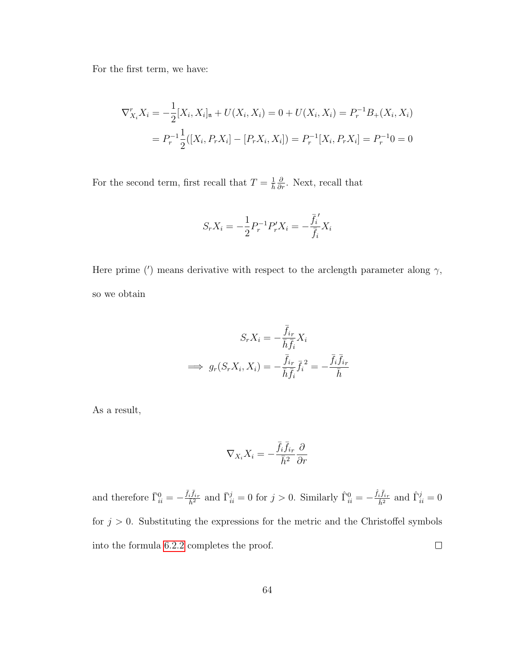For the first term, we have:

$$
\nabla_{X_i}^r X_i = -\frac{1}{2} [X_i, X_i]_{\mathfrak{n}} + U(X_i, X_i) = 0 + U(X_i, X_i) = P_r^{-1} B_+(X_i, X_i)
$$

$$
= P_r^{-1} \frac{1}{2} ([X_i, P_r X_i] - [P_r X_i, X_i]) = P_r^{-1} [X_i, P_r X_i] = P_r^{-1} 0 = 0
$$

For the second term, first recall that  $T = \frac{1}{h} \frac{\partial}{\partial r}$ . Next, recall that

$$
S_r X_i = -\frac{1}{2} P_r^{-1} P'_r X_i = -\frac{\bar{f}_i'}{\bar{f}_i} X_i
$$

Here prime (') means derivative with respect to the arclength parameter along  $\gamma$ , so we obtain

$$
S_r X_i = -\frac{\bar{f}_{ir}}{\bar{h}\bar{f}_i} X_i
$$
  
\n
$$
\implies g_r(S_r X_i, X_i) = -\frac{\bar{f}_{ir}}{\bar{h}\bar{f}_i} \bar{f}_i^2 = -\frac{\bar{f}_i \bar{f}_{ir}}{\bar{h}}
$$

As a result,

$$
\nabla_{X_i} X_i = -\frac{\bar{f_i} \bar{f}_{i r}}{\bar{h}^2} \frac{\partial}{\partial r}
$$

and therefore  $\bar{\Gamma}_{ii}^0 = -\frac{\bar{f}_i\bar{f}_{ir}}{\bar{h}^2}$  and  $\bar{\Gamma}_{ii}^j = 0$  for  $j > 0$ . Similarly  $\hat{\Gamma}_{ii}^0 = -\frac{\hat{f}_i\bar{f}_{ir}}{\hat{h}^2}$  and  $\hat{\Gamma}_{ii}^j = 0$ for  $j > 0$ . Substituting the expressions for the metric and the Christoffel symbols into the formula [6.2.2](#page-66-2) completes the proof.  $\Box$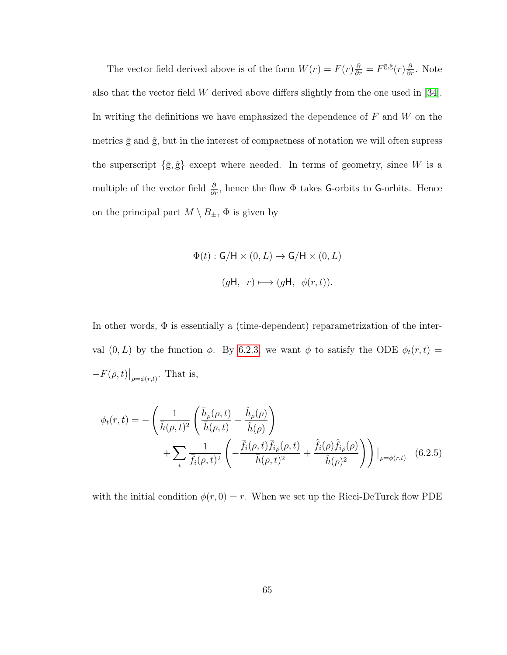The vector field derived above is of the form  $W(r) = F(r)\frac{\partial}{\partial r} = F^{\bar{g},\hat{g}}(r)\frac{\partial}{\partial r}$ . Note also that the vector field W derived above differs slightly from the one used in [\[34\]](#page-81-0). In writing the definitions we have emphasized the dependence of  $F$  and  $W$  on the metrics  $\bar{g}$  and  $\hat{g}$ , but in the interest of compactness of notation we will often supress the superscript  $\{\bar{g}, \hat{g}\}$  except where needed. In terms of geometry, since W is a multiple of the vector field  $\frac{\partial}{\partial r}$ , hence the flow  $\Phi$  takes G-orbits to G-orbits. Hence on the principal part  $M \setminus B_{\pm}$ ,  $\Phi$  is given by

$$
\Phi(t): \mathsf{G}/\mathsf{H} \times (0, L) \to \mathsf{G}/\mathsf{H} \times (0, L)
$$

$$
(g\mathsf{H}, r) \longmapsto (g\mathsf{H}, \phi(r, t)).
$$

In other words,  $\Phi$  is essentially a (time-dependent) reparametrization of the interval  $(0, L)$  by the function  $\phi$ . By [6.2.3,](#page-66-1) we want  $\phi$  to satisfy the ODE  $\phi_t(r, t)$  =  $-F(\rho,t)|_{\rho=\phi(r,t)}$ . That is,

$$
\phi_t(r,t) = -\left(\frac{1}{\bar{h}(\rho,t)^2} \left(\frac{\bar{h}_{\rho}(\rho,t)}{\bar{h}(\rho,t)} - \frac{\hat{h}_{\rho}(\rho)}{\hat{h}(\rho)}\right) + \sum_i \frac{1}{\bar{f}_i(\rho,t)^2} \left(-\frac{\bar{f}_i(\rho,t)\bar{f}_{i\rho}(\rho,t)}{\bar{h}(\rho,t)^2} + \frac{\hat{f}_i(\rho)\hat{f}_{i\rho}(\rho)}{\hat{h}(\rho)^2}\right)\right)|_{\rho=\phi(r,t)} \quad (6.2.5)
$$

with the initial condition  $\phi(r, 0) = r$ . When we set up the Ricci-DeTurck flow PDE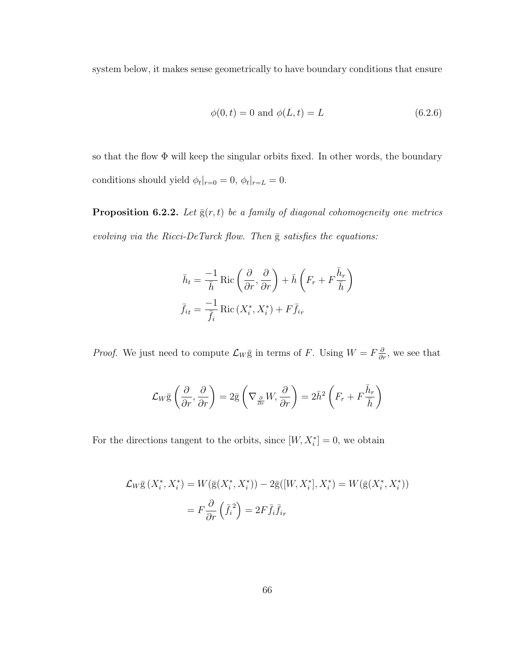system below, it makes sense geometrically to have boundary conditions that ensure

$$
\phi(0, t) = 0
$$
 and  $\phi(L, t) = L$  (6.2.6)

so that the flow Φ will keep the singular orbits fixed. In other words, the boundary conditions should yield  $\phi_t|_{r=0} = 0$ ,  $\phi_t|_{r=L} = 0$ .

**Proposition 6.2.2.** Let  $\bar{g}(r, t)$  be a family of diagonal cohomogeneity one metrics evolving via the Ricci-DeTurck flow. Then  $\bar{g}$  satisfies the equations:

$$
\bar{h}_t = \frac{-1}{\bar{h}} \operatorname{Ric}\left(\frac{\partial}{\partial r}, \frac{\partial}{\partial r}\right) + \bar{h}\left(F_r + F\frac{\bar{h}_r}{\bar{h}}\right)
$$

$$
\bar{f}_{it} = \frac{-1}{\bar{f}_i} \operatorname{Ric}\left(X_i^*, X_i^*\right) + F\bar{f}_{ir}
$$

*Proof.* We just need to compute  $\mathcal{L}_W \bar{g}$  in terms of F. Using  $W = F \frac{\partial}{\partial r}$ , we see that

$$
\mathcal{L}_W \bar{\mathbf{g}}\left(\frac{\partial}{\partial r}, \frac{\partial}{\partial r}\right) = 2\bar{\mathbf{g}}\left(\nabla_{\frac{\partial}{\partial r}} W, \frac{\partial}{\partial r}\right) = 2\bar{h}^2 \left(F_r + F \frac{\bar{h}_r}{\bar{h}}\right)
$$

For the directions tangent to the orbits, since  $[W, X_i^*] = 0$ , we obtain

$$
\mathcal{L}_W \overline{\mathbf{g}}\left(X_i^*, X_i^*\right) = W\left(\overline{\mathbf{g}}\left(X_i^*, X_i^*\right)\right) - 2\overline{\mathbf{g}}\left([W, X_i^*], X_i^*\right) = W\left(\overline{\mathbf{g}}\left(X_i^*, X_i^*\right)\right)
$$

$$
= F\frac{\partial}{\partial r}\left(\overline{f}_i^2\right) = 2F\overline{f}_i\overline{f}_{ir}
$$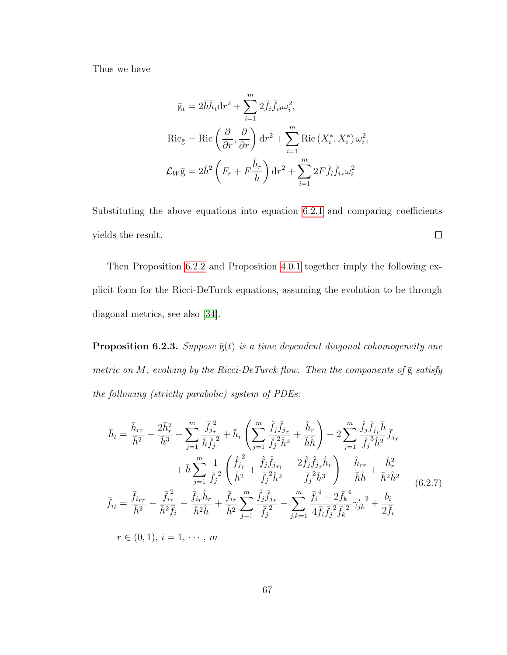Thus we have

$$
\bar{g}_t = 2\bar{h}\bar{h}_t dr^2 + \sum_{i=1}^m 2\bar{f}_i \bar{f}_{it} \omega_i^2,
$$
  
\n
$$
\text{Ric}_{\bar{g}} = \text{Ric}\left(\frac{\partial}{\partial r}, \frac{\partial}{\partial r}\right) dr^2 + \sum_{i=1}^m \text{Ric}\left(X_i^*, X_i^*\right) \omega_i^2,
$$
  
\n
$$
\mathcal{L}_W \bar{g} = 2\bar{h}^2 \left(F_r + F \frac{\bar{h}_r}{\bar{h}}\right) dr^2 + \sum_{i=1}^m 2F \bar{f}_i \bar{f}_{ir} \omega_i^2
$$

Substituting the above equations into equation [6](#page-66-0).2.1 and comparing coefficients  $\Box$ yields the result.

Then Proposition [6.2.2](#page-71-0) and Proposition [4.0.1](#page-38-0) together imply the following explicit form for the Ricci-DeTurck equations, assuming the evolution to be through diagonal metrics, see also [\[34\]](#page-81-0).

**Proposition 6.2.3.** Suppose  $\bar{g}(t)$  is a time dependent diagonal cohomogeneity one metric on M, evolving by the Ricci-DeTurck flow. Then the components of  $\overline{g}$  satisfy the following (strictly parabolic) system of PDEs:

<span id="page-72-0"></span>
$$
\bar{h}_{t} = \frac{\bar{h}_{rr}}{\bar{h}^{2}} - \frac{2\bar{h}_{r}^{2}}{\bar{h}^{3}} + \sum_{j=1}^{m} \frac{\bar{f}_{j_{r}}^{2}}{\bar{h}\bar{f}_{j}^{2}} + \bar{h}_{r} \left( \sum_{j=1}^{m} \frac{\hat{f}_{j}\hat{f}_{j_{r}}}{\bar{f}_{j}} + \frac{\hat{h}_{r}}{\bar{h}\hat{h}} \right) - 2 \sum_{j=1}^{m} \frac{\hat{f}_{j}\hat{f}_{j_{r}}\bar{h}}{\bar{f}_{j}^{3}\hat{h}^{2}} \bar{f}_{j_{r}} + \bar{h} \sum_{j=1}^{m} \frac{1}{\bar{f}_{j}^{2}} \left( \frac{\hat{f}_{j_{r}}^{2}}{\hat{h}^{2}} + \frac{\hat{f}_{j}\hat{f}_{j_{rr}}}{\bar{f}_{j}^{2}\hat{h}^{2}} - \frac{2\hat{f}_{j}\hat{f}_{j_{r}}\hat{h}_{r}}{\bar{f}_{j}^{2}\hat{h}^{3}} \right) - \frac{\hat{h}_{rr}}{\bar{h}\hat{h}} + \frac{\hat{h}_{r}^{2}}{\bar{h}^{2}\hat{h}^{2}}
$$
\n
$$
\bar{f}_{it} = \frac{\bar{f}_{irr}}{\bar{h}^{2}} - \frac{\bar{f}_{ir}^{2}}{\bar{h}^{2}\bar{f}_{i}} - \frac{\bar{f}_{ir}\hat{h}_{r}}{\bar{h}^{2}\hat{h}} + \frac{\bar{f}_{ir}}{\hat{h}^{2}} \sum_{j=1}^{m} \frac{\hat{f}_{j}\hat{f}_{j_{r}}}{\bar{f}_{j}^{2}} - \sum_{j,k=1}^{m} \frac{\bar{f}_{i}^{4} - 2\bar{f}_{k}^{4}}{4\bar{f}_{i}\bar{f}_{j}^{2}\bar{f}_{k}^{2}} \gamma_{jk}^{i} + \frac{b_{i}}{2\bar{f}_{i}}
$$
\n
$$
r \in (0, 1), i = 1, \cdots, m
$$
\n(6.2.7)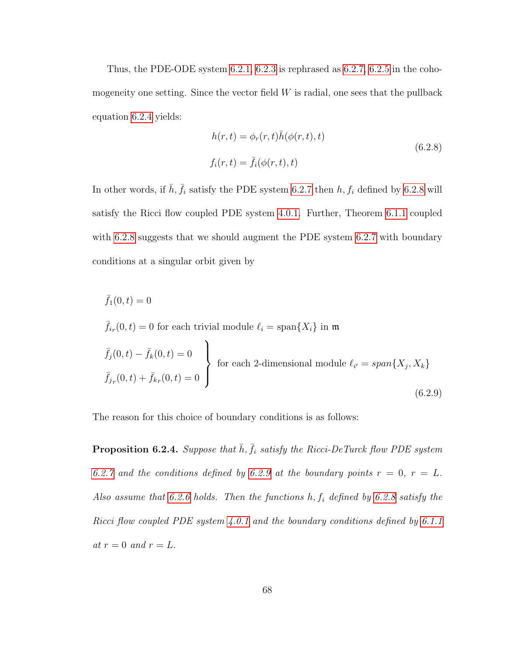Thus, the PDE-ODE system  $6.2.1$ ,  $6.2.3$  is rephrased as  $6.2.7$ ,  $6.2.5$  in the cohomogeneity one setting. Since the vector field  $W$  is radial, one sees that the pullback equation [6.2.4](#page-66-2) yields:

<span id="page-73-0"></span>
$$
h(r,t) = \phi_r(r,t)\bar{h}(\phi(r,t),t)
$$
  

$$
f_i(r,t) = \bar{f}_i(\phi(r,t),t)
$$
 (6.2.8)

In other words, if  $\bar{h}$ ,  $\bar{f}_i$  satisfy the PDE system [6.2.7](#page-72-0) then  $h, f_i$  defined by [6.2.8](#page-73-0) will satisfy the Ricci flow coupled PDE system [4.0.1.](#page-39-0) Further, Theorem [6.1.1](#page-60-0) coupled with [6.2.8](#page-73-0) suggests that we should augment the PDE system [6.2.7](#page-72-0) with boundary conditions at a singular orbit given by

<span id="page-73-1"></span>
$$
\bar{f}_1(0,t) = 0
$$
\n
$$
\bar{f}_{ir}(0,t) = 0 \text{ for each trivial module } \ell_i = \text{span}\{X_i\} \text{ in } \mathfrak{m}
$$
\n
$$
\bar{f}_j(0,t) - \bar{f}_k(0,t) = 0
$$
\n
$$
\bar{f}_{jr}(0,t) + \bar{f}_{kr}(0,t) = 0
$$
\nfor each 2-dimensional module  $\ell_{i'} = \text{span}\{X_j, X_k\}$ \n(6.2.9)

The reason for this choice of boundary conditions is as follows:

**Proposition 6.2.4.** Suppose that  $\bar{h}$ ,  $\bar{f}_i$  satisfy the Ricci-DeTurck flow PDE system [6.2.7](#page-72-0) and the conditions defined by [6.2.9](#page-73-1) at the boundary points  $r = 0$ ,  $r = L$ . Also assume that [6.2.6](#page-71-1) holds. Then the functions  $h, f_i$  defined by [6.2.8](#page-73-0) satisfy the Ricci flow coupled PDE system [4.0.1](#page-39-0) and the boundary conditions defined by [6.1.1](#page-59-0) at  $r = 0$  and  $r = L$ .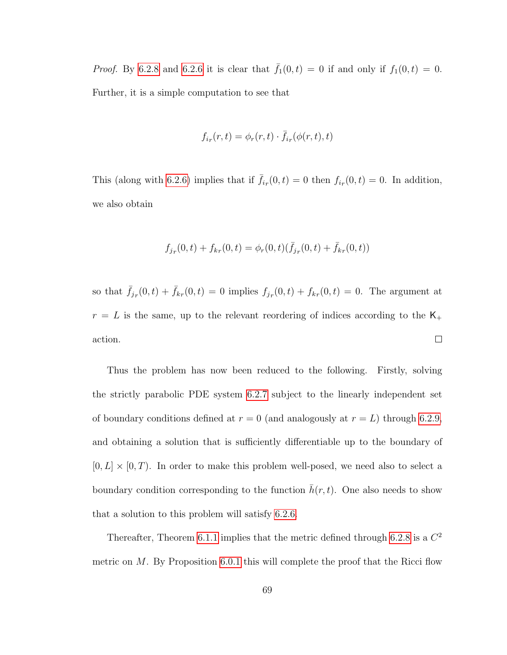*Proof.* By [6.2.8](#page-73-0) and [6.2.6](#page-71-1) it is clear that  $\bar{f}_1(0,t) = 0$  if and only if  $f_1(0,t) = 0$ . Further, it is a simple computation to see that

$$
f_{i_r}(r,t) = \phi_r(r,t) \cdot \bar{f}_{i_r}(\phi(r,t),t)
$$

This (along with [6.2.6\)](#page-71-1) implies that if  $\bar{f}_{ir}(0,t) = 0$  then  $f_{ir}(0,t) = 0$ . In addition, we also obtain

$$
f_{j_r}(0,t) + f_{k_r}(0,t) = \phi_r(0,t)(\bar{f}_{j_r}(0,t) + \bar{f}_{k_r}(0,t))
$$

so that  $\bar{f}_{j_r}(0,t) + \bar{f}_{k_r}(0,t) = 0$  implies  $f_{j_r}(0,t) + f_{k_r}(0,t) = 0$ . The argument at  $r\,=\,L$  is the same, up to the relevant reordering of indices according to the  $\mathsf{K}_+$  $\Box$ action.

Thus the problem has now been reduced to the following. Firstly, solving the strictly parabolic PDE system [6.2.7](#page-72-0) subject to the linearly independent set of boundary conditions defined at  $r = 0$  (and analogously at  $r = L$ ) through [6.2.9,](#page-73-1) and obtaining a solution that is sufficiently differentiable up to the boundary of  $[0, L] \times [0, T)$ . In order to make this problem well-posed, we need also to select a boundary condition corresponding to the function  $\bar{h}(r, t)$ . One also needs to show that a solution to this problem will satisfy [6.2.6.](#page-71-1)

Thereafter, Theorem [6.1.1](#page-60-0) implies that the metric defined through [6.2.8](#page-73-0) is a  $C^2$ metric on  $M$ . By Proposition [6.0.1](#page-56-0) this will complete the proof that the Ricci flow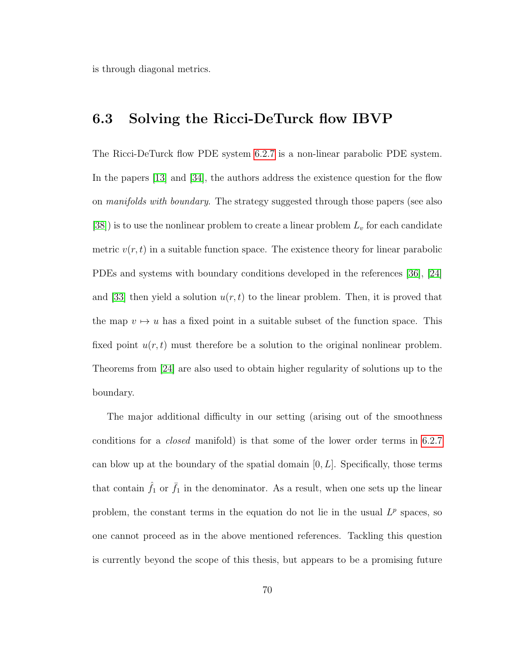is through diagonal metrics.

## 6.3 Solving the Ricci-DeTurck flow IBVP

The Ricci-DeTurck flow PDE system [6.2.7](#page-72-0) is a non-linear parabolic PDE system. In the papers [\[13\]](#page-78-0) and [\[34\]](#page-81-0), the authors address the existence question for the flow on *manifolds with boundary*. The strategy suggested through those papers (see also [\[38\]](#page-81-1)) is to use the nonlinear problem to create a linear problem  $L_v$  for each candidate metric  $v(r, t)$  in a suitable function space. The existence theory for linear parabolic PDEs and systems with boundary conditions developed in the references [\[36\]](#page-81-2), [\[24\]](#page-80-0) and [\[33\]](#page-81-3) then yield a solution  $u(r, t)$  to the linear problem. Then, it is proved that the map  $v \mapsto u$  has a fixed point in a suitable subset of the function space. This fixed point  $u(r, t)$  must therefore be a solution to the original nonlinear problem. Theorems from [\[24\]](#page-80-0) are also used to obtain higher regularity of solutions up to the boundary.

The major additional difficulty in our setting (arising out of the smoothness conditions for a closed manifold) is that some of the lower order terms in [6.2.7](#page-72-0) can blow up at the boundary of the spatial domain  $[0, L]$ . Specifically, those terms that contain  $\hat{f}_1$  or  $\bar{f}_1$  in the denominator. As a result, when one sets up the linear problem, the constant terms in the equation do not lie in the usual  $L^p$  spaces, so one cannot proceed as in the above mentioned references. Tackling this question is currently beyond the scope of this thesis, but appears to be a promising future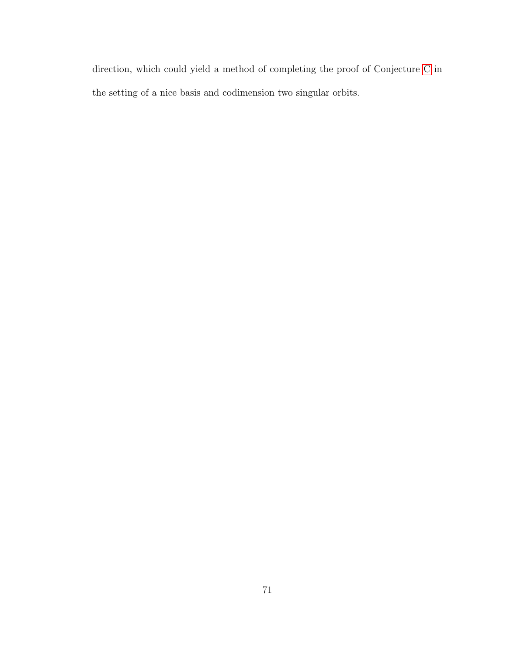direction, which could yield a method of completing the proof of Conjecture [C](#page-15-0) in the setting of a nice basis and codimension two singular orbits.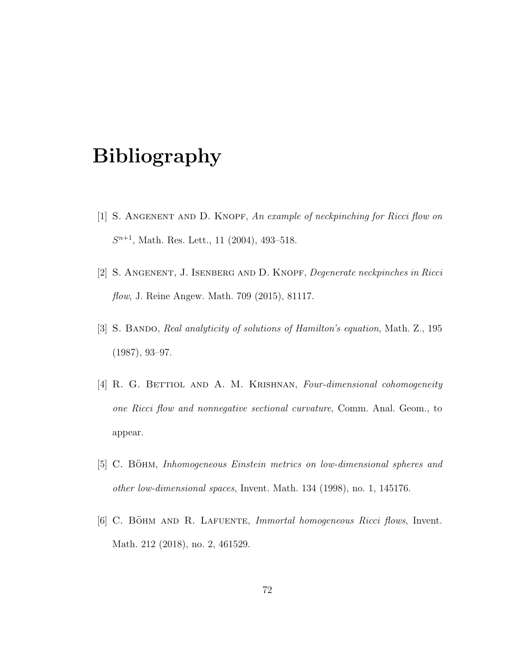## Bibliography

- [1] S. Angenent and D. Knopf, An example of neckpinching for Ricci flow on  $S^{n+1}$ , Math. Res. Lett., 11 (2004), 493-518.
- [2] S. Angenent, J. Isenberg and D. Knopf, Degenerate neckpinches in Ricci flow, J. Reine Angew. Math. 709 (2015), 81117.
- [3] S. BANDO, Real analyticity of solutions of Hamilton's equation, Math. Z., 195 (1987), 93–97.
- [4] R. G. BETTIOL AND A. M. KRISHNAN, Four-dimensional cohomogeneity one Ricci flow and nonnegative sectional curvature, Comm. Anal. Geom., to appear.
- [5] C. BÖHM, Inhomogeneous Einstein metrics on low-dimensional spheres and other low-dimensional spaces, Invent. Math. 134 (1998), no. 1, 145176.
- [6] C. BÖHM AND R. LAFUENTE, *Immortal homogeneous Ricci flows*, Invent. Math. 212 (2018), no. 2, 461529.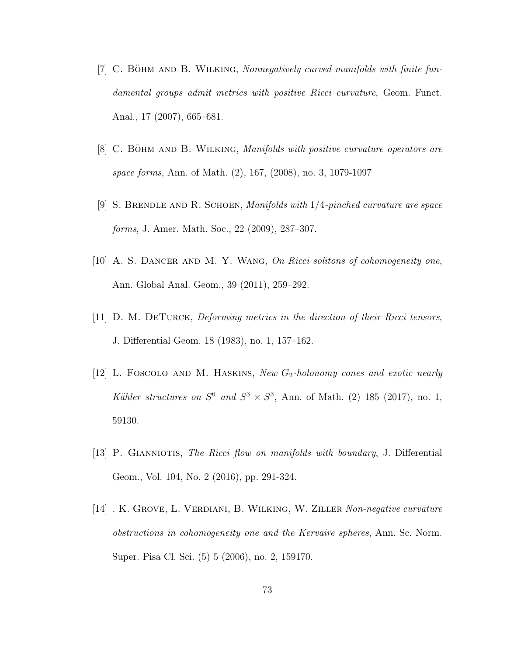- $[7]$  C. BÖHM AND B. WILKING, Nonnegatively curved manifolds with finite fundamental groups admit metrics with positive Ricci curvature, Geom. Funct. Anal., 17 (2007), 665–681.
- $[8]$  C. BÖHM AND B. WILKING, *Manifolds with positive curvature operators are* space forms, Ann. of Math. (2), 167, (2008), no. 3, 1079-1097
- [9] S. BRENDLE AND R. SCHOEN, *Manifolds with*  $1/4$ -pinched curvature are space forms, J. Amer. Math. Soc., 22 (2009), 287–307.
- [10] A. S. Dancer and M. Y. Wang, On Ricci solitons of cohomogeneity one, Ann. Global Anal. Geom., 39 (2011), 259–292.
- $[11]$  D. M. DETURCK, Deforming metrics in the direction of their Ricci tensors, J. Differential Geom. 18 (1983), no. 1, 157–162.
- [12] L. FOSCOLO AND M. HASKINS, New  $G_2$ -holonomy cones and exotic nearly Kähler structures on  $S^6$  and  $S^3 \times S^3$ , Ann. of Math. (2) 185 (2017), no. 1, 59130.
- <span id="page-78-0"></span>[13] P. GIANNIOTIS, The Ricci flow on manifolds with boundary, J. Differential Geom., Vol. 104, No. 2 (2016), pp. 291-324.
- [14] . K. Grove, L. Verdiani, B. Wilking, W. Ziller Non-negative curvature obstructions in cohomogeneity one and the Kervaire spheres, Ann. Sc. Norm. Super. Pisa Cl. Sci. (5) 5 (2006), no. 2, 159170.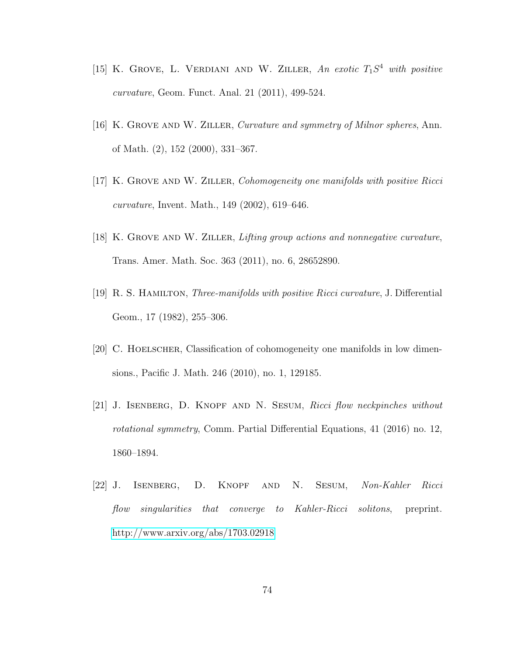- [15] K. GROVE, L. VERDIANI AND W. ZILLER, An exotic  $T_1S^4$  with positive curvature, Geom. Funct. Anal. 21 (2011), 499-524.
- [16] K. GROVE AND W. ZILLER, Curvature and symmetry of Milnor spheres, Ann. of Math. (2), 152 (2000), 331–367.
- [17] K. GROVE AND W. ZILLER, Cohomogeneity one manifolds with positive Ricci curvature, Invent. Math., 149 (2002), 619–646.
- [18] K. Grove and W. Ziller, Lifting group actions and nonnegative curvature, Trans. Amer. Math. Soc. 363 (2011), no. 6, 28652890.
- [19] R. S. Hamilton, Three-manifolds with positive Ricci curvature, J. Differential Geom., 17 (1982), 255–306.
- [20] C. Hoelscher, Classification of cohomogeneity one manifolds in low dimensions., Pacific J. Math. 246 (2010), no. 1, 129185.
- [21] J. ISENBERG, D. KNOPF AND N. SESUM, Ricci flow neckpinches without rotational symmetry, Comm. Partial Differential Equations, 41 (2016) no. 12, 1860–1894.
- [22] J. Isenberg, D. Knopf and N. Sesum, Non-Kahler Ricci flow singularities that converge to Kahler-Ricci solitons, preprint. <http://www.arxiv.org/abs/1703.02918>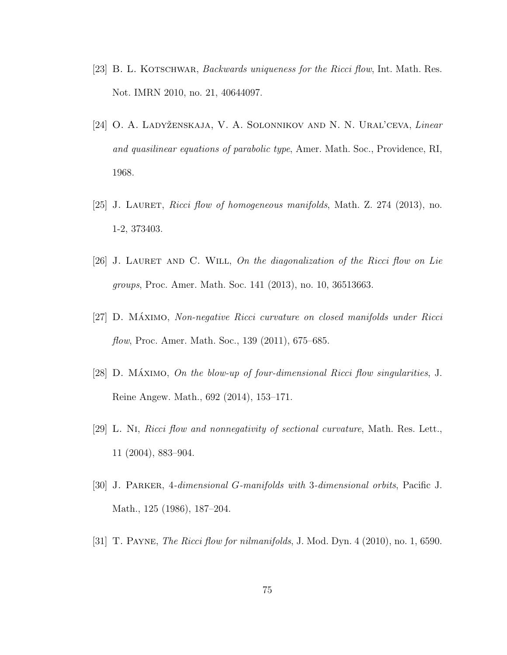- [23] B. L. KOTSCHWAR, *Backwards uniqueness for the Ricci flow*, Int. Math. Res. Not. IMRN 2010, no. 21, 40644097.
- <span id="page-80-0"></span>[24] O. A. LADYŽENSKAJA, V. A. SOLONNIKOV AND N. N. URAL'CEVA, Linear and quasilinear equations of parabolic type, Amer. Math. Soc., Providence, RI, 1968.
- [25] J. Lauret, Ricci flow of homogeneous manifolds, Math. Z. 274 (2013), no. 1-2, 373403.
- [26] J. LAURET AND C. WILL, On the diagonalization of the Ricci flow on Lie groups, Proc. Amer. Math. Soc. 141 (2013), no. 10, 36513663.
- [27] D. MÁXIMO, Non-negative Ricci curvature on closed manifolds under Ricci flow, Proc. Amer. Math. Soc., 139 (2011), 675–685.
- [28] D. MÁXIMO, On the blow-up of four-dimensional Ricci flow singularities, J. Reine Angew. Math., 692 (2014), 153–171.
- [29] L. Ni, Ricci flow and nonnegativity of sectional curvature, Math. Res. Lett., 11 (2004), 883–904.
- [30] J. Parker, 4-dimensional G-manifolds with 3-dimensional orbits, Pacific J. Math., 125 (1986), 187–204.
- [31] T. Payne, The Ricci flow for nilmanifolds, J. Mod. Dyn. 4 (2010), no. 1, 6590.